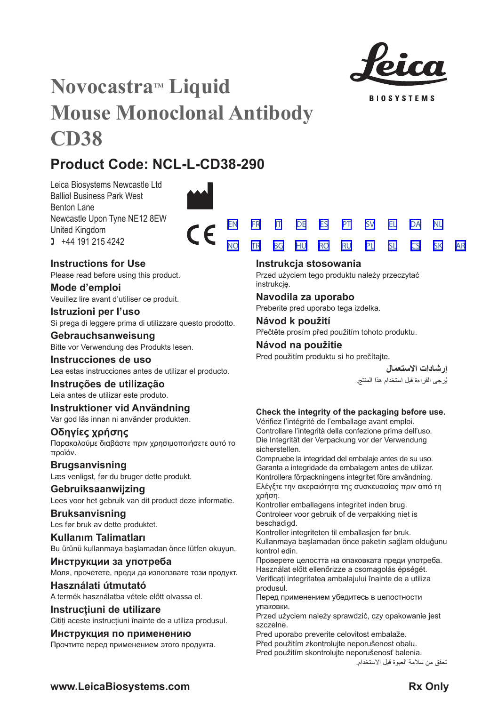

[SV](#page-20-0) [EL](#page-23-0) [DA](#page-26-0)

[NL](#page-29-0)

[SK](#page-59-0) [AR](#page-62-0)

**Novocastra™ Liquid Mouse Monoclonal Antibody CD38**

# **Product Code: NCL-L-CD38-290**

Leica Biosystems Newcastle Ltd Balliol Business Park West Benton Lane Newcastle Upon Tyne NE12 8EW United Kingdom  $1 +44 191 215 4242$ 



**Instructions for Use**

Please read before using this product.

**Mode d'emploi** Veuillez lire avant d'utiliser ce produit.

## **Istruzioni per l'uso**

Si prega di leggere prima di utilizzare questo prodotto.

## **Gebrauchsanweisung**

Bitte vor Verwendung des Produkts lesen.

## **Instrucciones de uso**

Lea estas instrucciones antes de utilizar el producto.

## **Instruções de utilização**

Leia antes de utilizar este produto.

## **Instruktioner vid Användning**

Var god läs innan ni använder produkten.

## **Οδηγίες χρήσης**

Παρακαλούμε διαβάστε πριν χρησιμοποιήσετε αυτό το προϊόν.

## **Brugsanvisning**

Læs venligst, før du bruger dette produkt.

## **Gebruiksaanwijzing** Lees voor het gebruik van dit product deze informatie.

## **Bruksanvisning**

Les før bruk av dette produktet.

**Kullanım Talimatları** Bu ürünü kullanmaya başlamadan önce lütfen okuyun.

**Инструкции за употреба** Моля, прочетете, преди да използвате този продукт.

## **Használati útmutató**

A termék használatba vétele előtt olvassa el.

## **Instrucțiuni de utilizare**

Citiți aceste instrucțiuni înainte de a utiliza produsul.

## **Инструкция по применению**

Прочтите перед применением этого продукта.

## <u>[NO](#page-32-0) [TR](#page-35-0) [BG](#page-38-0) [HU](#page-41-0) [RO](#page-44-0) [RU](#page-47-0)</u> [PL](#page-50-0) [SL](#page-53-0) [CS](#page-56-0)

## **Instrukcja stosowania**

Przed użyciem tego produktu należy przeczytać instrukcję.

## **Navodila za uporabo**

Preberite pred uporabo tega izdelka.

## **Návod k použití**

Přečtěte prosím před použitím tohoto produktu.

## **Návod na použitie**

Pred použitím produktu si ho prečítajte.

**إرشادات االستعمال** ُرجى القراءة قبل استخدام هذا المنتج. ي

## **Check the integrity of the packaging before use.**

Vérifiez l'intégrité de l'emballage avant emploi. Controllare l'integrità della confezione prima dell'uso. Die Integrität der Verpackung vor der Verwendung sicherstellen.

Compruebe la integridad del embalaje antes de su uso. Garanta a integridade da embalagem antes de utilizar. Kontrollera förpackningens integritet före användning. Ελέγξτε την ακεραιότητα της συσκευασίας πριν από τη χρήση.

Kontroller emballagens integritet inden brug. Controleer voor gebruik of de verpakking niet is beschadigd.

Kontroller integriteten til emballasjen før bruk. Kullanmaya başlamadan önce paketin sağlam olduğunu kontrol edin.

Проверете целостта на опаковката преди употреба. Használat előtt ellenőrizze a csomagolás épségét. Verificați integritatea ambalajului înainte de a utiliza produsul.

Перед применением убедитесь в целостности упаковки.

Przed użyciem należy sprawdzić, czy opakowanie jest szczelne.

Pred uporabo preverite celovitost embalaže. Před použitím zkontrolujte neporušenost obalu. Pred použitím skontrolujte neporušenosť balenia.

تحقق من سالمة العبوة قبل االستخدام.

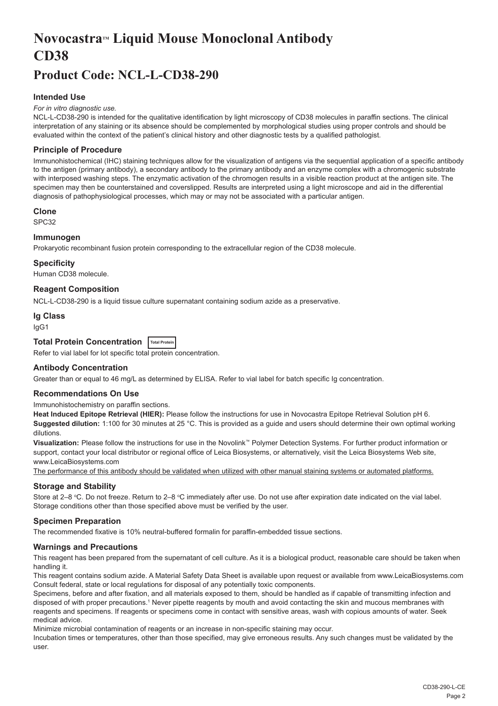# <span id="page-2-0"></span>**NovocastraTM Liquid Mouse Monoclonal Antibody CD38**

## **Product Code: NCL-L-CD38-290**

## **Intended Use**

#### *For in vitro diagnostic use.*

NCL-L-CD38-290 is intended for the qualitative identification by light microscopy of CD38 molecules in paraffin sections. The clinical interpretation of any staining or its absence should be complemented by morphological studies using proper controls and should be evaluated within the context of the patient's clinical history and other diagnostic tests by a qualified pathologist.

#### **Principle of Procedure**

Immunohistochemical (IHC) staining techniques allow for the visualization of antigens via the sequential application of a specific antibody to the antigen (primary antibody), a secondary antibody to the primary antibody and an enzyme complex with a chromogenic substrate with interposed washing steps. The enzymatic activation of the chromogen results in a visible reaction product at the antigen site. The specimen may then be counterstained and coverslipped. Results are interpreted using a light microscope and aid in the differential diagnosis of pathophysiological processes, which may or may not be associated with a particular antigen.

#### **Clone**

SPC32

#### **Immunogen**

Prokaryotic recombinant fusion protein corresponding to the extracellular region of the CD38 molecule.

#### **Specificity**

Human CD38 molecule.

#### **Reagent Composition**

NCL-L-CD38-290 is a liquid tissue culture supernatant containing sodium azide as a preservative.

#### **Ig Class**

IgG1

## **Total Protein Concentration Total Protein**

Refer to vial label for lot specific total protein concentration.

#### **Antibody Concentration**

Greater than or equal to 46 mg/L as determined by ELISA. Refer to vial label for batch specific Ig concentration.

## **Recommendations On Use**

Immunohistochemistry on paraffin sections.

**Heat Induced Epitope Retrieval (HIER):** Please follow the instructions for use in Novocastra Epitope Retrieval Solution pH 6. **Suggested dilution:** 1:100 for 30 minutes at 25 °C. This is provided as a guide and users should determine their own optimal working dilutions.

**Visualization:** Please follow the instructions for use in the Novolink™ Polymer Detection Systems. For further product information or support, contact your local distributor or regional office of Leica Biosystems, or alternatively, visit the Leica Biosystems Web site, www.LeicaBiosystems.com

The performance of this antibody should be validated when utilized with other manual staining systems or automated platforms.

#### **Storage and Stability**

Store at 2–8 ℃. Do not freeze. Return to 2–8 ℃ immediately after use. Do not use after expiration date indicated on the vial label. Storage conditions other than those specified above must be verified by the user.

#### **Specimen Preparation**

The recommended fixative is 10% neutral-buffered formalin for paraffin-embedded tissue sections.

#### **Warnings and Precautions**

This reagent has been prepared from the supernatant of cell culture. As it is a biological product, reasonable care should be taken when handling it.

This reagent contains sodium azide. A Material Safety Data Sheet is available upon request or available from www.LeicaBiosystems.com Consult federal, state or local regulations for disposal of any potentially toxic components.

Specimens, before and after fixation, and all materials exposed to them, should be handled as if capable of transmitting infection and disposed of with proper precautions.1 Never pipette reagents by mouth and avoid contacting the skin and mucous membranes with reagents and specimens. If reagents or specimens come in contact with sensitive areas, wash with copious amounts of water. Seek medical advice.

Minimize microbial contamination of reagents or an increase in non-specific staining may occur.

Incubation times or temperatures, other than those specified, may give erroneous results. Any such changes must be validated by the user.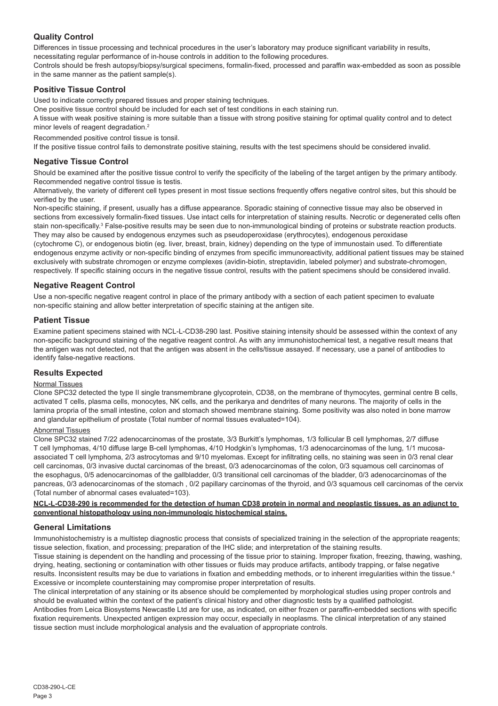## **Quality Control**

Differences in tissue processing and technical procedures in the user's laboratory may produce significant variability in results, necessitating regular performance of in-house controls in addition to the following procedures.

Controls should be fresh autopsy/biopsy/surgical specimens, formalin-fixed, processed and paraffin wax-embedded as soon as possible in the same manner as the patient sample(s).

## **Positive Tissue Control**

Used to indicate correctly prepared tissues and proper staining techniques.

One positive tissue control should be included for each set of test conditions in each staining run.

A tissue with weak positive staining is more suitable than a tissue with strong positive staining for optimal quality control and to detect minor levels of reagent degradation.<sup>2</sup>

Recommended positive control tissue is tonsil.

If the positive tissue control fails to demonstrate positive staining, results with the test specimens should be considered invalid.

## **Negative Tissue Control**

Should be examined after the positive tissue control to verify the specificity of the labeling of the target antigen by the primary antibody. Recommended negative control tissue is testis.

Alternatively, the variety of different cell types present in most tissue sections frequently offers negative control sites, but this should be verified by the user.

Non-specific staining, if present, usually has a diffuse appearance. Sporadic staining of connective tissue may also be observed in sections from excessively formalin-fixed tissues. Use intact cells for interpretation of staining results. Necrotic or degenerated cells often stain non-specifically.<sup>3</sup> False-positive results may be seen due to non-immunological binding of proteins or substrate reaction products. They may also be caused by endogenous enzymes such as pseudoperoxidase (erythrocytes), endogenous peroxidase

(cytochrome C), or endogenous biotin (eg. liver, breast, brain, kidney) depending on the type of immunostain used. To differentiate endogenous enzyme activity or non-specific binding of enzymes from specific immunoreactivity, additional patient tissues may be stained exclusively with substrate chromogen or enzyme complexes (avidin-biotin, streptavidin, labeled polymer) and substrate-chromogen, respectively. If specific staining occurs in the negative tissue control, results with the patient specimens should be considered invalid.

## **Negative Reagent Control**

Use a non-specific negative reagent control in place of the primary antibody with a section of each patient specimen to evaluate non-specific staining and allow better interpretation of specific staining at the antigen site.

## **Patient Tissue**

Examine patient specimens stained with NCL-L-CD38-290 last. Positive staining intensity should be assessed within the context of any non-specific background staining of the negative reagent control. As with any immunohistochemical test, a negative result means that the antigen was not detected, not that the antigen was absent in the cells/tissue assayed. If necessary, use a panel of antibodies to identify false-negative reactions.

## **Results Expected**

## Normal Tissues

Clone SPC32 detected the type II single transmembrane glycoprotein, CD38, on the membrane of thymocytes, germinal centre B cells, activated T cells, plasma cells, monocytes, NK cells, and the perikarya and dendrites of many neurons. The majority of cells in the lamina propria of the small intestine, colon and stomach showed membrane staining. Some positivity was also noted in bone marrow and glandular epithelium of prostate (Total number of normal tissues evaluated=104).

#### Abnormal Tissues

Clone SPC32 stained 7/22 adenocarcinomas of the prostate, 3/3 Burkitt's lymphomas, 1/3 follicular B cell lymphomas, 2/7 diffuse T cell lymphomas, 4/10 diffuse large B-cell lymphomas, 4/10 Hodgkin's lymphomas, 1/3 adenocarcinomas of the lung, 1/1 mucosaassociated T cell lymphoma, 2/3 astrocytomas and 9/10 myelomas. Except for infiltrating cells, no staining was seen in 0/3 renal clear cell carcinomas, 0/3 invasive ductal carcinomas of the breast, 0/3 adenocarcinomas of the colon, 0/3 squamous cell carcinomas of the esophagus, 0/5 adenocarcinomas of the gallbladder, 0/3 transitional cell carcinomas of the bladder, 0/3 adenocarcinomas of the pancreas, 0/3 adenocarcinomas of the stomach , 0/2 papillary carcinomas of the thyroid, and 0/3 squamous cell carcinomas of the cervix (Total number of abnormal cases evaluated=103).

#### **NCL-L-CD38-290 is recommended for the detection of human CD38 protein in normal and neoplastic tissues, as an adjunct to conventional histopathology using non-immunologic histochemical stains.**

## **General Limitations**

Immunohistochemistry is a multistep diagnostic process that consists of specialized training in the selection of the appropriate reagents; tissue selection, fixation, and processing; preparation of the IHC slide; and interpretation of the staining results.

Tissue staining is dependent on the handling and processing of the tissue prior to staining. Improper fixation, freezing, thawing, washing, drying, heating, sectioning or contamination with other tissues or fluids may produce artifacts, antibody trapping, or false negative results. Inconsistent results may be due to variations in fixation and embedding methods, or to inherent irregularities within the tissue.<sup>4</sup> Excessive or incomplete counterstaining may compromise proper interpretation of results.

The clinical interpretation of any staining or its absence should be complemented by morphological studies using proper controls and should be evaluated within the context of the patient's clinical history and other diagnostic tests by a qualified pathologist. Antibodies from Leica Biosystems Newcastle Ltd are for use, as indicated, on either frozen or paraffin-embedded sections with specific fixation requirements. Unexpected antigen expression may occur, especially in neoplasms. The clinical interpretation of any stained

tissue section must include morphological analysis and the evaluation of appropriate controls.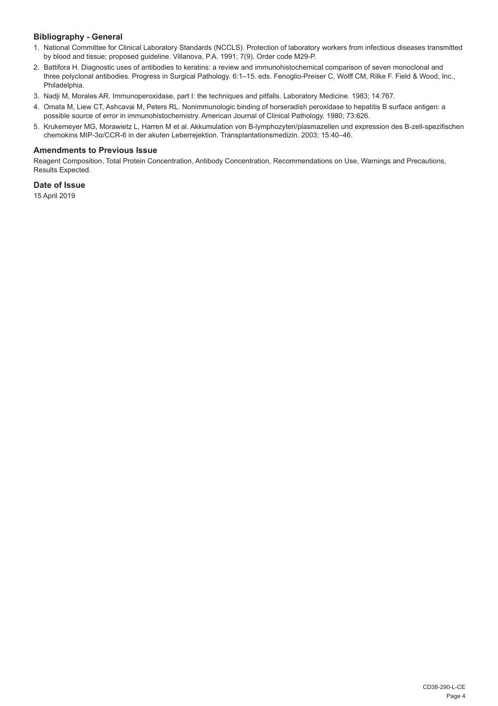## **Bibliography - General**

- 1. National Committee for Clinical Laboratory Standards (NCCLS). Protection of laboratory workers from infectious diseases transmitted by blood and tissue; proposed guideline. Villanova, P.A. 1991; 7(9). Order code M29-P.
- 2. Battifora H. Diagnostic uses of antibodies to keratins: a review and immunohistochemical comparison of seven monoclonal and three polyclonal antibodies. Progress in Surgical Pathology. 6:1–15. eds. Fenoglio-Preiser C, Wolff CM, Rilke F. Field & Wood, Inc., Philadelphia.
- 3. Nadji M, Morales AR. Immunoperoxidase, part I: the techniques and pitfalls. Laboratory Medicine. 1983; 14:767.
- 4. Omata M, Liew CT, Ashcavai M, Peters RL. Nonimmunologic binding of horseradish peroxidase to hepatitis B surface antigen: a possible source of error in immunohistochemistry. American Journal of Clinical Pathology. 1980; 73:626.
- 5. Krukemeyer MG, Morawietz L, Harren M et al. Akkumulation von B-lymphozyten/plasmazellen und expression des B-zell-spezifischen chemokins MIP-3α/CCR-6 in der akuten Leberrejektion. Transplantationsmedizin. 2003; 15:40–46.

## **Amendments to Previous Issue**

Reagent Composition, Total Protein Concentration, Antibody Concentration, Recommendations on Use, Warnings and Precautions, Results Expected.

## **Date of Issue**

15 April 2019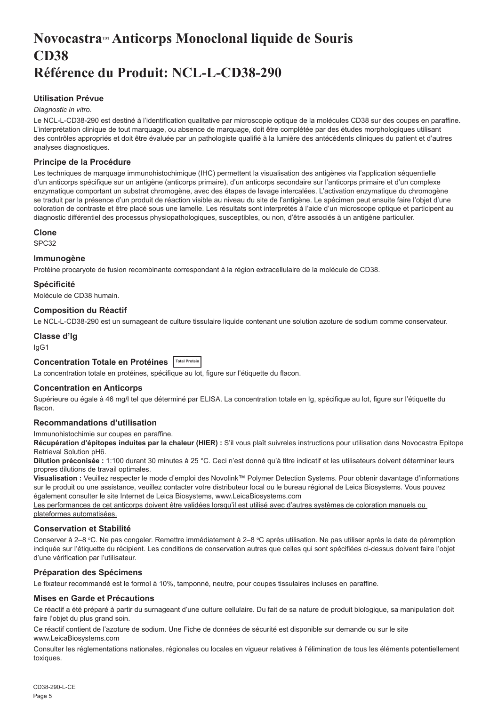# <span id="page-5-0"></span>**NovocastraTM Anticorps Monoclonal liquide de Souris CD38 Référence du Produit: NCL-L-CD38-290**

## **Utilisation Prévue**

#### *Diagnostic in vitro*.

Le NCL-L-CD38-290 est destiné à l'identification qualitative par microscopie optique de la molécules CD38 sur des coupes en paraffine. L'interprétation clinique de tout marquage, ou absence de marquage, doit être complétée par des études morphologiques utilisant des contrôles appropriés et doit être évaluée par un pathologiste qualifié à la lumière des antécédents cliniques du patient et d'autres analyses diagnostiques.

#### **Principe de la Procédure**

Les techniques de marquage immunohistochimique (IHC) permettent la visualisation des antigènes via l'application séquentielle d'un anticorps spécifique sur un antigène (anticorps primaire), d'un anticorps secondaire sur l'anticorps primaire et d'un complexe enzymatique comportant un substrat chromogène, avec des étapes de lavage intercalées. L'activation enzymatique du chromogène se traduit par la présence d'un produit de réaction visible au niveau du site de l'antigène. Le spécimen peut ensuite faire l'objet d'une coloration de contraste et être placé sous une lamelle. Les résultats sont interprétés à l'aide d'un microscope optique et participent au diagnostic différentiel des processus physiopathologiques, susceptibles, ou non, d'être associés à un antigène particulier.

#### **Clone**

SPC32

#### **Immunogène**

Protéine procaryote de fusion recombinante correspondant à la région extracellulaire de la molécule de CD38.

#### **Spécificité**

Molécule de CD38 humain.

#### **Composition du Réactif**

Le NCL-L-CD38-290 est un surnageant de culture tissulaire liquide contenant une solution azoture de sodium comme conservateur.

## **Classe d'Ig**

IgG1

## **Concentration Totale en Protéines Total Protein**

La concentration totale en protéines, spécifique au lot, figure sur l'étiquette du flacon.

## **Concentration en Anticorps**

Supérieure ou égale à 46 mg/l tel que déterminé par ELISA. La concentration totale en Ig, spécifique au lot, figure sur l'étiquette du flacon.

## **Recommandations d'utilisation**

Immunohistochimie sur coupes en paraffine.

**Récupération d'épitopes induites par la chaleur (HIER) :** S'il vous plaît suivreles instructions pour utilisation dans Novocastra Epitope Retrieval Solution pH6.

**Dilution préconisée :** 1:100 durant 30 minutes à 25 °C. Ceci n'est donné qu'à titre indicatif et les utilisateurs doivent déterminer leurs propres dilutions de travail optimales.

**Visualisation :** Veuillez respecter le mode d'emploi des Novolink™ Polymer Detection Systems. Pour obtenir davantage d'informations sur le produit ou une assistance, veuillez contacter votre distributeur local ou le bureau régional de Leica Biosystems. Vous pouvez également consulter le site Internet de Leica Biosystems, www.LeicaBiosystems.com

Les performances de cet anticorps doivent être validées lorsqu'il est utilisé avec d'autres systèmes de coloration manuels ou plateformes automatisées.

#### **Conservation et Stabilité**

Conserver à 2–8 °C. Ne pas congeler. Remettre immédiatement à 2–8 °C après utilisation. Ne pas utiliser après la date de péremption indiquée sur l'étiquette du récipient. Les conditions de conservation autres que celles qui sont spécifiées ci-dessus doivent faire l'objet d'une vérification par l'utilisateur.

#### **Préparation des Spécimens**

Le fixateur recommandé est le formol à 10%, tamponné, neutre, pour coupes tissulaires incluses en paraffine.

## **Mises en Garde et Précautions**

Ce réactif a été préparé à partir du surnageant d'une culture cellulaire. Du fait de sa nature de produit biologique, sa manipulation doit faire l'obiet du plus grand soin.

Ce réactif contient de l'azoture de sodium. Une Fiche de données de sécurité est disponible sur demande ou sur le site www.LeicaBiosystems.com

Consulter les réglementations nationales, régionales ou locales en vigueur relatives à l'élimination de tous les éléments potentiellement toxiques.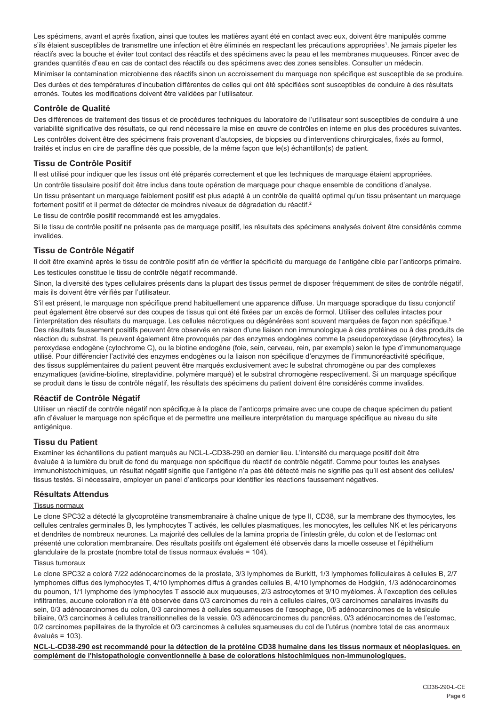Les spécimens, avant et après fixation, ainsi que toutes les matières ayant été en contact avec eux, doivent être manipulés comme s'ils étaient susceptibles de transmettre une infection et être éliminés en respectant les précautions appropriées<sup>1</sup>. Ne jamais pipeter les réactifs avec la bouche et éviter tout contact des réactifs et des spécimens avec la peau et les membranes muqueuses. Rincer avec de grandes quantités d'eau en cas de contact des réactifs ou des spécimens avec des zones sensibles. Consulter un médecin.

Minimiser la contamination microbienne des réactifs sinon un accroissement du marquage non spécifique est susceptible de se produire. Des durées et des températures d'incubation différentes de celles qui ont été spécifiées sont susceptibles de conduire à des résultats erronés. Toutes les modifications doivent être validées par l'utilisateur.

## **Contrôle de Qualité**

Des différences de traitement des tissus et de procédures techniques du laboratoire de l'utilisateur sont susceptibles de conduire à une variabilité significative des résultats, ce qui rend nécessaire la mise en œuvre de contrôles en interne en plus des procédures suivantes.

Les contrôles doivent être des spécimens frais provenant d'autopsies, de biopsies ou d'interventions chirurgicales, fixés au formol, traités et inclus en cire de paraffine dès que possible, de la même façon que le(s) échantillon(s) de patient.

## **Tissu de Contrôle Positif**

Il est utilisé pour indiquer que les tissus ont été préparés correctement et que les techniques de marquage étaient appropriées. Un contrôle tissulaire positif doit être inclus dans toute opération de marquage pour chaque ensemble de conditions d'analyse. Un tissu présentant un marquage faiblement positif est plus adapté à un contrôle de qualité optimal qu'un tissu présentant un marquage fortement positif et il permet de détecter de moindres niveaux de dégradation du réactif.<sup>2</sup>

Le tissu de contrôle positif recommandé est les amygdales.

Si le tissu de contrôle positif ne présente pas de marquage positif, les résultats des spécimens analysés doivent être considérés comme invalides.

## **Tissu de Contrôle Négatif**

Il doit être examiné après le tissu de contrôle positif afin de vérifier la spécificité du marquage de l'antigène cible par l'anticorps primaire. Les testicules constitue le tissu de contrôle négatif recommandé.

Sinon, la diversité des types cellulaires présents dans la plupart des tissus permet de disposer fréquemment de sites de contrôle négatif, mais ils doivent être vérifiés par l'utilisateur.

S'il est présent, le marquage non spécifique prend habituellement une apparence diffuse. Un marquage sporadique du tissu conjonctif peut également être observé sur des coupes de tissus qui ont été fixées par un excès de formol. Utiliser des cellules intactes pour l'interprétation des résultats du marquage. Les cellules nécrotiques ou dégénérées sont souvent marquées de façon non spécifique.<sup>3</sup> Des résultats faussement positifs peuvent être observés en raison d'une liaison non immunologique à des protéines ou à des produits de réaction du substrat. Ils peuvent également être provoqués par des enzymes endogènes comme la pseudoperoxydase (érythrocytes), la peroxydase endogène (cytochrome C), ou la biotine endogène (foie, sein, cerveau, rein, par exemple) selon le type d'immunomarquage utilisé. Pour différencier l'activité des enzymes endogènes ou la liaison non spécifique d'enzymes de l'immunoréactivité spécifique, des tissus supplémentaires du patient peuvent être marqués exclusivement avec le substrat chromogène ou par des complexes enzymatiques (avidine-biotine, streptavidine, polymère marqué) et le substrat chromogène respectivement. Si un marquage spécifique se produit dans le tissu de contrôle négatif, les résultats des spécimens du patient doivent être considérés comme invalides.

## **Réactif de Contrôle Négatif**

Utiliser un réactif de contrôle négatif non spécifique à la place de l'anticorps primaire avec une coupe de chaque spécimen du patient afin d'évaluer le marquage non spécifique et de permettre une meilleure interprétation du marquage spécifique au niveau du site antigénique.

## **Tissu du Patient**

Examiner les échantillons du patient marqués au NCL-L-CD38-290 en dernier lieu. L'intensité du marquage positif doit être évaluée à la lumière du bruit de fond du marquage non spécifique du réactif de contrôle négatif. Comme pour toutes les analyses immunohistochimiques, un résultat négatif signifie que l'antigène n'a pas été détecté mais ne signifie pas qu'il est absent des cellules/ tissus testés. Si nécessaire, employer un panel d'anticorps pour identifier les réactions faussement négatives.

## **Résultats Attendus**

#### Tissus normaux

Le clone SPC32 a détecté la glycoprotéine transmembranaire à chaîne unique de type II, CD38, sur la membrane des thymocytes, les cellules centrales germinales B, les lymphocytes T activés, les cellules plasmatiques, les monocytes, les cellules NK et les péricaryons et dendrites de nombreux neurones. La majorité des cellules de la lamina propria de l'intestin grêle, du colon et de l'estomac ont présenté une coloration membranaire. Des résultats positifs ont également été observés dans la moelle osseuse et l'épithélium glandulaire de la prostate (nombre total de tissus normaux évalués = 104).

#### Tissus tumoraux

Le clone SPC32 a coloré 7/22 adénocarcinomes de la prostate, 3/3 lymphomes de Burkitt, 1/3 lymphomes folliculaires à cellules B, 2/7 lymphomes diffus des lymphocytes T, 4/10 lymphomes diffus à grandes cellules B, 4/10 lymphomes de Hodgkin, 1/3 adénocarcinomes du poumon, 1/1 lymphome des lymphocytes T associé aux muqueuses, 2/3 astrocytomes et 9/10 myélomes. À l'exception des cellules infiltrantes, aucune coloration n'a été observée dans 0/3 carcinomes du rein à cellules claires, 0/3 carcinomes canalaires invasifs du sein, 0/3 adénocarcinomes du colon, 0/3 carcinomes à cellules squameuses de l'œsophage, 0/5 adénocarcinomes de la vésicule biliaire, 0/3 carcinomes à cellules transitionnelles de la vessie, 0/3 adénocarcinomes du pancréas, 0/3 adénocarcinomes de l'estomac, 0/2 carcinomes papillaires de la thyroïde et 0/3 carcinomes à cellules squameuses du col de l'utérus (nombre total de cas anormaux évalués = 103).

**NCL-L-CD38-290 est recommandé pour la détection de la protéine CD38 humaine dans les tissus normaux et néoplasiques. en complément de l'histopathologie conventionnelle à base de colorations histochimiques non-immunologiques.**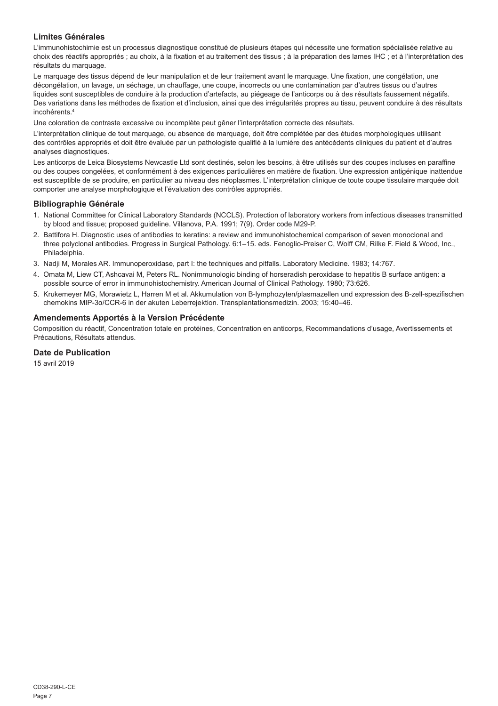## **Limites Générales**

L'immunohistochimie est un processus diagnostique constitué de plusieurs étapes qui nécessite une formation spécialisée relative au choix des réactifs appropriés ; au choix, à la fixation et au traitement des tissus ; à la préparation des lames IHC ; et à l'interprétation des résultats du marquage.

Le marquage des tissus dépend de leur manipulation et de leur traitement avant le marquage. Une fixation, une congélation, une décongélation, un lavage, un séchage, un chauffage, une coupe, incorrects ou une contamination par d'autres tissus ou d'autres liquides sont susceptibles de conduire à la production d'artefacts, au piégeage de l'anticorps ou à des résultats faussement négatifs. Des variations dans les méthodes de fixation et d'inclusion, ainsi que des irrégularités propres au tissu, peuvent conduire à des résultats incohérents<sup>4</sup>

Une coloration de contraste excessive ou incomplète peut gêner l'interprétation correcte des résultats.

L'interprétation clinique de tout marquage, ou absence de marquage, doit être complétée par des études morphologiques utilisant des contrôles appropriés et doit être évaluée par un pathologiste qualifié à la lumière des antécédents cliniques du patient et d'autres analyses diagnostiques.

Les anticorps de Leica Biosystems Newcastle Ltd sont destinés, selon les besoins, à être utilisés sur des coupes incluses en paraffine ou des coupes congelées, et conformément à des exigences particulières en matière de fixation. Une expression antigénique inattendue est susceptible de se produire, en particulier au niveau des néoplasmes. L'interprétation clinique de toute coupe tissulaire marquée doit comporter une analyse morphologique et l'évaluation des contrôles appropriés.

#### **Bibliographie Générale**

- 1. National Committee for Clinical Laboratory Standards (NCCLS). Protection of laboratory workers from infectious diseases transmitted by blood and tissue; proposed guideline. Villanova, P.A. 1991; 7(9). Order code M29-P.
- 2. Battifora H. Diagnostic uses of antibodies to keratins: a review and immunohistochemical comparison of seven monoclonal and three polyclonal antibodies. Progress in Surgical Pathology. 6:1–15. eds. Fenoglio-Preiser C, Wolff CM, Rilke F. Field & Wood, Inc., Philadelphia.
- 3. Nadji M, Morales AR. Immunoperoxidase, part I: the techniques and pitfalls. Laboratory Medicine. 1983; 14:767.
- 4. Omata M, Liew CT, Ashcavai M, Peters RL. Nonimmunologic binding of horseradish peroxidase to hepatitis B surface antigen: a possible source of error in immunohistochemistry. American Journal of Clinical Pathology. 1980; 73:626.
- 5. Krukemeyer MG, Morawietz L, Harren M et al. Akkumulation von B-lymphozyten/plasmazellen und expression des B-zell-spezifischen chemokins MIP-3α/CCR-6 in der akuten Leberrejektion. Transplantationsmedizin. 2003; 15:40–46.

#### **Amendements Apportés à la Version Précédente**

Composition du réactif, Concentration totale en protéines, Concentration en anticorps, Recommandations d'usage, Avertissements et Précautions, Résultats attendus.

#### **Date de Publication**

15 avril 2019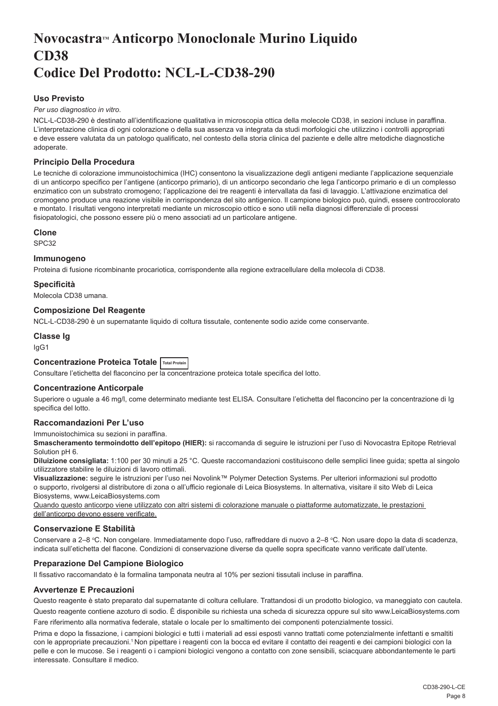# <span id="page-8-0"></span>Novocastra<sup>™</sup> Anticorpo Monoclonale Murino Liquido **CD38 Codice Del Prodotto: NCL-L-CD38-290**

## **Uso Previsto**

#### *Per uso diagnostico in vitro*.

NCL-L-CD38-290 è destinato all'identificazione qualitativa in microscopia ottica della molecole CD38, in sezioni incluse in paraffina. L'interpretazione clinica di ogni colorazione o della sua assenza va integrata da studi morfologici che utilizzino i controlli appropriati e deve essere valutata da un patologo qualificato, nel contesto della storia clinica del paziente e delle altre metodiche diagnostiche adoperate.

#### **Principio Della Procedura**

Le tecniche di colorazione immunoistochimica (IHC) consentono la visualizzazione degli antigeni mediante l'applicazione sequenziale di un anticorpo specifico per l'antigene (anticorpo primario), di un anticorpo secondario che lega l'anticorpo primario e di un complesso enzimatico con un substrato cromogeno; l'applicazione dei tre reagenti è intervallata da fasi di lavaggio. L'attivazione enzimatica del cromogeno produce una reazione visibile in corrispondenza del sito antigenico. Il campione biologico può, quindi, essere controcolorato e montato. I risultati vengono interpretati mediante un microscopio ottico e sono utili nella diagnosi differenziale di processi fisiopatologici, che possono essere più o meno associati ad un particolare antigene.

#### **Clone**

SPC32

#### **Immunogeno**

Proteina di fusione ricombinante procariotica, corrispondente alla regione extracellulare della molecola di CD38.

#### **Specificità**

Molecola CD38 umana.

#### **Composizione Del Reagente**

NCL-L-CD38-290 è un supernatante liquido di coltura tissutale, contenente sodio azide come conservante.

**Classe Ig** IgG1

## **Concentrazione Proteica Totale Total Protein**

Consultare l'etichetta del flaconcino per la concentrazione proteica totale specifica del lotto.

## **Concentrazione Anticorpale**

Superiore o uguale a 46 mg/l, come determinato mediante test ELISA. Consultare l'etichetta del flaconcino per la concentrazione di Ig specifica del lotto.

## **Raccomandazioni Per L'uso**

Immunoistochimica su sezioni in paraffina.

**Smascheramento termoindotto dell'epitopo (HIER):** si raccomanda di seguire le istruzioni per l'uso di Novocastra Epitope Retrieval Solution pH 6.

**Diluizione consigliata:** 1:100 per 30 minuti a 25 °C. Queste raccomandazioni costituiscono delle semplici linee guida; spetta al singolo utilizzatore stabilire le diluizioni di lavoro ottimali.

**Visualizzazione:** seguire le istruzioni per l'uso nei Novolink™ Polymer Detection Systems. Per ulteriori informazioni sul prodotto o supporto, rivolgersi al distributore di zona o all'ufficio regionale di Leica Biosystems. In alternativa, visitare il sito Web di Leica Biosystems, www.LeicaBiosystems.com

Quando questo anticorpo viene utilizzato con altri sistemi di colorazione manuale o piattaforme automatizzate, le prestazioni dell'anticorpo devono essere verificate.

#### **Conservazione E Stabilità**

Conservare a 2–8 °C. Non congelare. Immediatamente dopo l'uso, raffreddare di nuovo a 2–8 °C. Non usare dopo la data di scadenza, indicata sull'etichetta del flacone. Condizioni di conservazione diverse da quelle sopra specificate vanno verificate dall'utente.

## **Preparazione Del Campione Biologico**

Il fissativo raccomandato è la formalina tamponata neutra al 10% per sezioni tissutali incluse in paraffina.

#### **Avvertenze E Precauzioni**

Questo reagente è stato preparato dal supernatante di coltura cellulare. Trattandosi di un prodotto biologico, va maneggiato con cautela.

Questo reagente contiene azoturo di sodio. È disponibile su richiesta una scheda di sicurezza oppure sul sito www.LeicaBiosystems.com Fare riferimento alla normativa federale, statale o locale per lo smaltimento dei componenti potenzialmente tossici.

Prima e dopo la fissazione, i campioni biologici e tutti i materiali ad essi esposti vanno trattati come potenzialmente infettanti e smaltiti con le appropriate precauzioni.<sup>1</sup> Non pipettare i reagenti con la bocca ed evitare il contatto dei reagenti e dei campioni biologici con la pelle e con le mucose. Se i reagenti o i campioni biologici vengono a contatto con zone sensibili, sciacquare abbondantemente le parti interessate. Consultare il medico.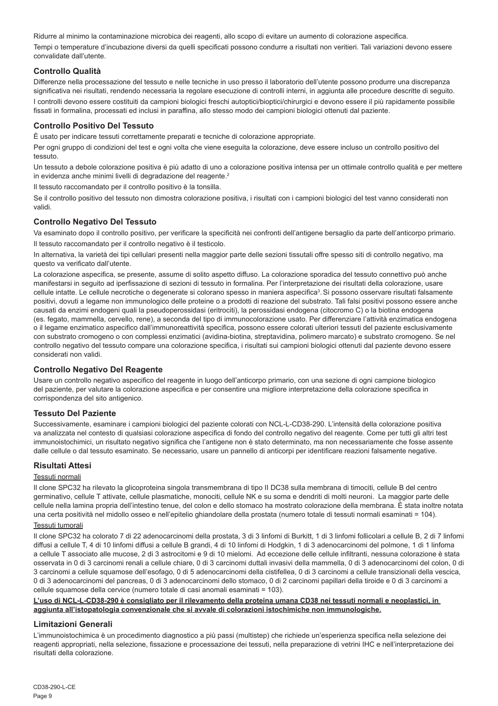Ridurre al minimo la contaminazione microbica dei reagenti, allo scopo di evitare un aumento di colorazione aspecifica. Tempi o temperature d'incubazione diversi da quelli specificati possono condurre a risultati non veritieri. Tali variazioni devono essere convalidate dall'utente.

## **Controllo Qualità**

Differenze nella processazione del tessuto e nelle tecniche in uso presso il laboratorio dell'utente possono produrre una discrepanza significativa nei risultati, rendendo necessaria la regolare esecuzione di controlli interni, in aggiunta alle procedure descritte di seguito. I controlli devono essere costituiti da campioni biologici freschi autoptici/bioptici/chirurgici e devono essere il più rapidamente possibile fissati in formalina, processati ed inclusi in paraffina, allo stesso modo dei campioni biologici ottenuti dal paziente.

## **Controllo Positivo Del Tessuto**

È usato per indicare tessuti correttamente preparati e tecniche di colorazione appropriate.

Per ogni gruppo di condizioni del test e ogni volta che viene eseguita la colorazione, deve essere incluso un controllo positivo del tessuto.

Un tessuto a debole colorazione positiva è più adatto di uno a colorazione positiva intensa per un ottimale controllo qualità e per mettere in evidenza anche minimi livelli di degradazione del reagente.<sup>2</sup>

Il tessuto raccomandato per il controllo positivo è la tonsilla.

Se il controllo positivo del tessuto non dimostra colorazione positiva, i risultati con i campioni biologici del test vanno considerati non validi.

## **Controllo Negativo Del Tessuto**

Va esaminato dopo il controllo positivo, per verificare la specificità nei confronti dell'antigene bersaglio da parte dell'anticorpo primario. Il tessuto raccomandato per il controllo negativo è il testicolo.

In alternativa, la varietà dei tipi cellulari presenti nella maggior parte delle sezioni tissutali offre spesso siti di controllo negativo, ma questo va verificato dall'utente.

La colorazione aspecifica, se presente, assume di solito aspetto diffuso. La colorazione sporadica del tessuto connettivo può anche manifestarsi in seguito ad iperfissazione di sezioni di tessuto in formalina. Per l'interpretazione dei risultati della colorazione, usare cellule intatte. Le cellule necrotiche o degenerate si colorano spesso in maniera aspecifica<sup>3</sup>. Si possono osservare risultati falsamente positivi, dovuti a legame non immunologico delle proteine o a prodotti di reazione del substrato. Tali falsi positivi possono essere anche causati da enzimi endogeni quali la pseudoperossidasi (eritrociti), la perossidasi endogena (citocromo C) o la biotina endogena (es. fegato, mammella, cervello, rene), a seconda del tipo di immunocolorazione usato. Per differenziare l'attività enzimatica endogena o il legame enzimatico aspecifico dall'immunoreattività specifica, possono essere colorati ulteriori tessuti del paziente esclusivamente con substrato cromogeno o con complessi enzimatici (avidina-biotina, streptavidina, polimero marcato) e substrato cromogeno. Se nel controllo negativo del tessuto compare una colorazione specifica, i risultati sui campioni biologici ottenuti dal paziente devono essere considerati non validi.

## **Controllo Negativo Del Reagente**

Usare un controllo negativo aspecifico del reagente in luogo dell'anticorpo primario, con una sezione di ogni campione biologico del paziente, per valutare la colorazione aspecifica e per consentire una migliore interpretazione della colorazione specifica in corrispondenza del sito antigenico.

## **Tessuto Del Paziente**

Successivamente, esaminare i campioni biologici del paziente colorati con NCL-L-CD38-290. L'intensità della colorazione positiva va analizzata nel contesto di qualsiasi colorazione aspecifica di fondo del controllo negativo del reagente. Come per tutti gli altri test immunoistochimici, un risultato negativo significa che l'antigene non è stato determinato, ma non necessariamente che fosse assente dalle cellule o dal tessuto esaminato. Se necessario, usare un pannello di anticorpi per identificare reazioni falsamente negative.

## **Risultati Attesi**

#### Tessuti normali

Il clone SPC32 ha rilevato la glicoproteina singola transmembrana di tipo II DC38 sulla membrana di timociti, cellule B del centro germinativo, cellule T attivate, cellule plasmatiche, monociti, cellule NK e su soma e dendriti di molti neuroni. La maggior parte delle cellule nella lamina propria dell'intestino tenue, del colon e dello stomaco ha mostrato colorazione della membrana. È stata inoltre notata una certa positività nel midollo osseo e nell'epitelio ghiandolare della prostata (numero totale di tessuti normali esaminati = 104).

#### Tessuti tumorali

Il clone SPC32 ha colorato 7 di 22 adenocarcinomi della prostata, 3 di 3 linfomi di Burkitt, 1 di 3 linfomi follicolari a cellule B, 2 di 7 linfomi diffusi a cellule T, 4 di 10 linfomi diffusi a cellule B grandi, 4 di 10 linfomi di Hodgkin, 1 di 3 adenocarcinomi del polmone, 1 di 1 linfoma a cellule T associato alle mucose, 2 di 3 astrocitomi e 9 di 10 mielomi. Ad eccezione delle cellule infiltranti, nessuna colorazione è stata osservata in 0 di 3 carcinomi renali a cellule chiare, 0 di 3 carcinomi duttali invasivi della mammella, 0 di 3 adenocarcinomi del colon, 0 di 3 carcinomi a cellule squamose dell'esofago, 0 di 5 adenocarcinomi della cistifellea, 0 di 3 carcinomi a cellule transizionali della vescica, 0 di 3 adenocarcinomi del pancreas, 0 di 3 adenocarcinomi dello stomaco, 0 di 2 carcinomi papillari della tiroide e 0 di 3 carcinomi a cellule squamose della cervice (numero totale di casi anomali esaminati = 103).

#### **L'uso di NCL-L-CD38-290 è consigliato per il rilevamento della proteina umana CD38 nei tessuti normali e neoplastici, in aggiunta all'istopatologia convenzionale che si avvale di colorazioni istochimiche non immunologiche.**

## **Limitazioni Generali**

L'immunoistochimica è un procedimento diagnostico a più passi (multistep) che richiede un'esperienza specifica nella selezione dei reagenti appropriati, nella selezione, fissazione e processazione dei tessuti, nella preparazione di vetrini IHC e nell'interpretazione dei risultati della colorazione.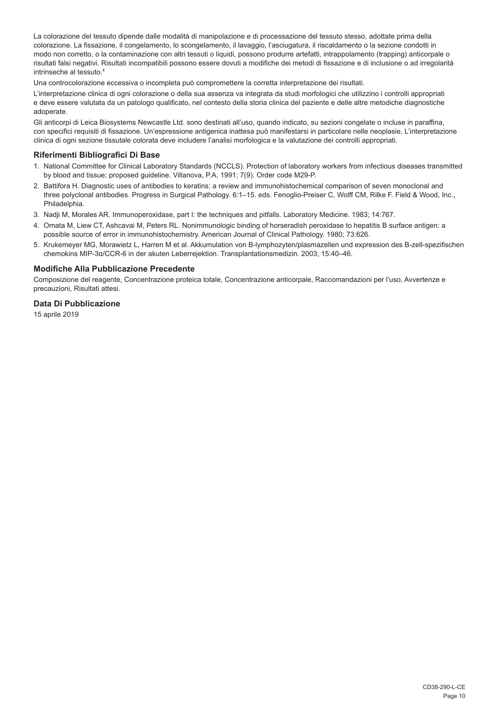La colorazione del tessuto dipende dalle modalità di manipolazione e di processazione del tessuto stesso, adottate prima della colorazione. La fissazione, il congelamento, lo scongelamento, il lavaggio, l'asciugatura, il riscaldamento o la sezione condotti in modo non corretto, o la contaminazione con altri tessuti o liquidi, possono produrre artefatti, intrappolamento (trapping) anticorpale o risultati falsi negativi. Risultati incompatibili possono essere dovuti a modifiche dei metodi di fissazione e di inclusione o ad irregolarità intrinseche al tessuto.<sup>4</sup>

Una controcolorazione eccessiva o incompleta può compromettere la corretta interpretazione dei risultati.

L'interpretazione clinica di ogni colorazione o della sua assenza va integrata da studi morfologici che utilizzino i controlli appropriati e deve essere valutata da un patologo qualificato, nel contesto della storia clinica del paziente e delle altre metodiche diagnostiche adoperate.

Gli anticorpi di Leica Biosystems Newcastle Ltd. sono destinati all'uso, quando indicato, su sezioni congelate o incluse in paraffina, con specifici requisiti di fissazione. Un'espressione antigenica inattesa può manifestarsi in particolare nelle neoplasie. L'interpretazione clinica di ogni sezione tissutale colorata deve includere l'analisi morfologica e la valutazione dei controlli appropriati.

## **Riferimenti Bibliografici Di Base**

- 1. National Committee for Clinical Laboratory Standards (NCCLS). Protection of laboratory workers from infectious diseases transmitted by blood and tissue; proposed guideline. Villanova, P.A. 1991; 7(9). Order code M29-P.
- 2. Battifora H. Diagnostic uses of antibodies to keratins: a review and immunohistochemical comparison of seven monoclonal and three polyclonal antibodies. Progress in Surgical Pathology. 6:1–15. eds. Fenoglio-Preiser C, Wolff CM, Rilke F. Field & Wood, Inc., Philadelphia.
- 3. Nadji M, Morales AR. Immunoperoxidase, part I: the techniques and pitfalls. Laboratory Medicine. 1983; 14:767.
- 4. Omata M, Liew CT, Ashcavai M, Peters RL. Nonimmunologic binding of horseradish peroxidase to hepatitis B surface antigen: a possible source of error in immunohistochemistry. American Journal of Clinical Pathology. 1980; 73:626.
- 5. Krukemeyer MG, Morawietz L, Harren M et al. Akkumulation von B-lymphozyten/plasmazellen und expression des B-zell-spezifischen chemokins MIP-3α/CCR-6 in der akuten Leberrejektion. Transplantationsmedizin. 2003; 15:40–46.

## **Modifiche Alla Pubblicazione Precedente**

Composizione del reagente, Concentrazione proteica totale, Concentrazione anticorpale, Raccomandazioni per l'uso, Avvertenze e precauzioni, Risultati attesi.

## **Data Di Pubblicazione**

15 aprile 2019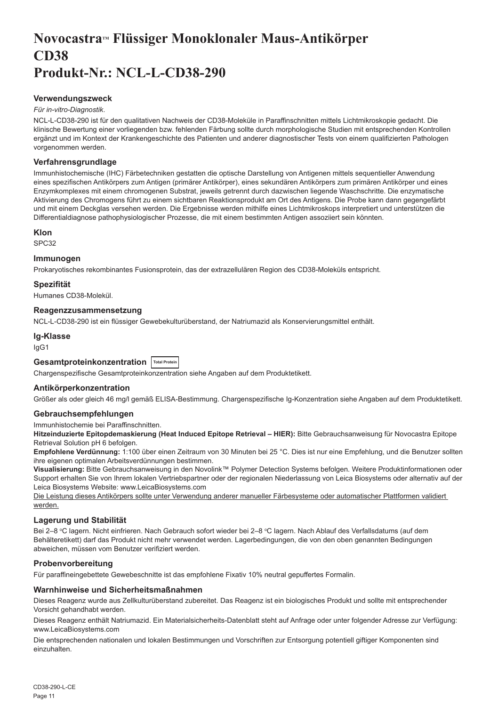# <span id="page-11-0"></span>Novocastra™ Flüssiger Monoklonaler Maus-Antikörper **CD38 Produkt-Nr.: NCL-L-CD38-290**

## **Verwendungszweck**

#### *Für in-vitro-Diagnostik*.

NCL-L-CD38-290 ist für den qualitativen Nachweis der CD38-Moleküle in Paraffinschnitten mittels Lichtmikroskopie gedacht. Die klinische Bewertung einer vorliegenden bzw. fehlenden Färbung sollte durch morphologische Studien mit entsprechenden Kontrollen ergänzt und im Kontext der Krankengeschichte des Patienten und anderer diagnostischer Tests von einem qualifizierten Pathologen vorgenommen werden.

#### **Verfahrensgrundlage**

Immunhistochemische (IHC) Färbetechniken gestatten die optische Darstellung von Antigenen mittels sequentieller Anwendung eines spezifischen Antikörpers zum Antigen (primärer Antikörper), eines sekundären Antikörpers zum primären Antikörper und eines Enzymkomplexes mit einem chromogenen Substrat, jeweils getrennt durch dazwischen liegende Waschschritte. Die enzymatische Aktivierung des Chromogens führt zu einem sichtbaren Reaktionsprodukt am Ort des Antigens. Die Probe kann dann gegengefärbt und mit einem Deckglas versehen werden. Die Ergebnisse werden mithilfe eines Lichtmikroskops interpretiert und unterstützen die Differentialdiagnose pathophysiologischer Prozesse, die mit einem bestimmten Antigen assoziiert sein könnten.

#### **Klon**

SPC32

## **Immunogen**

Prokaryotisches rekombinantes Fusionsprotein, das der extrazellulären Region des CD38-Moleküls entspricht.

#### **Spezifität**

Humanes CD38-Molekül.

#### **Reagenzzusammensetzung**

NCL-L-CD38-290 ist ein flüssiger Gewebekulturüberstand, der Natriumazid als Konservierungsmittel enthält.

## **Ig-Klasse**

IgG1

## **Gesamtproteinkonzentration Total Protein**

Chargenspezifische Gesamtproteinkonzentration siehe Angaben auf dem Produktetikett.

## **Antikörperkonzentration**

Größer als oder gleich 46 mg/l gemäß ELISA-Bestimmung. Chargenspezifische Ig-Konzentration siehe Angaben auf dem Produktetikett.

## **Gebrauchsempfehlungen**

#### Immunhistochemie bei Paraffinschnitten.

**Hitzeinduzierte Epitopdemaskierung (Heat Induced Epitope Retrieval – HIER):** Bitte Gebrauchsanweisung für Novocastra Epitope Retrieval Solution pH 6 befolgen.

**Empfohlene Verdünnung:** 1:100 über einen Zeitraum von 30 Minuten bei 25 °C. Dies ist nur eine Empfehlung, und die Benutzer sollten ihre eigenen optimalen Arbeitsverdünnungen bestimmen.

**Visualisierung:** Bitte Gebrauchsanweisung in den Novolink™ Polymer Detection Systems befolgen. Weitere Produktinformationen oder Support erhalten Sie von Ihrem lokalen Vertriebspartner oder der regionalen Niederlassung von Leica Biosystems oder alternativ auf der Leica Biosystems Website: www.LeicaBiosystems.com

Die Leistung dieses Antikörpers sollte unter Verwendung anderer manueller Färbesysteme oder automatischer Plattformen validiert werden.

## **Lagerung und Stabilität**

Bei 2–8 °C lagern. Nicht einfrieren. Nach Gebrauch sofort wieder bei 2–8 °C lagern. Nach Ablauf des Verfallsdatums (auf dem Behälteretikett) darf das Produkt nicht mehr verwendet werden. Lagerbedingungen, die von den oben genannten Bedingungen abweichen, müssen vom Benutzer verifiziert werden.

## **Probenvorbereitung**

Für paraffineingebettete Gewebeschnitte ist das empfohlene Fixativ 10% neutral gepuffertes Formalin.

#### **Warnhinweise und Sicherheitsmaßnahmen**

Dieses Reagenz wurde aus Zellkulturüberstand zubereitet. Das Reagenz ist ein biologisches Produkt und sollte mit entsprechender Vorsicht gehandhabt werden.

Dieses Reagenz enthält Natriumazid. Ein Materialsicherheits-Datenblatt steht auf Anfrage oder unter folgender Adresse zur Verfügung: www.LeicaBiosystems.com

Die entsprechenden nationalen und lokalen Bestimmungen und Vorschriften zur Entsorgung potentiell giftiger Komponenten sind einzuhalten.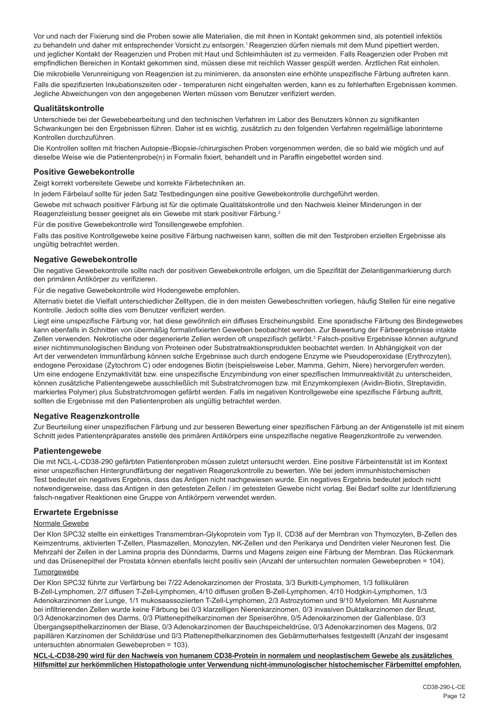Vor und nach der Fixierung sind die Proben sowie alle Materialien, die mit ihnen in Kontakt gekommen sind, als potentiell infektiös zu behandeln und daher mit entsprechender Vorsicht zu entsorgen.<sup>1</sup> Reagenzien dürfen niemals mit dem Mund pipettiert werden, und jeglicher Kontakt der Reagenzien und Proben mit Haut und Schleimhäuten ist zu vermeiden. Falls Reagenzien oder Proben mit empfindlichen Bereichen in Kontakt gekommen sind, müssen diese mit reichlich Wasser gespült werden. Ärztlichen Rat einholen.

Die mikrobielle Verunreinigung von Reagenzien ist zu minimieren, da ansonsten eine erhöhte unspezifische Färbung auftreten kann. Falls die spezifizierten Inkubationszeiten oder - temperaturen nicht eingehalten werden, kann es zu fehlerhaften Ergebnissen kommen. Jegliche Abweichungen von den angegebenen Werten müssen vom Benutzer verifiziert werden.

## **Qualitätskontrolle**

Unterschiede bei der Gewebebearbeitung und den technischen Verfahren im Labor des Benutzers können zu signifikanten Schwankungen bei den Ergebnissen führen. Daher ist es wichtig, zusätzlich zu den folgenden Verfahren regelmäßige laborinterne Kontrollen durchzuführen.

Die Kontrollen sollten mit frischen Autopsie-/Biopsie-/chirurgischen Proben vorgenommen werden, die so bald wie möglich und auf dieselbe Weise wie die Patientenprobe(n) in Formalin fixiert, behandelt und in Paraffin eingebettet worden sind.

## **Positive Gewebekontrolle**

Zeigt korrekt vorbereitete Gewebe und korrekte Färbetechniken an.

In jedem Färbelauf sollte für jeden Satz Testbedingungen eine positive Gewebekontrolle durchgeführt werden.

Gewebe mit schwach positiver Färbung ist für die optimale Qualitätskontrolle und den Nachweis kleiner Minderungen in der Reagenzleistung besser geeignet als ein Gewebe mit stark positiver Färbung.<sup>2</sup>

Für die positive Gewebekontrolle wird Tonsillengewebe empfohlen.

Falls das positive Kontrollgewebe keine positive Färbung nachweisen kann, sollten die mit den Testproben erzielten Ergebnisse als ungültig betrachtet werden.

## **Negative Gewebekontrolle**

Die negative Gewebekontrolle sollte nach der positiven Gewebekontrolle erfolgen, um die Spezifität der Zielantigenmarkierung durch den primären Antikörper zu verifizieren.

Für die negative Gewebekontrolle wird Hodengewebe empfohlen.

Alternativ bietet die Vielfalt unterschiedlicher Zelltypen, die in den meisten Gewebeschnitten vorliegen, häufig Stellen für eine negative Kontrolle. Jedoch sollte dies vom Benutzer verifiziert werden.

Liegt eine unspezifische Färbung vor, hat diese gewöhnlich ein diffuses Erscheinungsbild. Eine sporadische Färbung des Bindegewebes kann ebenfalls in Schnitten von übermäßig formalinfixierten Geweben beobachtet werden. Zur Bewertung der Färbeergebnisse intakte Zellen verwenden. Nekrotische oder degenerierte Zellen werden oft unspezifisch gefärbt.<sup>3</sup> Falsch-positive Ergebnisse können aufgrund einer nichtimmunologischen Bindung von Proteinen oder Substratreaktionsprodukten beobachtet werden. In Abhängigkeit von der Art der verwendeten Immunfärbung können solche Ergebnisse auch durch endogene Enzyme wie Pseudoperoxidase (Erythrozyten), endogene Peroxidase (Zytochrom C) oder endogenes Biotin (beispielsweise Leber, Mamma, Gehirn, Niere) hervorgerufen werden. Um eine endogene Enzymaktivität bzw. eine unspezifische Enzymbindung von einer spezifischen Immunreaktivität zu unterscheiden, können zusätzliche Patientengewebe ausschließlich mit Substratchromogen bzw. mit Enzymkomplexen (Avidin-Biotin, Streptavidin, markiertes Polymer) plus Substratchromogen gefärbt werden. Falls im negativen Kontrollgewebe eine spezifische Färbung auftritt, sollten die Ergebnisse mit den Patientenproben als ungültig betrachtet werden.

## **Negative Reagenzkontrolle**

Zur Beurteilung einer unspezifischen Färbung und zur besseren Bewertung einer spezifischen Färbung an der Antigenstelle ist mit einem Schnitt jedes Patientenpräparates anstelle des primären Antikörpers eine unspezifische negative Reagenzkontrolle zu verwenden.

## **Patientengewebe**

Die mit NCL-L-CD38-290 gefärbten Patientenproben müssen zuletzt untersucht werden. Eine positive Färbeintensität ist im Kontext einer unspezifischen Hintergrundfärbung der negativen Reagenzkontrolle zu bewerten. Wie bei jedem immunhistochemischen Test bedeutet ein negatives Ergebnis, dass das Antigen nicht nachgewiesen wurde. Ein negatives Ergebnis bedeutet jedoch nicht notwendigerweise, dass das Antigen in den getesteten Zellen / im getesteten Gewebe nicht vorlag. Bei Bedarf sollte zur Identifizierung falsch-negativer Reaktionen eine Gruppe von Antikörpern verwendet werden.

## **Erwartete Ergebnisse**

## Normale Gewebe

Der Klon SPC32 stellte ein einkettiges Transmembran-Glykoprotein vom Typ II, CD38 auf der Membran von Thymozyten, B-Zellen des Keimzentrums, aktivierten T-Zellen, Plasmazellen, Monozyten, NK-Zellen und den Perikarya und Dendriten vieler Neuronen fest. Die Mehrzahl der Zellen in der Lamina propria des Dünndarms, Darms und Magens zeigen eine Färbung der Membran. Das Rückenmark und das Drüsenepithel der Prostata können ebenfalls leicht positiv sein (Anzahl der untersuchten normalen Gewebeproben = 104).

## Tumorgewebe

Der Klon SPC32 führte zur Verfärbung bei 7/22 Adenokarzinomen der Prostata, 3/3 Burkitt-Lymphomen, 1/3 follikulären B-Zell-Lymphomen, 2/7 diffusen T-Zell-Lymphomen, 4/10 diffusen großen B-Zell-Lymphomen, 4/10 Hodgkin-Lymphomen, 1/3 Adenokarzinomen der Lunge, 1/1 mukosaassoziierten T-Zell-Lymphomen, 2/3 Astrozytomen und 9/10 Myelomen. Mit Ausnahme bei infiltrierenden Zellen wurde keine Färbung bei 0/3 klarzelligen Nierenkarzinomen, 0/3 invasiven Duktalkarzinomen der Brust, 0/3 Adenokarzinomen des Darms, 0/3 Plattenepithelkarzinomen der Speiseröhre, 0/5 Adenokarzinomen der Gallenblase, 0/3 Übergangsepithelkarzinomen der Blase, 0/3 Adenokarzinomen der Bauchspeicheldrüse, 0/3 Adenokarzinomen des Magens, 0/2 papillären Karzinomen der Schilddrüse und 0/3 Plattenepithelkarzinomen des Gebärmutterhalses festgestellt (Anzahl der insgesamt untersuchten abnormalen Gewebeproben = 103).

**NCL-L-CD38-290 wird für den Nachweis von humanem CD38-Protein in normalem und neoplastischem Gewebe als zusätzliches Hilfsmittel zur herkömmlichen Histopathologie unter Verwendung nicht-immunologischer histochemischer Färbemittel empfohlen.**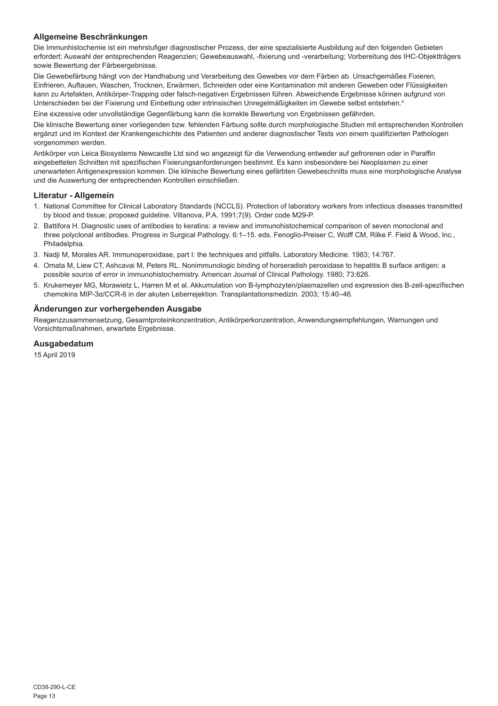## **Allgemeine Beschränkungen**

Die Immunhistochemie ist ein mehrstufiger diagnostischer Prozess, der eine spezialisierte Ausbildung auf den folgenden Gebieten erfordert: Auswahl der entsprechenden Reagenzien; Gewebeauswahl, -fixierung und -verarbeitung; Vorbereitung des IHC-Objektträgers sowie Bewertung der Färbeergebnisse.

Die Gewebefärbung hängt von der Handhabung und Verarbeitung des Gewebes vor dem Färben ab. Unsachgemäßes Fixieren, Einfrieren, Auftauen, Waschen, Trocknen, Erwärmen, Schneiden oder eine Kontamination mit anderen Geweben oder Flüssigkeiten kann zu Artefakten, Antikörper-Trapping oder falsch-negativen Ergebnissen führen. Abweichende Ergebnisse können aufgrund von Unterschieden bei der Fixierung und Einbettung oder intrinsischen Unregelmäßigkeiten im Gewebe selbst entstehen.<sup>4</sup>

Eine exzessive oder unvollständige Gegenfärbung kann die korrekte Bewertung von Ergebnissen gefährden.

Die klinische Bewertung einer vorliegenden bzw. fehlenden Färbung sollte durch morphologische Studien mit entsprechenden Kontrollen ergänzt und im Kontext der Krankengeschichte des Patienten und anderer diagnostischer Tests von einem qualifizierten Pathologen vorgenommen werden.

Antikörper von Leica Biosystems Newcastle Ltd sind wo angezeigt für die Verwendung entweder auf gefrorenen oder in Paraffin eingebetteten Schnitten mit spezifischen Fixierungsanforderungen bestimmt. Es kann insbesondere bei Neoplasmen zu einer unerwarteten Antigenexpression kommen. Die klinische Bewertung eines gefärbten Gewebeschnitts muss eine morphologische Analyse und die Auswertung der entsprechenden Kontrollen einschließen.

#### **Literatur - Allgemein**

- 1. National Committee for Clinical Laboratory Standards (NCCLS). Protection of laboratory workers from infectious diseases transmitted by blood and tissue; proposed guideline. Villanova, P.A. 1991;7(9). Order code M29-P.
- 2. Battifora H. Diagnostic uses of antibodies to keratins: a review and immunohistochemical comparison of seven monoclonal and three polyclonal antibodies. Progress in Surgical Pathology. 6:1–15. eds. Fenoglio-Preiser C, Wolff CM, Rilke F. Field & Wood, Inc., Philadelphia.
- 3. Nadji M, Morales AR. Immunoperoxidase, part I: the techniques and pitfalls. Laboratory Medicine. 1983; 14:767.
- 4. Omata M, Liew CT, Ashcavai M, Peters RL. Nonimmunologic binding of horseradish peroxidase to hepatitis B surface antigen: a possible source of error in immunohistochemistry. American Journal of Clinical Pathology. 1980; 73:626.
- 5. Krukemeyer MG, Morawietz L, Harren M et al. Akkumulation von B-lymphozyten/plasmazellen und expression des B-zell-spezifischen chemokins MIP-3α/CCR-6 in der akuten Leberrejektion. Transplantationsmedizin. 2003; 15:40–46.

#### **Änderungen zur vorhergehenden Ausgabe**

Reagenzzusammensetzung, Gesamtproteinkonzentration, Antikörperkonzentration, Anwendungsempfehlungen, Warnungen und Vorsichtsmaßnahmen, erwartete Ergebnisse.

## **Ausgabedatum**

15 April 2019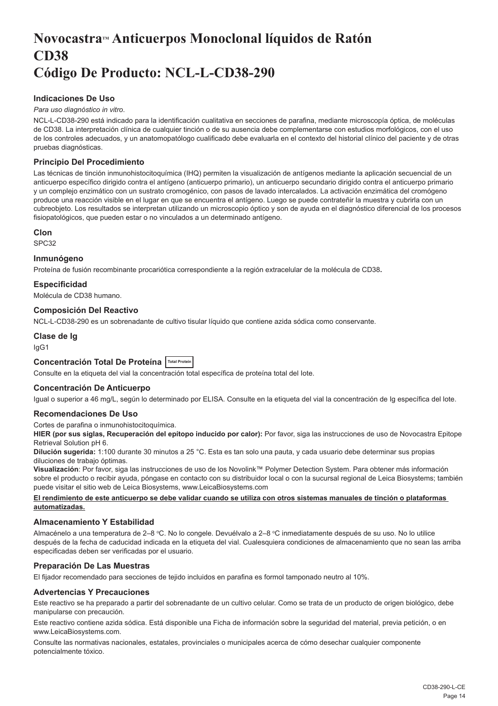# <span id="page-14-0"></span>**NovocastraTM Anticuerpos Monoclonal líquidos de Ratón CD38 Código De Producto: NCL-L-CD38-290**

## **Indicaciones De Uso**

#### *Para uso diagnóstico in vitro*.

NCL-L-CD38-290 está indicado para la identificación cualitativa en secciones de parafina, mediante microscopía óptica, de moléculas de CD38. La interpretación clínica de cualquier tinción o de su ausencia debe complementarse con estudios morfológicos, con el uso de los controles adecuados, y un anatomopatólogo cualificado debe evaluarla en el contexto del historial clínico del paciente y de otras pruebas diagnósticas.

## **Principio Del Procedimiento**

Las técnicas de tinción inmunohistocitoquímica (IHQ) permiten la visualización de antígenos mediante la aplicación secuencial de un anticuerpo específico dirigido contra el antígeno (anticuerpo primario), un anticuerpo secundario dirigido contra el anticuerpo primario y un complejo enzimático con un sustrato cromogénico, con pasos de lavado intercalados. La activación enzimática del cromógeno produce una reacción visible en el lugar en que se encuentra el antígeno. Luego se puede contrateñir la muestra y cubrirla con un cubreobjeto. Los resultados se interpretan utilizando un microscopio óptico y son de ayuda en el diagnóstico diferencial de los procesos fisiopatológicos, que pueden estar o no vinculados a un determinado antígeno.

#### **Clon**

SPC32

## **Inmunógeno**

Proteína de fusión recombinante procariótica correspondiente a la región extracelular de la molécula de CD38**.**

## **Especificidad**

Molécula de CD38 humano.

#### **Composición Del Reactivo**

NCL-L-CD38-290 es un sobrenadante de cultivo tisular líquido que contiene azida sódica como conservante.

## **Clase de Ig**

IgG1

## **Concentración Total De Proteína Total Protein**

Consulte en la etiqueta del vial la concentración total específica de proteína total del Iote.

## **Concentración De Anticuerpo**

Igual o superior a 46 mg/L, según lo determinado por ELISA. Consulte en la etiqueta del vial la concentración de Ig específica del lote.

## **Recomendaciones De Uso**

#### Cortes de parafina o inmunohistocitoquímica.

**HIER (por sus siglas, Recuperación del epítopo inducido por calor):** Por favor, siga las instrucciones de uso de Novocastra Epitope Retrieval Solution pH 6.

**Dilución sugerida:** 1:100 durante 30 minutos a 25 °C. Esta es tan solo una pauta, y cada usuario debe determinar sus propias diluciones de trabajo óptimas.

**Visualización**: Por favor, siga las instrucciones de uso de los Novolink™ Polymer Detection System. Para obtener más información sobre el producto o recibir ayuda, póngase en contacto con su distribuidor local o con la sucursal regional de Leica Biosystems; también puede visitar el sitio web de Leica Biosystems, www.LeicaBiosystems.com

#### **El rendimiento de este anticuerpo se debe validar cuando se utiliza con otros sistemas manuales de tinción o plataformas automatizadas.**

## **Almacenamiento Y Estabilidad**

Almacénelo a una temperatura de 2–8 °C. No lo congele. Devuélvalo a 2–8 °C inmediatamente después de su uso. No lo utilice después de la fecha de caducidad indicada en la etiqueta del vial. Cualesquiera condiciones de almacenamiento que no sean las arriba especificadas deben ser verificadas por el usuario.

## **Preparación De Las Muestras**

El fijador recomendado para secciones de tejido incluidos en parafina es formol tamponado neutro al 10%.

## **Advertencias Y Precauciones**

Este reactivo se ha preparado a partir del sobrenadante de un cultivo celular. Como se trata de un producto de origen biológico, debe manipularse con precaución.

Este reactivo contiene azida sódica. Está disponible una Ficha de información sobre la seguridad del material, previa petición, o en www.LeicaBiosystems.com.

Consulte las normativas nacionales, estatales, provinciales o municipales acerca de cómo desechar cualquier componente potencialmente tóxico.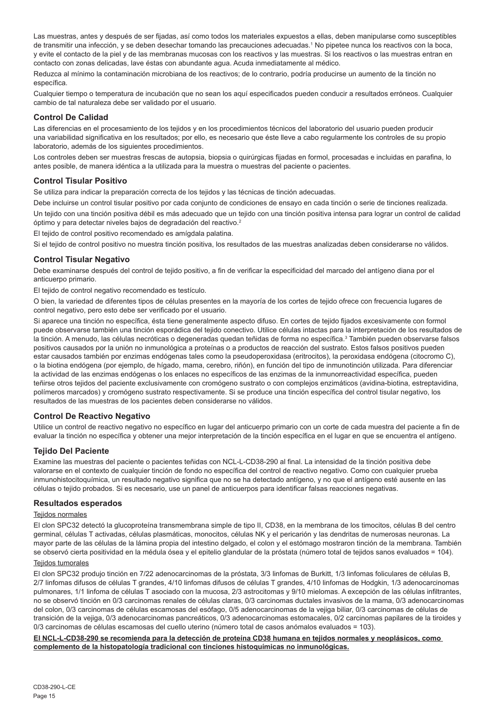Las muestras, antes y después de ser fijadas, así como todos los materiales expuestos a ellas, deben manipularse como susceptibles de transmitir una infección, y se deben desechar tomando las precauciones adecuadas.<sup>1</sup> No pipetee nunca los reactivos con la boca, y evite el contacto de la piel y de las membranas mucosas con los reactivos y las muestras. Si los reactivos o las muestras entran en contacto con zonas delicadas, lave éstas con abundante agua. Acuda inmediatamente al médico.

Reduzca al mínimo la contaminación microbiana de los reactivos; de lo contrario, podría producirse un aumento de la tinción no específica.

Cualquier tiempo o temperatura de incubación que no sean los aquí especificados pueden conducir a resultados erróneos. Cualquier cambio de tal naturaleza debe ser validado por el usuario.

#### **Control De Calidad**

Las diferencias en el procesamiento de los tejidos y en los procedimientos técnicos del laboratorio del usuario pueden producir una variabilidad significativa en los resultados; por ello, es necesario que éste lleve a cabo regularmente los controles de su propio laboratorio, además de los siguientes procedimientos.

Los controles deben ser muestras frescas de autopsia, biopsia o quirúrgicas fijadas en formol, procesadas e incluidas en parafina, lo antes posible, de manera idéntica a la utilizada para la muestra o muestras del paciente o pacientes.

## **Control Tisular Positivo**

Se utiliza para indicar la preparación correcta de los tejidos y las técnicas de tinción adecuadas.

Debe incluirse un control tisular positivo por cada conjunto de condiciones de ensayo en cada tinción o serie de tinciones realizada. Un tejido con una tinción positiva débil es más adecuado que un tejido con una tinción positiva intensa para lograr un control de calidad óptimo y para detectar niveles bajos de degradación del reactivo.<sup>2</sup>

El tejido de control positivo recomendado es amígdala palatina.

Si el tejido de control positivo no muestra tinción positiva, los resultados de las muestras analizadas deben considerarse no válidos.

## **Control Tisular Negativo**

Debe examinarse después del control de tejido positivo, a fin de verificar la especificidad del marcado del antígeno diana por el anticuerpo primario.

El tejido de control negativo recomendado es testículo.

O bien, la variedad de diferentes tipos de células presentes en la mayoría de los cortes de tejido ofrece con frecuencia lugares de control negativo, pero esto debe ser verificado por el usuario.

Si aparece una tinción no específica, ésta tiene generalmente aspecto difuso. En cortes de tejido fijados excesivamente con formol puede observarse también una tinción esporádica del tejido conectivo. Utilice células intactas para la interpretación de los resultados de la tinción. A menudo, las células necróticas o degeneradas quedan teñidas de forma no específica.<sup>3</sup> También pueden observarse falsos positivos causados por la unión no inmunológica a proteínas o a productos de reacción del sustrato. Estos falsos positivos pueden estar causados también por enzimas endógenas tales como la pseudoperoxidasa (eritrocitos), la peroxidasa endógena (citocromo C), o la biotina endógena (por ejemplo, de hígado, mama, cerebro, riñón), en función del tipo de inmunotinción utilizada. Para diferenciar la actividad de las enzimas endógenas o los enlaces no específicos de las enzimas de la inmunorreactividad específica, pueden teñirse otros tejidos del paciente exclusivamente con cromógeno sustrato o con complejos enzimáticos (avidina-biotina, estreptavidina, polímeros marcados) y cromógeno sustrato respectivamente. Si se produce una tinción específica del control tisular negativo, los resultados de las muestras de los pacientes deben considerarse no válidos.

#### **Control De Reactivo Negativo**

Utilice un control de reactivo negativo no específico en lugar del anticuerpo primario con un corte de cada muestra del paciente a fin de evaluar la tinción no específica y obtener una mejor interpretación de la tinción específica en el lugar en que se encuentra el antígeno.

## **Tejido Del Paciente**

Examine las muestras del paciente o pacientes teñidas con NCL-L-CD38-290 al final. La intensidad de la tinción positiva debe valorarse en el contexto de cualquier tinción de fondo no específica del control de reactivo negativo. Como con cualquier prueba inmunohistocitoquímica, un resultado negativo significa que no se ha detectado antígeno, y no que el antígeno esté ausente en las células o tejido probados. Si es necesario, use un panel de anticuerpos para identificar falsas reacciones negativas.

#### **Resultados esperados**

#### Teiidos normales

El clon SPC32 detectó la glucoproteína transmembrana simple de tipo II, CD38, en la membrana de los timocitos, células B del centro germinal, células T activadas, células plasmáticas, monocitos, células NK y el pericarión y las dendritas de numerosas neuronas. La mayor parte de las células de la lámina propia del intestino delgado, el colon y el estómago mostraron tinción de la membrana. También se observó cierta positividad en la médula ósea y el epitelio glandular de la próstata (número total de tejidos sanos evaluados = 104).

## Tejidos tumorales

El clon SPC32 produjo tinción en 7/22 adenocarcinomas de la próstata, 3/3 linfomas de Burkitt, 1/3 linfomas foliculares de células B, 2/7 linfomas difusos de células T grandes, 4/10 linfomas difusos de células T grandes, 4/10 linfomas de Hodgkin, 1/3 adenocarcinomas pulmonares, 1/1 linfoma de células T asociado con la mucosa, 2/3 astrocitomas y 9/10 mielomas. A excepción de las células infiltrantes, no se observó tinción en 0/3 carcinomas renales de células claras, 0/3 carcinomas ductales invasivos de la mama, 0/3 adenocarcinomas del colon, 0/3 carcinomas de células escamosas del esófago, 0/5 adenocarcinomas de la vejiga biliar, 0/3 carcinomas de células de transición de la vejiga, 0/3 adenocarcinomas pancreáticos, 0/3 adenocarcinomas estomacales, 0/2 carcinomas papilares de la tiroides y 0/3 carcinomas de células escamosas del cuello uterino (número total de casos anómalos evaluados = 103).

**El NCL-L-CD38-290 se recomienda para la detección de proteína CD38 humana en tejidos normales y neoplásicos, como complemento de la histopatología tradicional con tinciones histoquímicas no inmunológicas.**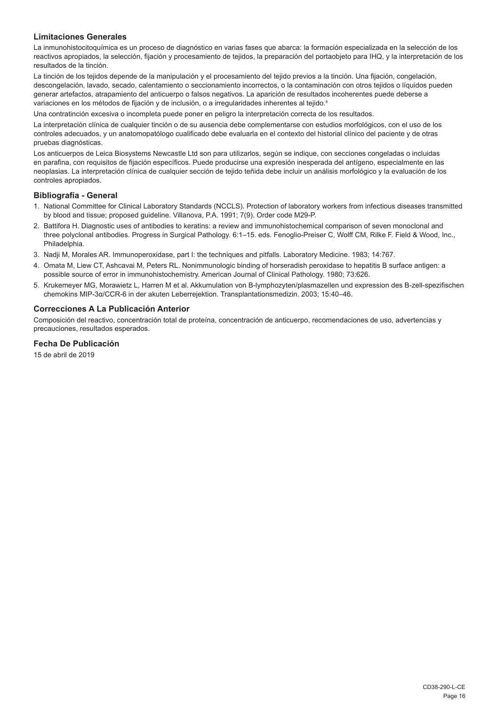## **Limitaciones Generales**

La inmunohistocitoquímica es un proceso de diagnóstico en varias fases que abarca: la formación especializada en la selección de los reactivos apropiados, la selección, fijación y procesamiento de tejidos, la preparación del portaobjeto para IHQ, y la interpretación de los resultados de la tinción.

La tinción de los tejidos depende de la manipulación y el procesamiento del tejido previos a la tinción. Una fijación, congelación, descongelación, lavado, secado, calentamiento o seccionamiento incorrectos, o la contaminación con otros tejidos o líquidos pueden generar artefactos, atrapamiento del anticuerpo o falsos negativos. La aparición de resultados incoherentes puede deberse a variaciones en los métodos de fijación y de inclusión, o a irregularidades inherentes al tejido.<sup>4</sup>

Una contratinción excesiva o incompleta puede poner en peligro la interpretación correcta de los resultados.

La interpretación clínica de cualquier tinción o de su ausencia debe complementarse con estudios morfológicos, con el uso de los controles adecuados, y un anatomopatólogo cualificado debe evaluarla en el contexto del historial clínico del paciente y de otras pruebas diagnósticas.

Los anticuerpos de Leica Biosystems Newcastle Ltd son para utilizarlos, según se indique, con secciones congeladas o incluidas en parafina, con requisitos de fijación específicos. Puede producirse una expresión inesperada del antígeno, especialmente en las neoplasias. La interpretación clínica de cualquier sección de tejido teñida debe incluir un análisis morfológico y la evaluación de los controles apropiados.

#### **Bibliografía - General**

- 1. National Committee for Clinical Laboratory Standards (NCCLS). Protection of laboratory workers from infectious diseases transmitted by blood and tissue; proposed guideline. Villanova, P.A. 1991; 7(9). Order code M29-P.
- 2. Battifora H. Diagnostic uses of antibodies to keratins: a review and immunohistochemical comparison of seven monoclonal and three polyclonal antibodies. Progress in Surgical Pathology. 6:1–15. eds. Fenoglio-Preiser C, Wolff CM, Rilke F. Field & Wood, Inc., Philadelphia.
- 3. Nadji M, Morales AR. Immunoperoxidase, part I: the techniques and pitfalls. Laboratory Medicine. 1983; 14:767.
- 4. Omata M, Liew CT, Ashcavai M, Peters RL. Nonimmunologic binding of horseradish peroxidase to hepatitis B surface antigen: a possible source of error in immunohistochemistry. American Journal of Clinical Pathology. 1980; 73:626.
- 5. Krukemeyer MG, Morawietz L, Harren M et al. Akkumulation von B-lymphozyten/plasmazellen und expression des B-zell-spezifischen chemokins MIP-3α/CCR-6 in der akuten Leberrejektion. Transplantationsmedizin. 2003; 15:40–46.

#### **Correcciones A La Publicación Anterior**

Composición del reactivo, concentración total de proteína, concentración de anticuerpo, recomendaciones de uso, advertencias y precauciones, resultados esperados.

## **Fecha De Publicación**

15 de abril de 2019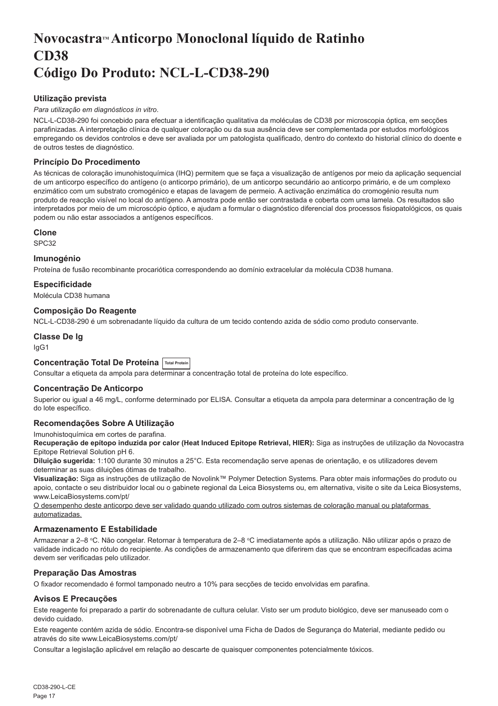# <span id="page-17-0"></span>**NovocastraTM Anticorpo Monoclonal líquido de Ratinho CD38 Código Do Produto: NCL-L-CD38-290**

## **Utilização prevista**

#### *Para utilização em diagnósticos in vitro*.

NCL-L-CD38-290 foi concebido para efectuar a identificação qualitativa da moléculas de CD38 por microscopia óptica, em secções parafinizadas. A interpretação clínica de qualquer coloração ou da sua ausência deve ser complementada por estudos morfológicos empregando os devidos controlos e deve ser avaliada por um patologista qualificado, dentro do contexto do historial clínico do doente e de outros testes de diagnóstico.

## **Princípio Do Procedimento**

As técnicas de coloração imunohistoquímica (IHQ) permitem que se faça a visualização de antígenos por meio da aplicação sequencial de um anticorpo específico do antígeno (o anticorpo primário), de um anticorpo secundário ao anticorpo primário, e de um complexo enzimático com um substrato cromogénico e etapas de lavagem de permeio. A activação enzimática do cromogénio resulta num produto de reacção visível no local do antígeno. A amostra pode então ser contrastada e coberta com uma lamela. Os resultados são interpretados por meio de um microscópio óptico, e ajudam a formular o diagnóstico diferencial dos processos fisiopatológicos, os quais podem ou não estar associados a antígenos específicos.

#### **Clone**

SPC32

## **Imunogénio**

Proteína de fusão recombinante procariótica correspondendo ao domínio extracelular da molécula CD38 humana.

## **Especificidade**

Molécula CD38 humana

## **Composição Do Reagente**

NCL-L-CD38-290 é um sobrenadante líquido da cultura de um tecido contendo azida de sódio como produto conservante.

## **Classe De Ig**

IgG1

## **Concentração Total De Proteína Total Protein**

Consultar a etiqueta da ampola para determinar a concentração total de proteína do lote específico.

## **Concentração De Anticorpo**

Superior ou igual a 46 mg/L, conforme determinado por ELISA. Consultar a etiqueta da ampola para determinar a concentração de Ig do lote específico.

## **Recomendações Sobre A Utilização**

Imunohistoquímica em cortes de parafina.

**Recuperação de epítopo induzida por calor (Heat Induced Epitope Retrieval, HIER):** Siga as instruções de utilização da Novocastra Epitope Retrieval Solution pH 6.

**Diluição sugerida:** 1:100 durante 30 minutos a 25°C. Esta recomendação serve apenas de orientação, e os utilizadores devem determinar as suas diluições ótimas de trabalho.

**Visualização:** Siga as instruções de utilização de Novolink™ Polymer Detection Systems. Para obter mais informações do produto ou apoio, contacte o seu distribuidor local ou o gabinete regional da Leica Biosystems ou, em alternativa, visite o site da Leica Biosystems, www.LeicaBiosystems.com/pt/

O desempenho deste anticorpo deve ser validado quando utilizado com outros sistemas de coloração manual ou plataformas automatizadas.

#### **Armazenamento E Estabilidade**

Armazenar a 2–8 °C. Não congelar. Retornar à temperatura de 2–8 °C imediatamente após a utilização. Não utilizar após o prazo de validade indicado no rótulo do recipiente. As condições de armazenamento que diferirem das que se encontram especificadas acima devem ser verificadas pelo utilizador.

#### **Preparação Das Amostras**

O fixador recomendado é formol tamponado neutro a 10% para secções de tecido envolvidas em parafina.

## **Avisos E Precauções**

Este reagente foi preparado a partir do sobrenadante de cultura celular. Visto ser um produto biológico, deve ser manuseado com o devido cuidado.

Este reagente contém azida de sódio. Encontra-se disponível uma Ficha de Dados de Segurança do Material, mediante pedido ou através do site www.LeicaBiosystems.com/pt/

Consultar a legislação aplicável em relação ao descarte de quaisquer componentes potencialmente tóxicos.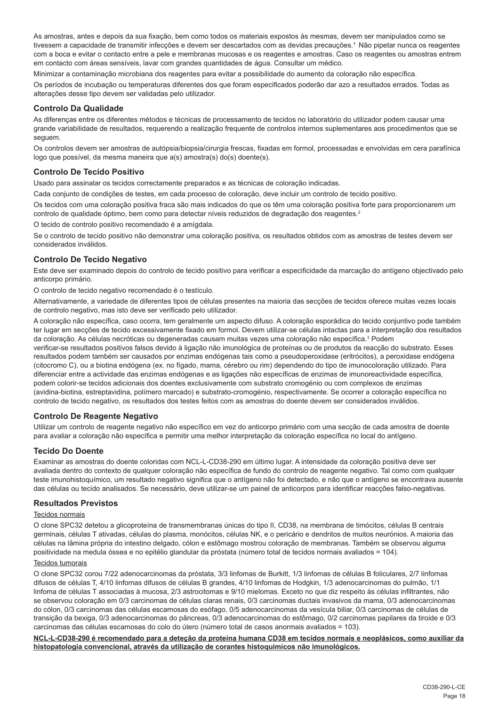As amostras, antes e depois da sua fixação, bem como todos os materiais expostos às mesmas, devem ser manipulados como se tivessem a capacidade de transmitir infecções e devem ser descartados com as devidas precauções.<sup>1</sup> Não pipetar nunca os reagentes com a boca e evitar o contacto entre a pele e membranas mucosas e os reagentes e amostras. Caso os reagentes ou amostras entrem em contacto com áreas sensíveis, lavar com grandes quantidades de água. Consultar um médico.

Minimizar a contaminação microbiana dos reagentes para evitar a possibilidade do aumento da coloração não específica.

Os períodos de incubação ou temperaturas diferentes dos que foram especificados poderão dar azo a resultados errados. Todas as alterações desse tipo devem ser validadas pelo utilizador.

## **Controlo Da Qualidade**

As diferenças entre os diferentes métodos e técnicas de processamento de tecidos no laboratório do utilizador podem causar uma grande variabilidade de resultados, requerendo a realização frequente de controlos internos suplementares aos procedimentos que se seguem.

Os controlos devem ser amostras de autópsia/biopsia/cirurgia frescas, fixadas em formol, processadas e envolvidas em cera parafínica logo que possível, da mesma maneira que a(s) amostra(s) do(s) doente(s).

#### **Controlo De Tecido Positivo**

Usado para assinalar os tecidos correctamente preparados e as técnicas de coloração indicadas.

Cada conjunto de condições de testes, em cada processo de coloração, deve incluir um controlo de tecido positivo.

Os tecidos com uma coloração positiva fraca são mais indicados do que os têm uma coloração positiva forte para proporcionarem um controlo de qualidade óptimo, bem como para detectar níveis reduzidos de degradação dos reagentes.<sup>2</sup>

O tecido de controlo positivo recomendado é a amígdala.

Se o controlo de tecido positivo não demonstrar uma coloração positiva, os resultados obtidos com as amostras de testes devem ser considerados inválidos.

## **Controlo De Tecido Negativo**

Este deve ser examinado depois do controlo de tecido positivo para verificar a especificidade da marcação do antígeno objectivado pelo anticorpo primário.

O controlo de tecido negativo recomendado é o testículo.

Alternativamente, a variedade de diferentes tipos de células presentes na maioria das secções de tecidos oferece muitas vezes locais de controlo negativo, mas isto deve ser verificado pelo utilizador.

A coloração não específica, caso ocorra, tem geralmente um aspecto difuso. A coloração esporádica do tecido conjuntivo pode também ter lugar em secções de tecido excessivamente fixado em formol. Devem utilizar-se células intactas para a interpretação dos resultados da coloração. As células necróticas ou degeneradas causam muitas vezes uma coloração não específica.<sup>3</sup> Podem

verificar-se resultados positivos falsos devido à ligação não imunológica de proteínas ou de produtos da reacção do substrato. Esses resultados podem também ser causados por enzimas endógenas tais como a pseudoperoxidase (eritrócitos), a peroxidase endógena (citocromo C), ou a biotina endógena (ex. no fígado, mama, cérebro ou rim) dependendo do tipo de imunocoloração utilizado. Para diferenciar entre a actividade das enzimas endógenas e as ligações não específicas de enzimas de imunoreactividade específica, podem colorir-se tecidos adicionais dos doentes exclusivamente com substrato cromogénio ou com complexos de enzimas (avidina-biotina, estreptavidina, polímero marcado) e substrato-cromogénio, respectivamente. Se ocorrer a coloração específica no controlo de tecido negativo, os resultados dos testes feitos com as amostras do doente devem ser considerados inválidos.

## **Controlo De Reagente Negativo**

Utilizar um controlo de reagente negativo não específico em vez do anticorpo primário com uma secção de cada amostra de doente para avaliar a coloração não específica e permitir uma melhor interpretação da coloração específica no local do antígeno.

## **Tecido Do Doente**

Examinar as amostras do doente coloridas com NCL-L-CD38-290 em último lugar. A intensidade da coloração positiva deve ser avaliada dentro do contexto de qualquer coloração não específica de fundo do controlo de reagente negativo. Tal como com qualquer teste imunohistoquímico, um resultado negativo significa que o antígeno não foi detectado, e não que o antígeno se encontrava ausente das células ou tecido analisados. Se necessário, deve utilizar-se um painel de anticorpos para identificar reacções falso-negativas.

#### **Resultados Previstos**

#### Tecidos normais

O clone SPC32 detetou a glicoproteína de transmembranas únicas do tipo II, CD38, na membrana de timócitos, células B centrais germinais, células T ativadas, células do plasma, monócitos, células NK, e o pericário e dendritos de muitos neurónios. A maioria das células na lâmina própria do intestino delgado, cólon e estômago mostrou coloração de membranas. Também se observou alguma positividade na medula óssea e no epitélio glandular da próstata (número total de tecidos normais avaliados = 104).

## Tecidos tumorais

O clone SPC32 corou 7/22 adenocarcinomas da próstata, 3/3 linfomas de Burkitt, 1/3 linfomas de células B foliculares, 2/7 linfomas difusos de células T, 4/10 linfomas difusos de células B grandes, 4/10 linfomas de Hodgkin, 1/3 adenocarcinomas do pulmão, 1/1 linfoma de células T associadas à mucosa, 2/3 astrocitomas e 9/10 mielomas. Exceto no que diz respeito às células infiltrantes, não se observou coloração em 0/3 carcinomas de células claras renais, 0/3 carcinomas ductais invasivos da mama, 0/3 adenocarcinomas do cólon, 0/3 carcinomas das células escamosas do esófago, 0/5 adenocarcinomas da vesícula biliar, 0/3 carcinomas de células de transição da bexiga, 0/3 adenocarcinomas do pâncreas, 0/3 adenocarcinomas do estômago, 0/2 carcinomas papilares da tiroide e 0/3 carcinomas das células escamosas do colo do útero (número total de casos anormais avaliados = 103).

**NCL-L-CD38-290 é recomendado para a deteção da proteína humana CD38 em tecidos normais e neoplásicos, como auxiliar da histopatologia convencional, através da utilização de corantes histoquímicos não imunológicos.**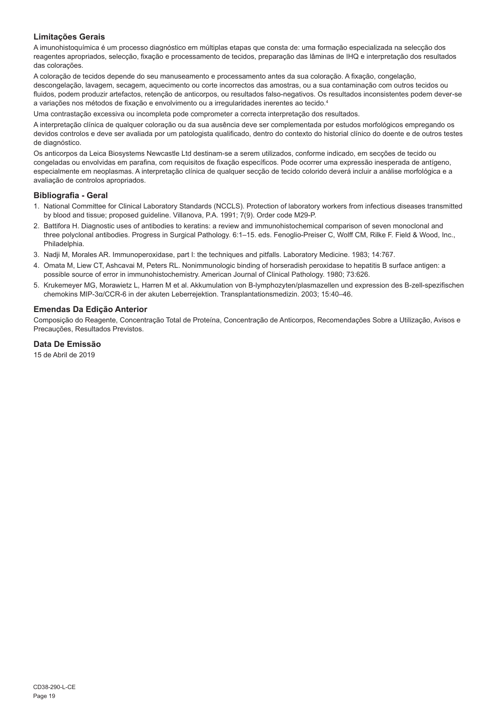## **Limitações Gerais**

A imunohistoquímica é um processo diagnóstico em múltiplas etapas que consta de: uma formação especializada na selecção dos reagentes apropriados, selecção, fixação e processamento de tecidos, preparação das lâminas de IHQ e interpretação dos resultados das colorações.

A coloração de tecidos depende do seu manuseamento e processamento antes da sua coloração. A fixação, congelação, descongelação, lavagem, secagem, aquecimento ou corte incorrectos das amostras, ou a sua contaminação com outros tecidos ou fluidos, podem produzir artefactos, retenção de anticorpos, ou resultados falso-negativos. Os resultados inconsistentes podem dever-se a variações nos métodos de fixação e envolvimento ou a irregularidades inerentes ao tecido.<sup>4</sup>

Uma contrastação excessiva ou incompleta pode comprometer a correcta interpretação dos resultados.

A interpretação clínica de qualquer coloração ou da sua ausência deve ser complementada por estudos morfológicos empregando os devidos controlos e deve ser avaliada por um patologista qualificado, dentro do contexto do historial clínico do doente e de outros testes de diagnóstico.

Os anticorpos da Leica Biosystems Newcastle Ltd destinam-se a serem utilizados, conforme indicado, em secções de tecido ou congeladas ou envolvidas em parafina, com requisitos de fixação específicos. Pode ocorrer uma expressão inesperada de antígeno, especialmente em neoplasmas. A interpretação clínica de qualquer secção de tecido colorido deverá incluir a análise morfológica e a avaliação de controlos apropriados.

#### **Bibliografia - Geral**

- 1. National Committee for Clinical Laboratory Standards (NCCLS). Protection of laboratory workers from infectious diseases transmitted by blood and tissue; proposed guideline. Villanova, P.A. 1991; 7(9). Order code M29-P.
- 2. Battifora H. Diagnostic uses of antibodies to keratins: a review and immunohistochemical comparison of seven monoclonal and three polyclonal antibodies. Progress in Surgical Pathology. 6:1–15. eds. Fenoglio-Preiser C, Wolff CM, Rilke F. Field & Wood, Inc., Philadelphia.
- 3. Nadji M, Morales AR. Immunoperoxidase, part I: the techniques and pitfalls. Laboratory Medicine. 1983; 14:767.
- 4. Omata M, Liew CT, Ashcavai M, Peters RL. Nonimmunologic binding of horseradish peroxidase to hepatitis B surface antigen: a possible source of error in immunohistochemistry. American Journal of Clinical Pathology. 1980; 73:626.
- 5. Krukemeyer MG, Morawietz L, Harren M et al. Akkumulation von B-lymphozyten/plasmazellen und expression des B-zell-spezifischen chemokins MIP-3α/CCR-6 in der akuten Leberrejektion. Transplantationsmedizin. 2003; 15:40–46.

#### **Emendas Da Edição Anterior**

Composição do Reagente, Concentração Total de Proteína, Concentração de Anticorpos, Recomendações Sobre a Utilização, Avisos e Precauções, Resultados Previstos.

## **Data De Emissão**

15 de Abril de 2019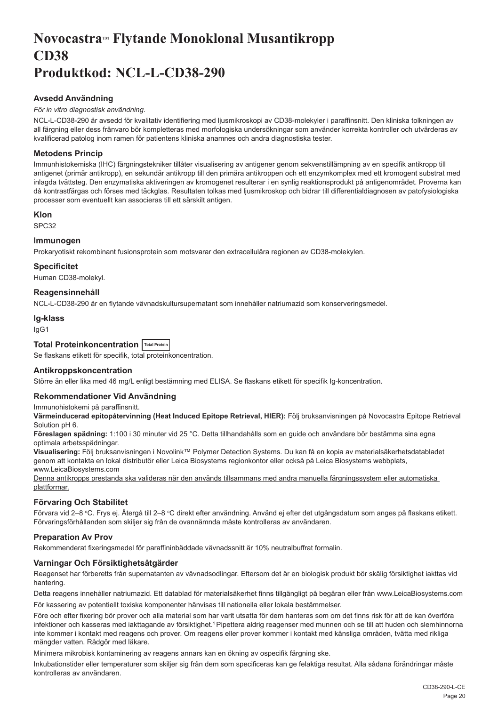# <span id="page-20-0"></span>Novocastra™ Flytande Monoklonal Musantikropp **CD38 Produktkod: NCL-L-CD38-290**

## **Avsedd Användning**

#### *För in vitro diagnostisk användning*.

NCL-L-CD38-290 är avsedd för kvalitativ identifiering med ljusmikroskopi av CD38-molekyler i paraffinsnitt. Den kliniska tolkningen av all färgning eller dess frånvaro bör kompletteras med morfologiska undersökningar som använder korrekta kontroller och utvärderas av kvalificerad patolog inom ramen för patientens kliniska anamnes och andra diagnostiska tester.

## **Metodens Princip**

Immunhistokemiska (IHC) färgningstekniker tillåter visualisering av antigener genom sekvenstillämpning av en specifik antikropp till antigenet (primär antikropp), en sekundär antikropp till den primära antikroppen och ett enzymkomplex med ett kromogent substrat med inlagda tvättsteg. Den enzymatiska aktiveringen av kromogenet resulterar i en synlig reaktionsprodukt på antigenområdet. Proverna kan då kontrastfärgas och förses med täckglas. Resultaten tolkas med ljusmikroskop och bidrar till differentialdiagnosen av patofysiologiska processer som eventuellt kan associeras till ett särskilt antigen.

## **Klon**

SPC32

## **Immunogen**

Prokaryotiskt rekombinant fusionsprotein som motsvarar den extracellulära regionen av CD38-molekylen.

## **Specificitet**

Human CD38-molekyl.

## **Reagensinnehåll**

NCL-L-CD38-290 är en flytande vävnadskultursupernatant som innehåller natriumazid som konserveringsmedel.

#### **Ig-klass**

IgG1

## **Total Proteinkoncentration Total Protein**

Se flaskans etikett för specifik, total proteinkoncentration.

## **Antikroppskoncentration**

Större än eller lika med 46 mg/L enligt bestämning med ELISA. Se flaskans etikett för specifik Ig-koncentration.

#### **Rekommendationer Vid Användning**

Immunohistokemi på paraffinsnitt.

**Värmeinducerad epitopåtervinning (Heat Induced Epitope Retrieval, HIER):** Följ bruksanvisningen på Novocastra Epitope Retrieval Solution pH 6.

**Föreslagen spädning:** 1:100 i 30 minuter vid 25 °C. Detta tillhandahålls som en guide och användare bör bestämma sina egna optimala arbetsspädningar.

**Visualisering:** Följ bruksanvisningen i Novolink™ Polymer Detection Systems. Du kan få en kopia av materialsäkerhetsdatabladet genom att kontakta en lokal distributör eller Leica Biosystems regionkontor eller också på Leica Biosystems webbplats, www.LeicaBiosystems.com

Denna antikropps prestanda ska valideras när den används tillsammans med andra manuella färgningssystem eller automatiska plattformar.

## **Förvaring Och Stabilitet**

Förvara vid 2–8 °C. Frys ej. Atergå till 2–8 °C direkt efter användning. Använd ej efter det utgångsdatum som anges på flaskans etikett. Förvaringsförhållanden som skiljer sig från de ovannämnda måste kontrolleras av användaren.

## **Preparation Av Prov**

Rekommenderat fixeringsmedel för paraffininbäddade vävnadssnitt är 10% neutralbuffrat formalin.

## **Varningar Och Försiktighetsåtgärder**

Reagenset har förberetts från supernatanten av vävnadsodlingar. Eftersom det är en biologisk produkt bör skälig försiktighet iakttas vid hantering.

Detta reagens innehåller natriumazid. Ett datablad för materialsäkerhet finns tillgängligt på begäran eller från www.LeicaBiosystems.com För kassering av potentiellt toxiska komponenter hänvisas till nationella eller lokala bestämmelser.

Före och efter fixering bör prover och alla material som har varit utsatta för dem hanteras som om det finns risk för att de kan överföra infektioner och kasseras med iakttagande av försiktighet.<sup>1</sup> Pipettera aldrig reagenser med munnen och se till att huden och slemhinnorna inte kommer i kontakt med reagens och prover. Om reagens eller prover kommer i kontakt med känsliga områden, tvätta med rikliga mängder vatten. Rådgör med läkare.

Minimera mikrobisk kontaminering av reagens annars kan en ökning av ospecifik färgning ske.

Inkubationstider eller temperaturer som skiljer sig från dem som specificeras kan ge felaktiga resultat. Alla sådana förändringar måste kontrolleras av användaren.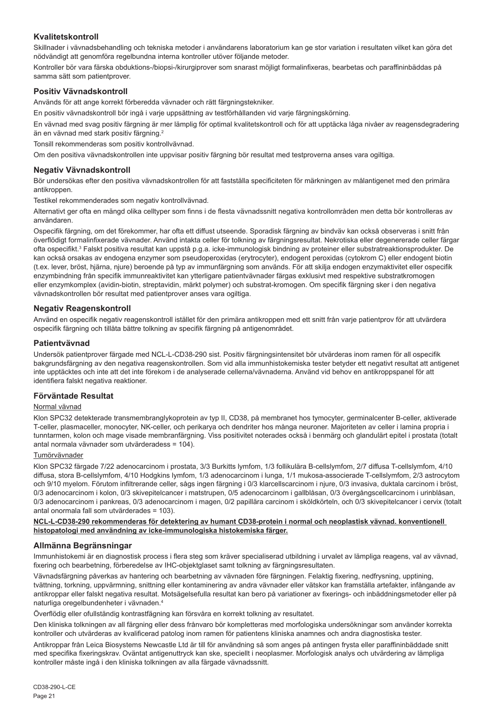## **Kvalitetskontroll**

Skillnader i vävnadsbehandling och tekniska metoder i användarens laboratorium kan ge stor variation i resultaten vilket kan göra det nödvändigt att genomföra regelbundna interna kontroller utöver följande metoder.

Kontroller bör vara färska obduktions-/biopsi-/kirurgiprover som snarast möjligt formalinfixeras, bearbetas och paraffininbäddas på samma sätt som patientprover.

## **Positiv Vävnadskontroll**

Används för att ange korrekt förberedda vävnader och rätt färgningstekniker.

En positiv vävnadskontroll bör ingå i varje uppsättning av testförhållanden vid varje färgningskörning.

En vävnad med svag positiv färgning är mer lämplig för optimal kvalitetskontroll och för att upptäcka låga nivåer av reagensdegradering än en vävnad med stark positiv färgning.<sup>2</sup>

Tonsill rekommenderas som positiv kontrollvävnad.

Om den positiva vävnadskontrollen inte uppvisar positiv färgning bör resultat med testproverna anses vara ogiltiga.

#### **Negativ Vävnadskontroll**

Bör undersökas efter den positiva vävnadskontrollen för att fastställa specificiteten för märkningen av målantigenet med den primära antikroppen.

Testikel rekommenderades som negativ kontrollvävnad.

Alternativt ger ofta en mängd olika celltyper som finns i de flesta vävnadssnitt negativa kontrollområden men detta bör kontrolleras av användaren.

Ospecifik färgning, om det förekommer, har ofta ett diffust utseende. Sporadisk färgning av bindväv kan också observeras i snitt från överflödigt formalinfixerade vävnader. Använd intakta celler för tolkning av färgningsresultat. Nekrotiska eller degenererade celler färgar ofta ospecifikt.<sup>3</sup> Falskt positiva resultat kan uppstå p.g.a. icke-immunologisk bindning av proteiner eller substratreaktionsprodukter. De kan också orsakas av endogena enzymer som pseudoperoxidas (erytrocyter), endogent peroxidas (cytokrom C) eller endogent biotin (t.ex. lever, bröst, hjärna, njure) beroende på typ av immunfärgning som används. För att skilja endogen enzymaktivitet eller ospecifik enzymbindning från specifik immunreaktivitet kan ytterligare patientvävnader färgas exklusivt med respektive substratkromogen eller enzymkomplex (avidin-biotin, streptavidin, märkt polymer) och substrat-kromogen. Om specifik färgning sker i den negativa vävnadskontrollen bör resultat med patientprover anses vara ogiltiga.

#### **Negativ Reagenskontroll**

Använd en ospecifik negativ reagenskontroll istället för den primära antikroppen med ett snitt från varje patientprov för att utvärdera ospecifik färgning och tillåta bättre tolkning av specifik färgning på antigenområdet.

#### **Patientvävnad**

Undersök patientprover färgade med NCL-L-CD38-290 sist. Positiv färgningsintensitet bör utvärderas inom ramen för all ospecifik bakgrundsfärgning av den negativa reagenskontrollen. Som vid alla immunhistokemiska tester betyder ett negativt resultat att antigenet inte upptäcktes och inte att det inte förekom i de analyserade cellerna/vävnaderna. Använd vid behov en antikroppspanel för att identifiera falskt negativa reaktioner.

#### **Förväntade Resultat**

#### Normal vävnad

Klon SPC32 detekterade transmembranglykoprotein av typ II, CD38, på membranet hos tymocyter, germinalcenter B-celler, aktiverade T-celler, plasmaceller, monocyter, NK-celler, och perikarya och dendriter hos många neuroner. Majoriteten av celler i lamina propria i tunntarmen, kolon och mage visade membranfärgning. Viss positivitet noterades också i benmärg och glandulärt epitel i prostata (totalt antal normala vävnader som utvärderadess = 104).

#### Tumörvävnader

Klon SPC32 färgade 7/22 adenocarcinom i prostata, 3/3 Burkitts lymfom, 1/3 follikulära B-cellslymfom, 2/7 diffusa T-cellslymfom, 4/10 diffusa, stora B-cellslymfom, 4/10 Hodgkins lymfom, 1/3 adenocarcinom i lunga, 1/1 mukosa-associerade T-cellslymfom, 2/3 astrocytom och 9/10 myelom. Förutom infiltrerande celler, sågs ingen färgning i 0/3 klarcellscarcinom i njure, 0/3 invasiva, duktala carcinom i bröst, 0/3 adenocarcinom i kolon, 0/3 skivepitelcancer i matstrupen, 0/5 adenocarcinom i gallblåsan, 0/3 övergångscellcarcinom i urinblåsan, 0/3 adenocarcinom i pankreas, 0/3 adenocarcinom i magen, 0/2 papillära carcinom i sköldkörteln, och 0/3 skivepitelcancer i cervix (totalt antal onormala fall som utvärderades = 103).

#### **NCL-L-CD38-290 rekommenderas för detektering av humant CD38-protein i normal och neoplastisk vävnad. konventionell histopatologi med användning av icke-immunologiska histokemiska färger.**

## **Allmänna Begränsningar**

Immunhistokemi är en diagnostisk process i flera steg som kräver specialiserad utbildning i urvalet av lämpliga reagens, val av vävnad, fixering och bearbetning, förberedelse av IHC-objektglaset samt tolkning av färgningsresultaten.

Vävnadsfärgning påverkas av hantering och bearbetning av vävnaden före färgningen. Felaktig fixering, nedfrysning, upptining, tvättning, torkning, uppvärmning, snittning eller kontaminering av andra vävnader eller vätskor kan framställa artefakter, infångande av antikroppar eller falskt negativa resultat. Motsägelsefulla resultat kan bero på variationer av fixerings- och inbäddningsmetoder eller på naturliga oregelbundenheter i vävnaden.<sup>4</sup>

Överflödig eller ofullständig kontrastfägning kan försvåra en korrekt tolkning av resultatet.

Den kliniska tolkningen av all färgning eller dess frånvaro bör kompletteras med morfologiska undersökningar som använder korrekta kontroller och utvärderas av kvalificerad patolog inom ramen för patientens kliniska anamnes och andra diagnostiska tester.

Antikroppar från Leica Biosystems Newcastle Ltd är till för användning så som anges på antingen frysta eller paraffininbäddade snitt med specifika fixeringskrav. Oväntat antigenuttryck kan ske, speciellt i neoplasmer. Morfologisk analys och utvärdering av lämpliga kontroller måste ingå i den kliniska tolkningen av alla färgade vävnadssnitt.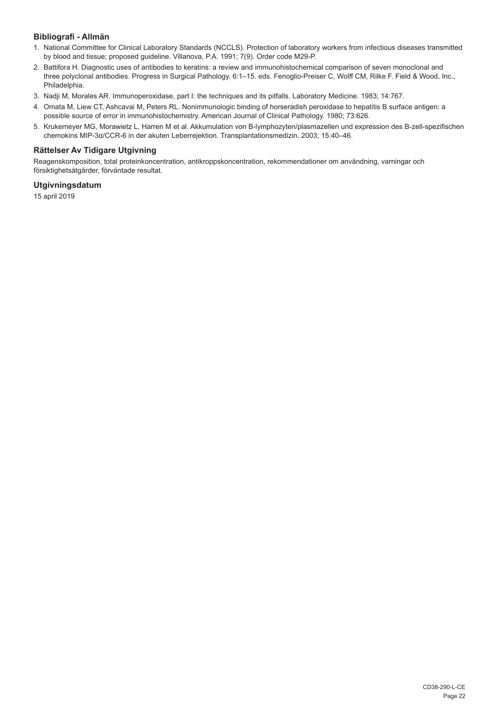## **Bibliografi - Allmän**

- 1. National Committee for Clinical Laboratory Standards (NCCLS). Protection of laboratory workers from infectious diseases transmitted by blood and tissue; proposed guideline. Villanova, P.A. 1991; 7(9). Order code M29-P.
- 2. Battifora H. Diagnostic uses of antibodies to keratins: a review and immunohistochemical comparison of seven monoclonal and three polyclonal antibodies. Progress in Surgical Pathology. 6:1–15. eds. Fenoglio-Preiser C, Wolff CM, Rilke F. Field & Wood, Inc., Philadelphia.
- 3. Nadji M, Morales AR. Immunoperoxidase, part I: the techniques and its pitfalls. Laboratory Medicine. 1983; 14:767.
- 4. Omata M, Liew CT, Ashcavai M, Peters RL. Nonimmunologic binding of horseradish peroxidase to hepatitis B surface antigen: a possible source of error in immunohistochemistry. American Journal of Clinical Pathology. 1980; 73:626.
- 5. Krukemeyer MG, Morawietz L, Harren M et al. Akkumulation von B-lymphozyten/plasmazellen und expression des B-zell-spezifischen chemokins MIP-3α/CCR-6 in der akuten Leberrejektion. Transplantationsmedizin. 2003; 15:40–46.

## **Rättelser Av Tidigare Utgivning**

Reagenskomposition, total proteinkoncentration, antikroppskoncentration, rekommendationer om användning, varningar och försiktighetsåtgärder, förväntade resultat.

#### **Utgivningsdatum**

15 april 2019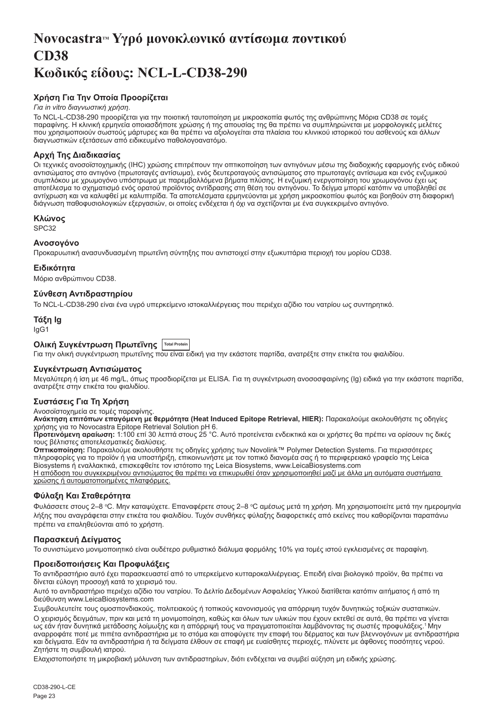# <span id="page-23-0"></span>**NovocastraTM Υγρό μονοκλωνικό αντίσωμα ποντικού CD38 Κωδικός είδους: NCL-L-CD38-290**

## **Χρήση Για Την Οποία Προορίζεται**

#### *Για in vitro διαγνωστική χρήση*.

Το NCL-L-CD38-290 προορίζεται για την ποιοτική ταυτοποίηση με μικροσκοπία φωτός της ανθρώπινης Μόρια CD38 σε τομές παραφίνης. Η κλινική ερμηνεία οποιασδήποτε χρώσης ή της απουσίας της θα πρέπει να συμπληρώνεται με μορφολογικές μελέτες που χρησιμοποιούν σωστούς μάρτυρες και θα πρέπει να αξιολογείται στα πλαίσια του κλινικού ιστορικού του ασθενούς και άλλων διαγνωστικών εξετάσεων από ειδικευμένο παθολογοανατόμο.

## **Αρχή Της Διαδικασίας**

Οι τεχνικές ανοσοϊστοχημικής (IHC) χρώσης επιτρέπουν την οπτικοποίηση των αντιγόνων μέσω της διαδοχικής εφαρμογής ενός ειδικού αντισώματος στο αντιγόνο (πρωτοταγές αντίσωμα), ενός δευτεροταγούς αντισώματος στο πρωτοταγές αντίσωμα και ενός ενζυμικού συμπλόκου με χρωμογόνο υπόστρωμα με παρεμβαλλόμενα βήματα πλύσης. Η ενζυμική ενεργοποίηση του χρωμογόνου έχει ως αποτέλεσμα το σχηματισμό ενός ορατού προϊόντος αντίδρασης στη θέση του αντιγόνου. Το δείγμα μπορεί κατόπιν να υποβληθεί σε αντίχρωση και να καλυφθεί με καλυπτρίδα. Τα αποτελέσματα ερμηνεύονται με χρήση μικροσκοπίου φωτός και βοηθούν στη διαφορική διάγνωση παθοφυσιολογικών εξεργασιών, οι οποίες ενδέχεται ή όχι να σχετίζονται με ένα συγκεκριμένο αντιγόνο.

#### **Κλώνος**

SPC32

#### **Ανοσογόνο**

Προκαρυωτική ανασυνδυασμένη πρωτεΐνη σύντηξης που αντιστοιχεί στην εξωκυττάρια περιοχή του μορίου CD38.

#### **Ειδικότητα**

Μόριο ανθρώπινου CD38.

## **Σύνθεση Αντιδραστηρίου**

Το NCL-L-CD38-290 είναι ένα υγρό υπερκείμενο ιστοκαλλιέργειας που περιέχει αζίδιο του νατρίου ως συντηρητικό.

## **Τάξη Ig**

IgG1

## **Ολική Συγκέντρωση Πρωτεΐνης Total Protein**

Για την ολική συγκέντρωση πρωτεΐνης που είναι ειδική για την εκάστοτε παρτίδα, ανατρέξτε στην ετικέτα του φιαλιδίου.

## **Συγκέντρωση Αντισώματος**

Μεγαλύτερη ή ίση με 46 mg/L, όπως προσδιορίζεται με ELISA. Για τη συγκέντρωση ανοσοσφαιρίνης (Ig) ειδικά για την εκάστοτε παρτίδα, ανατρέξτε στην ετικέτα του φιαλιδίου.

## **Συστάσεις Για Τη Χρήση**

Ανοσοϊστοχημεία σε τομές παραφίνης.

**Ανάκτηση επιτόπων επαγόμενη με θερμότητα (Heat Induced Epitope Retrieval, HIER):** Παρακαλούμε ακολουθήστε τις οδηγίες χρήσης για το Novocastra Epitope Retrieval Solution pH 6.

**Προτεινόμενη αραίωση:** 1:100 επί 30 λεπτά στους 25 °C. Αυτό προτείνεται ενδεικτικά και οι χρήστες θα πρέπει να ορίσουν τις δικές τους βέλτιστες αποτελεσματικές διαλύσεις.

**Οπτικοποίηση:** Παρακαλούμε ακολουθήστε τις οδηγίες χρήσης των Novolink™ Polymer Detection Systems. Για περισσότερες πληροφορίες για το προϊόν ή για υποστήριξη, επικοινωνήστε με τον τοπικό διανομέα σας ή το περιφερειακό γραφείο της Leica Biosystems ή εναλλακτικά, επισκεφθείτε τον ιστότοπο της Leica Biosystems, www.LeicaBiosystems.com Η απόδοση του συγκεκριμένου αντισώματος θα πρέπει να επικυρωθεί όταν χρησιμοποιηθεί μαζί με άλλα μη αυτόματα συστήματα χρώσης ή αυτοματοποιημένες πλατφόρμες.

#### **Φύλαξη Και Σταθερότητα**

Φυλάσσετε στους 2–8 °C. Μην καταψύχετε. Επαναφέρετε στους 2–8 °C αμέσως μετά τη χρήση. Μη χρησιμοποιείτε μετά την ημερομηνία λήξης που αναγράφεται στην ετικέτα του φιαλιδίου. Τυχόν συνθήκες φύλαξης διαφορετικές από εκείνες που καθορίζονται παραπάνω πρέπει να επαληθεύονται από το χρήστη.

## **Παρασκευή Δείγματος**

Το συνιστώμενο μονιμοποιητικό είναι ουδέτερο ρυθμιστικό διάλυμα φορμόλης 10% για τομές ιστού εγκλεισμένες σε παραφίνη.

## **Προειδοποιήσεις Και Προφυλάξεις**

Το αντιδραστήριο αυτό έχει παρασκευαστεί από το υπερκείμενο κυτταροκαλλιέργειας. Επειδή είναι βιολογικό προϊόν, θα πρέπει να δίνεται εύλογη προσοχή κατά το χειρισμό του.

Αυτό το αντιδραστήριο περιέχει αζίδιο του νατρίου. Το Δελτίο Δεδομένων Ασφαλείας Υλικού διατίθεται κατόπιν αιτήματος ή από τη διεύθυνση www.LeicaBiosystems.com

Συμβουλευτείτε τους ομοσπονδιακούς, πολιτειακούς ή τοπικούς κανονισμούς για απόρριψη τυχόν δυνητικώς τοξικών συστατικών. Ο χειρισμός δειγμάτων, πριν και μετά τη μονιμοποίηση, καθώς και όλων των υλικών που έχουν εκτεθεί σε αυτά, θα πρέπει να γίνεται ως εάν ήταν δυνητικά μετάδοσης λοίμωξης και η απόρριψή τους να πραγματοποιείται λαμβάνοντας τις σωστές προφυλάξεις.<sup>1</sup>Μην αναρροφάτε ποτέ με πιπέτα αντιδραστήρια με το στόμα και αποφύγετε την επαφή του δέρματος και των βλεννογόνων με αντιδραστήρια και δείγματα. Εάν τα αντιδραστήρια ή τα δείγματα έλθουν σε επαφή με ευαίσθητες περιοχές, πλύνετε με άφθονες ποσότητες νερού. Ζητήστε τη συμβουλή ιατρού.

Ελαχιστοποιήστε τη μικροβιακή μόλυνση των αντιδραστηρίων, διότι ενδέχεται να συμβεί αύξηση μη ειδικής χρώσης.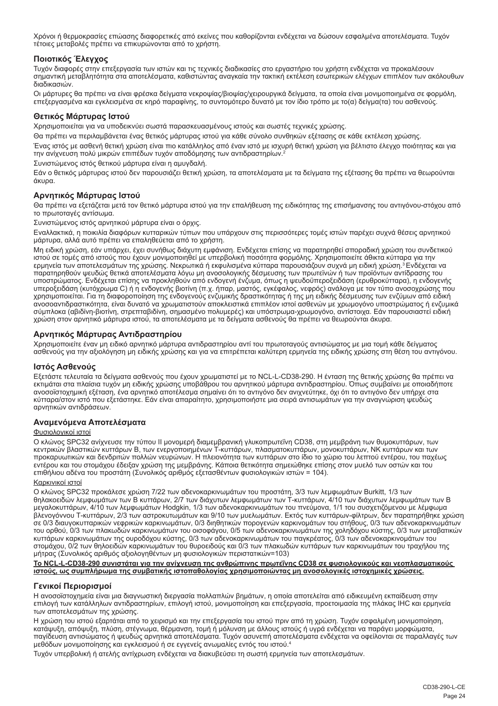Χρόνοι ή θερμοκρασίες επώασης διαφορετικές από εκείνες που καθορίζονται ενδέχεται να δώσουν εσφαλμένα αποτελέσματα. Τυχόν τέτοιες μεταβολές πρέπει να επικυρώνονται από το χρήστη.

## **Ποιοτικός Έλεγχος**

Τυχόν διαφορές στην επεξεργασία των ιστών και τις τεχνικές διαδικασίες στο εργαστήριο του χρήστη ενδέχεται να προκαλέσουν σημαντική μεταβλητότητα στα αποτελέσματα, καθιστώντας αναγκαία την τακτική εκτέλεση εσωτερικών ελέγχων επιπλέον των ακόλουθων διαδικασιών.

Οι μάρτυρες θα πρέπει να είναι φρέσκα δείγματα νεκροψίας/βιοψίας/χειρουργικά δείγματα, τα οποία είναι μονιμοποιημένα σε φορμόλη, επεξεργασμένα και εγκλεισμένα σε κηρό παραφίνης, το συντομότερο δυνατό με τον ίδιο τρόπο με το(α) δείγμα(τα) του ασθενούς.

#### **Θετικός Μάρτυρας Ιστού**

Χρησιμοποιείται για να υποδεικνύει σωστά παρασκευασμένους ιστούς και σωστές τεχνικές χρώσης.

Θα πρέπει να περιλαμβάνεται ένας θετικός μάρτυρας ιστού για κάθε σύνολο συνθηκών εξέτασης σε κάθε εκτέλεση χρώσης.

Ένας ιστός με ασθενή θετική χρώση είναι πιο κατάλληλος από έναν ιστό με ισχυρή θετική χρώση για βέλτιστο έλεγχο ποιότητας και για την ανίχνευση πολύ μικρών επιπέδων τυχόν αποδόμησης των αντιδραστηρίων.<sup>2</sup>

Συνιστώμενος ιστός θετικού μάρτυρα είναι η αμυγδαλή.

Εάν ο θετικός μάρτυρας ιστού δεν παρουσιάζει θετική χρώση, τα αποτελέσματα με τα δείγματα της εξέτασης θα πρέπει να θεωρούνται άκυρα.

## **Αρνητικός Μάρτυρας Ιστού**

Θα πρέπει να εξετάζεται μετά τον θετικό μάρτυρα ιστού για την επαλήθευση της ειδικότητας της επισήμανσης του αντιγόνου-στόχου από το πρωτοταγές αντίσωμα.

Συνιστώμενος ιστός αρνητικού μάρτυρα είναι ο όρχις.

Εναλλακτικά, η ποικιλία διαφόρων κυτταρικών τύπων που υπάρχουν στις περισσότερες τομές ιστών παρέχει συχνά θέσεις αρνητικού μάρτυρα, αλλά αυτό πρέπει να επαληθεύεται από το χρήστη.

Μη ειδική χρώση, εάν υπάρχει, έχει συνήθως διάχυτη εμφάνιση. Ενδέχεται επίσης να παρατηρηθεί σποραδική χρώση του συνδετικού ιστού σε τομές από ιστούς που έχουν μονιμοποιηθεί με υπερβολική ποσότητα φορμόλης. Χρησιμοποιείτε άθικτα κύτταρα για την<br>ερμηνεία των αποτελεσμάτων της χρώσης. Νεκρωτικά ή εκφυλισμένα κύτταρα παρουσιάζουν συχνά μη ειδική παρατηρηθούν ψευδώς θετικά αποτελέσματα λόγω μη ανοσολογικής δέσμευσης των πρωτεϊνών ή των προϊόντων αντίδρασης του υποστρώματος. Ενδέχεται επίσης να προκληθούν από ενδογενή ένζυμα, όπως η ψευδοϋπεροξειδάση (ερυθροκύτταρα), η ενδογενής<br>υπεροξειδάση (κυτόχρωμα C) ή η ενδογενής βιοτίνη (π.χ. ήπαρ, μαστός, εγκέφαλος, νεφρός) ανάλογα με το χρησιμοποιείται. Για τη διαφοροποίηση της ενδογενούς ενζυμικής δραστικότητας ή της μη ειδικής δέσμευσης των ενζύμων από ειδική ανοσοαντιδραστικότητα, είναι δυνατό να χρωματιστούν αποκλειστικά επιπλέον ιστοί ασθενών με χρωμογόνο υποστρώματος ή ενζυμικά σύμπλοκα (αβιδίνη-βιοτίνη, στρεπταβιδίνη, σημασμένο πολυμερές) και υπόστρωμα-χρωμογόνο, αντίστοιχα. Εάν παρουσιαστεί ειδική χρώση στον αρνητικό μάρτυρα ιστού, τα αποτελέσματα με τα δείγματα ασθενούς θα πρέπει να θεωρούνται άκυρα.

## **Αρνητικός Μάρτυρας Αντιδραστηρίου**

Χρησιμοποιείτε έναν μη ειδικό αρνητικό μάρτυρα αντιδραστηρίου αντί του πρωτοταγούς αντισώματος με μια τομή κάθε δείγματος ασθενούς για την αξιολόγηση μη ειδικής χρώσης και για να επιτρέπεται καλύτερη ερμηνεία της ειδικής χρώσης στη θέση του αντιγόνου.

## **Ιστός Ασθενούς**

Εξετάστε τελευταία τα δείγματα ασθενούς που έχουν χρωματιστεί με το NCL-L-CD38-290. Η ένταση της θετικής χρώσης θα πρέπει να εκτιμάται στα πλαίσια τυχόν μη ειδικής χρώσης υποβάθρου του αρνητικού μάρτυρα αντιδραστηρίου. Όπως συμβαίνει με οποιαδήποτε ανοσοϊστοχημική εξέταση, ένα αρνητικό αποτέλεσμα σημαίνει ότι το αντιγόνο δεν ανιχνεύτηκε, όχι ότι το αντιγόνο δεν υπήρχε στα κύτταρα/στον ιστό που εξετάστηκε. Εάν είναι απαραίτητο, χρησιμοποιήστε μια σειρά αντισωμάτων για την αναγνώριση ψευδώς αρνητικών αντιδράσεων.

## **Αναμενόμενα Αποτελέσματα**

## Φυσιολογικοί ιστοί

Ο κλώνος SPC32 ανίχνευσε την τύπου ΙΙ μονομερή διαμεμβρανική γλυκοπρωτεΐνη CD38, στη μεμβράνη των θυμοκυττάρων, των κεντρικών βλαστικών κυττάρων Β, των ενεργοποιημένων Τ-κυττάρων, πλασματοκυττάρων, μονοκυττάρων, ΝΚ κυττάρων και των προκαρυωτικών και δενδριτών πολλών νευρώνων. Η πλειονότητα των κυττάρων στο ίδιο το χώριο του λεπτού εντέρου, του παχέως εντέρου και του στομάχου έδειξαν χρώση της μεμβράνης. Κάποια θετικότητα σημειώθηκε επίσης στον μυελό των οστών και του επιθήλιου αδένα του προστάτη (Συνολικός αριθμός εξετασθέντων φυσιολογικών ιστών = 104).

#### Καρκινικοί ιστοί

Ο κλώνος SPC32 προκάλεσε χρώση 7/22 των αδενοκαρκινωμάτων του προστάτη, 3/3 των λεμφωμάτων Burkitt, 1/3 των θηλακοειδών λεμφωμάτων των Β κυττάρων, 2/7 των διάχυτων λεμφωμάτων των Τ-κυττάρων, 4/10 των διάχυτων λεμφωμάτων των Β μεγαλοκυττάρων, 4/10 των λεμφωμάτων Hodgkin, 1/3 των αδενοκαρκινωμάτων του πνεύμονα, 1/1 του συσχετιζόμενου με λέμφωμα βλενογόννου Τ-κυττάρων, 2/3 των αστροκυτωμάτων και 9/10 των μυελωμάτων. Εκτός των κυττάρων-φίλτρων, δεν παρατηρήθηκε χρώση σε 0/3 διαυγοκυτταρικών νεφρικών καρκινωμάτων, 0/3 διηθητικών πορογενών καρκινομάτων του στήθους, 0/3 των αδενοκαρκινωμάτων του ορθού, 0/3 των πλακωδών καρκινωμάτων του οισοφάγου, 0/5 των αδενοκαρκινωμάτων της χοληδόχου κύστης, 0/3 των μεταβατικών<br>κυττάρων καρκινωμάτων της ουροδόχου κύστης, 0/3 των αδενοκαρκινωμάτων του παγκρέατος, 0/3 των αδε στομάχου, 0/2 των θηλοειδών καρκινωμάτων του θυροειδούς και 0/3 των πλακωδών κυττάρων των καρκινωμάτων του τραχήλου της μήτρας (Συνολικός αριθμός αξιολογηθέντων μη φυσιολογικών περιστατικών=103)

#### **Το NCL-L-CD38-290 συνιστάται για την ανίχνευση της ανθρώπινης πρωτεΐνης CD38 σε φυσιολογικούς και νεοπλασματικούς ιστούς, ως συμπλήρωμα της συμβατικής ιστοπαθολογίας χρησιμοποιώντας μη ανοσολογικές ιστοχημικές χρώσεις.**

#### **Γενικοί Περιορισμοί**

Η ανοσοϊστοχημεία είναι μια διαγνωστική διεργασία πολλαπλών βημάτων, η οποία αποτελείται από ειδικευμένη εκπαίδευση στην επιλογή των κατάλληλων αντιδραστηρίων, επιλογή ιστού, μονιμοποίηση και επεξεργασία, προετοιμασία της πλάκας IHC και ερμηνεία των αποτελεσμάτων της χρώσης.

Η χρώση του ιστού εξαρτάται από το χειρισμό και την επεξεργασία του ιστού πριν από τη χρώση. Τυχόν εσφαλμένη μονιμοποίηση, κατάψυξη, απόψυξη, πλύση, στέγνωμα, θέρμανση, τομή ή μόλυνση με άλλους ιστούς ή υγρά ενδέχεται να παράγει μορφώματα, παγίδευση αντισώματος ή ψευδώς αρνητικά αποτελέσματα. Τυχόν ασυνεπή αποτελέσματα ενδέχεται να οφείλονται σε παραλλαγές των μεθόδων μονιμοποίησης και εγκλεισμού ή σε εγγενείς ανωμαλίες εντός του ιστού.<sup>4</sup>

Τυχόν υπερβολική ή ατελής αντίχρωση ενδέχεται να διακυβεύσει τη σωστή ερμηνεία των αποτελεσμάτων.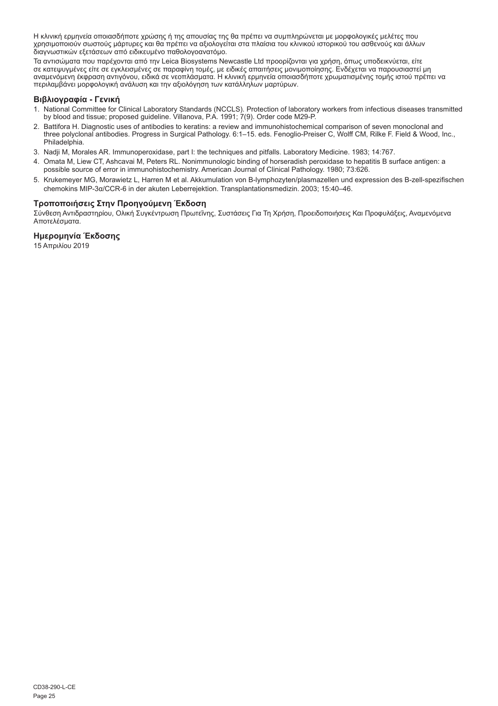Η κλινική ερμηνεία οποιασδήποτε χρώσης ή της απουσίας της θα πρέπει να συμπληρώνεται με μορφολογικές μελέτες που χρησιμοποιούν σωστούς μάρτυρες και θα πρέπει να αξιολογείται στα πλαίσια του κλινικού ιστορικού του ασθενούς και άλλων διαγνωστικών εξετάσεων από ειδικευμένο παθολογοανατόμο.

Τα αντισώματα που παρέχονται από την Leica Biosystems Newcastle Ltd προορίζονται για χρήση, όπως υποδεικνύεται, είτε σε κατεψυγμένες είτε σε εγκλεισμένες σε παραφίνη τομές, με ειδικές απαιτήσεις μονιμοποίησης. Ενδέχεται να παρουσιαστεί μη<br>αναμενόμενη έκφραση αντιγόνου, ειδικά σε νεοπλάσματα. Η κλινική ερμηνεία οποιασδήποτε χρωματισμένης περιλαμβάνει μορφολογική ανάλυση και την αξιολόγηση των κατάλληλων μαρτύρων.

## **Βιβλιογραφία - Γενική**

- 1. National Committee for Clinical Laboratory Standards (NCCLS). Protection of laboratory workers from infectious diseases transmitted by blood and tissue; proposed guideline. Villanova, P.A. 1991; 7(9). Order code M29-P.
- 2. Battifora H. Diagnostic uses of antibodies to keratins: a review and immunohistochemical comparison of seven monoclonal and three polyclonal antibodies. Progress in Surgical Pathology. 6:1–15. eds. Fenoglio-Preiser C, Wolff CM, Rilke F. Field & Wood, Inc., Philadelphia.
- 3. Nadji M, Morales AR. Immunoperoxidase, part I: the techniques and pitfalls. Laboratory Medicine. 1983; 14:767.
- 4. Omata M, Liew CT, Ashcavai M, Peters RL. Nonimmunologic binding of horseradish peroxidase to hepatitis B surface antigen: a possible source of error in immunohistochemistry. American Journal of Clinical Pathology. 1980; 73:626.
- 5. Krukemeyer MG, Morawietz L, Harren M et al. Akkumulation von B-lymphozyten/plasmazellen und expression des B-zell-spezifischen chemokins MIP-3α/CCR-6 in der akuten Leberrejektion. Transplantationsmedizin. 2003; 15:40–46.

## **Τροποποιήσεις Στην Προηγούμενη Έκδοση**

Σύνθεση Αντιδραστηρίου, Ολική Συγκέντρωση Πρωτεΐνης, Συστάσεις Για Τη Χρήση, Προειδοποιήσεις Και Προφυλάξεις, Αναμενόμενα Αποτελέσματα.

#### **Ημερομηνία Έκδοσης**

15 Απριλίου 2019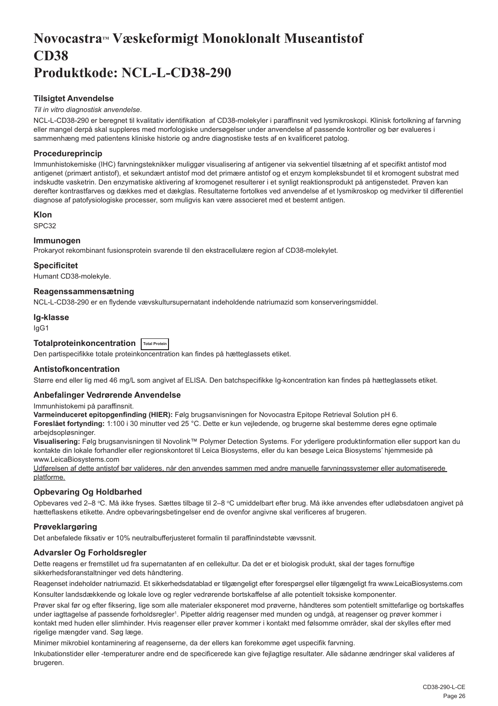# <span id="page-26-0"></span>**NovocastraTM Væskeformigt Monoklonalt Museantistof CD38 Produktkode: NCL-L-CD38-290**

## **Tilsigtet Anvendelse**

#### *Til in vitro diagnostisk anvendelse*.

NCL-L-CD38-290 er beregnet til kvalitativ identifikation af CD38-molekyler i paraffinsnit ved lysmikroskopi. Klinisk fortolkning af farvning eller mangel derpå skal suppleres med morfologiske undersøgelser under anvendelse af passende kontroller og bør evalueres i sammenhæng med patientens kliniske historie og andre diagnostiske tests af en kvalificeret patolog.

## **Procedureprincip**

Immunhistokemiske (IHC) farvningsteknikker muliggør visualisering af antigener via sekventiel tilsætning af et specifikt antistof mod antigenet (primært antistof), et sekundært antistof mod det primære antistof og et enzym kompleksbundet til et kromogent substrat med indskudte vasketrin. Den enzymatiske aktivering af kromogenet resulterer i et synligt reaktionsprodukt på antigenstedet. Prøven kan derefter kontrastfarves og dækkes med et dækglas. Resultaterne fortolkes ved anvendelse af et lysmikroskop og medvirker til differentiel diagnose af patofysiologiske processer, som muligvis kan være associeret med et bestemt antigen.

## **Klon**

SPC32

## **Immunogen**

Prokaryot rekombinant fusionsprotein svarende til den ekstracellulære region af CD38-molekylet.

#### **Specificitet**

Humant CD38-molekyle.

#### **Reagenssammensætning**

NCL-L-CD38-290 er en flydende vævskultursupernatant indeholdende natriumazid som konserveringsmiddel.

#### **Ig-klasse**

IgG1

## **Totalproteinkoncentration Total Protein**

Den partispecifikke totale proteinkoncentration kan findes på hætteglassets etiket.

## **Antistofkoncentration**

Større end eller lig med 46 mg/L som angivet af ELISA. Den batchspecifikke Ig-koncentration kan findes på hætteglassets etiket.

## **Anbefalinger Vedrørende Anvendelse**

Immunhistokemi på paraffinsnit.

**Varmeinduceret epitopgenfinding (HIER):** Følg brugsanvisningen for Novocastra Epitope Retrieval Solution pH 6.

**Foreslået fortynding:** 1:100 i 30 minutter ved 25 °C. Dette er kun vejledende, og brugerne skal bestemme deres egne optimale arbejdsopløsninger.

**Visualisering:** Følg brugsanvisningen til Novolink™ Polymer Detection Systems. For yderligere produktinformation eller support kan du kontakte din lokale forhandler eller regionskontoret til Leica Biosystems, eller du kan besøge Leica Biosystems' hjemmeside på www.LeicaBiosystems.com

Udførelsen af dette antistof bør valideres, når den anvendes sammen med andre manuelle farvningssystemer eller automatiserede platforme.

## **Opbevaring Og Holdbarhed**

Opbevares ved 2–8 °C. Må ikke fryses. Sættes tilbage til 2–8 °C umiddelbart efter brug. Må ikke anvendes efter udløbsdatoen angivet på hætteflaskens etikette. Andre opbevaringsbetingelser end de ovenfor angivne skal verificeres af brugeren.

## **Prøveklargøring**

Det anbefalede fiksativ er 10% neutralbufferjusteret formalin til paraffinindstøbte vævssnit.

## **Advarsler Og Forholdsregler**

Dette reagens er fremstillet ud fra supernatanten af en cellekultur. Da det er et biologisk produkt, skal der tages fornuftige sikkerhedsforanstaltninger ved dets håndtering.

Reagenset indeholder natriumazid. Et sikkerhedsdatablad er tilgængeligt efter forespørgsel eller tilgængeligt fra www.LeicaBiosystems.com Konsulter landsdækkende og lokale love og regler vedrørende bortskaffelse af alle potentielt toksiske komponenter.

Prøver skal før og efter fiksering, lige som alle materialer eksponeret mod prøverne, håndteres som potentielt smittefarlige og bortskaffes under iagttagelse af passende forholdsregler<sup>1</sup>. Pipetter aldrig reagenser med munden og undgå, at reagenser og prøver kommer i kontakt med huden eller slimhinder. Hvis reagenser eller prøver kommer i kontakt med følsomme områder, skal der skylles efter med rigelige mængder vand. Søg læge.

Minimer mikrobiel kontaminering af reagenserne, da der ellers kan forekomme øget uspecifik farvning.

Inkubationstider eller -temperaturer andre end de specificerede kan give fejlagtige resultater. Alle sådanne ændringer skal valideres af brugeren.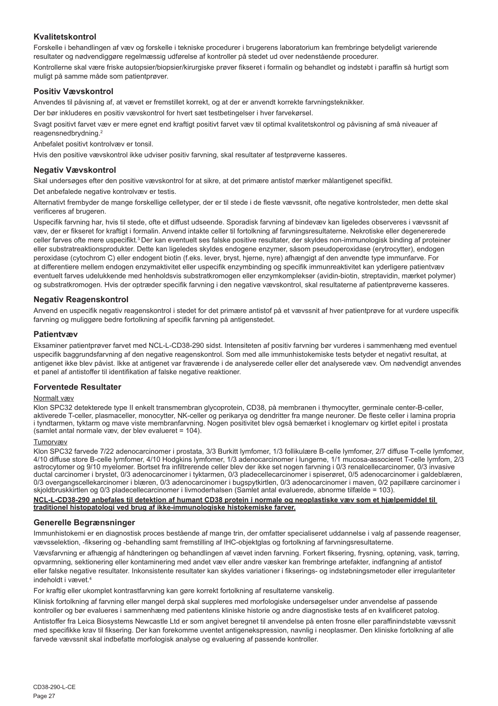## **Kvalitetskontrol**

Forskelle i behandlingen af væv og forskelle i tekniske procedurer i brugerens laboratorium kan frembringe betydeligt varierende resultater og nødvendiggøre regelmæssig udførelse af kontroller på stedet ud over nedenstående procedurer. Kontrollerne skal være friske autopsier/biopsier/kirurgiske prøver fikseret i formalin og behandlet og indstøbt i paraffin så hurtigt som muligt på samme måde som patientprøver.

## **Positiv Vævskontrol**

Anvendes til påvisning af, at vævet er fremstillet korrekt, og at der er anvendt korrekte farvningsteknikker.

Der bør inkluderes en positiv vævskontrol for hvert sæt testbetingelser i hver farvekørsel.

Svagt positivt farvet væv er mere egnet end kraftigt positivt farvet væv til optimal kvalitetskontrol og påvisning af små niveauer af reagensnedbrydning.<sup>2</sup>

Anbefalet positivt kontrolvæv er tonsil.

Hvis den positive vævskontrol ikke udviser positiv farvning, skal resultater af testprøverne kasseres.

## **Negativ Vævskontrol**

Skal undersøges efter den positive vævskontrol for at sikre, at det primære antistof mærker målantigenet specifikt.

Det anbefalede negative kontrolvæv er testis.

Alternativt frembyder de mange forskellige celletyper, der er til stede i de fleste vævssnit, ofte negative kontrolsteder, men dette skal verificeres af brugeren.

Uspecifik farvning har, hvis til stede, ofte et diffust udseende. Sporadisk farvning af bindevæv kan ligeledes observeres i vævssnit af væv, der er fikseret for kraftigt i formalin. Anvend intakte celler til fortolkning af farvningsresultaterne. Nekrotiske eller degenererede celler farves ofte mere uspecifikt.<sup>3</sup>Der kan eventuelt ses falske positive resultater, der skyldes non-immunologisk binding af proteiner eller substratreaktionsprodukter. Dette kan ligeledes skyldes endogene enzymer, såsom pseudoperoxidase (erytrocytter), endogen peroxidase (cytochrom C) eller endogent biotin (f.eks. lever, bryst, hjerne, nyre) afhængigt af den anvendte type immunfarve. For at differentiere mellem endogen enzymaktivitet eller uspecifik enzymbinding og specifik immunreaktivitet kan yderligere patientvæv eventuelt farves udelukkende med henholdsvis substratkromogen eller enzymkomplekser (avidin-biotin, streptavidin, mærket polymer) og substratkromogen. Hvis der optræder specifik farvning i den negative vævskontrol, skal resultaterne af patientprøverne kasseres.

## **Negativ Reagenskontrol**

Anvend en uspecifik negativ reagenskontrol i stedet for det primære antistof på et vævssnit af hver patientprøve for at vurdere uspecifik farvning og muliggøre bedre fortolkning af specifik farvning på antigenstedet.

#### **Patientvæv**

Eksaminer patientprøver farvet med NCL-L-CD38-290 sidst. Intensiteten af positiv farvning bør vurderes i sammenhæng med eventuel uspecifik baggrundsfarvning af den negative reagenskontrol. Som med alle immunhistokemiske tests betyder et negativt resultat, at antigenet ikke blev påvist. Ikke at antigenet var fraværende i de analyserede celler eller det analyserede væv. Om nødvendigt anvendes et panel af antistoffer til identifikation af falske negative reaktioner.

## **Forventede Resultater**

#### Normalt væv

Klon SPC32 detekterede type II enkelt transmembran glycoprotein, CD38, på membranen i thymocytter, germinale center-B-celler, aktiverede T-celler, plasmaceller, monocytter, NK-celler og perikarya og dendritter fra mange neuroner. De fleste celler i lamina propria i tyndtarmen, tyktarm og mave viste membranfarvning. Nogen positivitet blev også bemærket i knoglemarv og kirtlet epitel i prostata (samlet antal normale væv, der blev evalueret = 104).

#### Tumorvæv

Klon SPC32 farvede 7/22 adenocarcinomer i prostata, 3/3 Burkitt lymfomer, 1/3 follikulære B-celle lymfomer, 2/7 diffuse T-celle lymfomer, 4/10 diffuse store B-celle lymfomer, 4/10 Hodgkins lymfomer, 1/3 adenocarcinomer i lungerne, 1/1 mucosa-associeret T-celle lymfom, 2/3 astrocytomer og 9/10 myelomer. Bortset fra infiltrerende celler blev der ikke set nogen farvning i 0/3 renalcellecarcinomer, 0/3 invasive ductal carcinomer i brystet, 0/3 adenocarcinomer i tyktarmen, 0/3 pladecellecarcinomer i spiserøret, 0/5 adenocarcinomer i galdeblæren, 0/3 overgangscellekarcinomer i blæren, 0/3 adenocarcinomer i bugspytkirtlen, 0/3 adenocarcinomer i maven, 0/2 papillære carcinomer i skjoldbruskkirtlen og 0/3 pladecellecarcinomer i livmoderhalsen (Samlet antal evaluerede, abnorme tilfælde = 103).

**NCL-L-CD38-290 anbefales til detektion af humant CD38 protein i normale og neoplastiske væv som et hjælpemiddel til traditionel histopatologi ved brug af ikke-immunologiske histokemiske farver.**

## **Generelle Begrænsninger**

Immunhistokemi er en diagnostisk proces bestående af mange trin, der omfatter specialiseret uddannelse i valg af passende reagenser, vævsselektion, -fiksering og -behandling samt fremstilling af IHC-objektglas og fortolkning af farvningsresultaterne.

Vævsfarvning er afhængig af håndteringen og behandlingen af vævet inden farvning. Forkert fiksering, frysning, optøning, vask, tørring, opvarmning, sektionering eller kontaminering med andet væv eller andre væsker kan frembringe artefakter, indfangning af antistof eller falske negative resultater. Inkonsistente resultater kan skyldes variationer i fikserings- og indstøbningsmetoder eller irregulariteter indeholdt i vævet<sup>4</sup>

For kraftig eller ukomplet kontrastfarvning kan gøre korrekt fortolkning af resultaterne vanskelig.

Klinisk fortolkning af farvning eller mangel derpå skal suppleres med morfologiske undersøgelser under anvendelse af passende kontroller og bør evalueres i sammenhæng med patientens kliniske historie og andre diagnostiske tests af en kvalificeret patolog.

Antistoffer fra Leica Biosystems Newcastle Ltd er som angivet beregnet til anvendelse på enten frosne eller paraffinindstøbte vævssnit med specifikke krav til fiksering. Der kan forekomme uventet antigenekspression, navnlig i neoplasmer. Den kliniske fortolkning af alle farvede vævssnit skal indbefatte morfologisk analyse og evaluering af passende kontroller.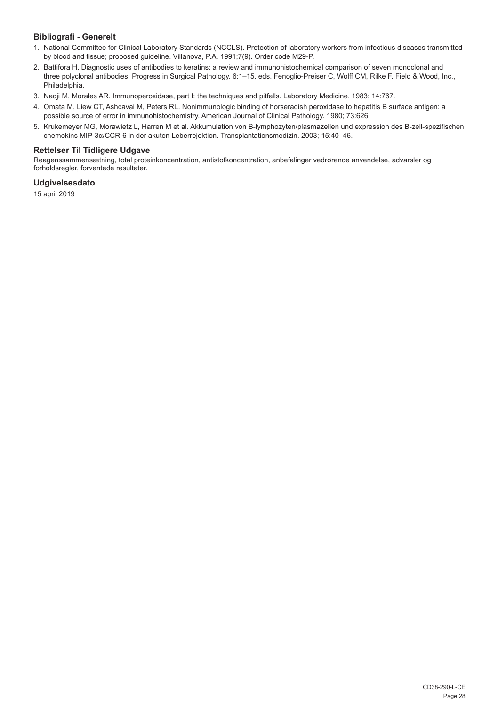## **Bibliografi - Generelt**

- 1. National Committee for Clinical Laboratory Standards (NCCLS). Protection of laboratory workers from infectious diseases transmitted by blood and tissue; proposed guideline. Villanova, P.A. 1991;7(9). Order code M29-P.
- 2. Battifora H. Diagnostic uses of antibodies to keratins: a review and immunohistochemical comparison of seven monoclonal and three polyclonal antibodies. Progress in Surgical Pathology. 6:1–15. eds. Fenoglio-Preiser C, Wolff CM, Rilke F. Field & Wood, Inc., Philadelphia.
- 3. Nadji M, Morales AR. Immunoperoxidase, part I: the techniques and pitfalls. Laboratory Medicine. 1983; 14:767.
- 4. Omata M, Liew CT, Ashcavai M, Peters RL. Nonimmunologic binding of horseradish peroxidase to hepatitis B surface antigen: a possible source of error in immunohistochemistry. American Journal of Clinical Pathology. 1980; 73:626.
- 5. Krukemeyer MG, Morawietz L, Harren M et al. Akkumulation von B-lymphozyten/plasmazellen und expression des B-zell-spezifischen chemokins MIP-3α/CCR-6 in der akuten Leberrejektion. Transplantationsmedizin. 2003; 15:40–46.

#### **Rettelser Til Tidligere Udgave**

Reagenssammensætning, total proteinkoncentration, antistofkoncentration, anbefalinger vedrørende anvendelse, advarsler og forholdsregler, forventede resultater.

## **Udgivelsesdato**

15 april 2019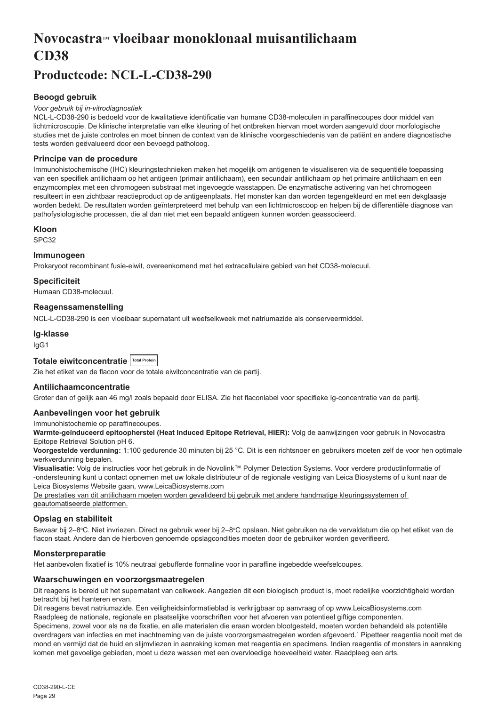# <span id="page-29-0"></span>**NovocastraTM vloeibaar monoklonaal muisantilichaam CD38**

# **Productcode: NCL-L-CD38-290**

## **Beoogd gebruik**

#### *Voor gebruik bij in-vitrodiagnostiek*

NCL-L-CD38-290 is bedoeld voor de kwalitatieve identificatie van humane CD38-moleculen in paraffinecoupes door middel van lichtmicroscopie. De klinische interpretatie van elke kleuring of het ontbreken hiervan moet worden aangevuld door morfologische studies met de juiste controles en moet binnen de context van de klinische voorgeschiedenis van de patiënt en andere diagnostische tests worden geëvalueerd door een bevoegd patholoog.

## **Principe van de procedure**

Immunohistochemische (IHC) kleuringstechnieken maken het mogelijk om antigenen te visualiseren via de sequentiële toepassing van een specifiek antilichaam op het antigeen (primair antilichaam), een secundair antilichaam op het primaire antilichaam en een enzymcomplex met een chromogeen substraat met ingevoegde wasstappen. De enzymatische activering van het chromogeen resulteert in een zichtbaar reactieproduct op de antigeenplaats. Het monster kan dan worden tegengekleurd en met een dekglaasje worden bedekt. De resultaten worden geïnterpreteerd met behulp van een lichtmicroscoop en helpen bij de differentiële diagnose van pathofysiologische processen, die al dan niet met een bepaald antigeen kunnen worden geassocieerd.

#### **Kloon**

SPC32

#### **Immunogeen**

Prokaryoot recombinant fusie-eiwit, overeenkomend met het extracellulaire gebied van het CD38-molecuul.

#### **Specificiteit**

Humaan CD38-molecuul.

## **Reagenssamenstelling**

NCL-L-CD38-290 is een vloeibaar supernatant uit weefselkweek met natriumazide als conserveermiddel.

#### **Ig-klasse**

IgG1

## **Totale eiwitconcentratie Total Protein**

Zie het etiket van de flacon voor de totale eiwitconcentratie van de partij.

## **Antilichaamconcentratie**

Groter dan of gelijk aan 46 mg/l zoals bepaald door ELISA. Zie het flaconlabel voor specifieke Ig-concentratie van de partij.

## **Aanbevelingen voor het gebruik**

Immunohistochemie op paraffinecoupes.

**Warmte-geïnduceerd epitoopherstel (Heat Induced Epitope Retrieval, HIER):** Volg de aanwijzingen voor gebruik in Novocastra Epitope Retrieval Solution pH 6.

**Voorgestelde verdunning:** 1:100 gedurende 30 minuten bij 25 °C. Dit is een richtsnoer en gebruikers moeten zelf de voor hen optimale werkverdunning bepalen.

**Visualisatie:** Volg de instructies voor het gebruik in de Novolink™ Polymer Detection Systems. Voor verdere productinformatie of -ondersteuning kunt u contact opnemen met uw lokale distributeur of de regionale vestiging van Leica Biosystems of u kunt naar de Leica Biosystems Website gaan, www.LeicaBiosystems.com

De prestaties van dit antilichaam moeten worden gevalideerd bij gebruik met andere handmatige kleuringssystemen of geautomatiseerde platformen.

## **Opslag en stabiliteit**

Bewaar bij 2–8℃. Niet invriezen. Direct na gebruik weer bij 2–8℃ opslaan. Niet gebruiken na de vervaldatum die op het etiket van de flacon staat. Andere dan de hierboven genoemde opslagcondities moeten door de gebruiker worden geverifieerd.

#### **Monsterpreparatie**

Het aanbevolen fixatief is 10% neutraal gebufferde formaline voor in paraffine ingebedde weefselcoupes.

## **Waarschuwingen en voorzorgsmaatregelen**

Dit reagens is bereid uit het supernatant van celkweek. Aangezien dit een biologisch product is, moet redelijke voorzichtigheid worden betracht bij het hanteren ervan.

Dit reagens bevat natriumazide. Een veiligheidsinformatieblad is verkrijgbaar op aanvraag of op www.LeicaBiosystems.com Raadpleeg de nationale, regionale en plaatselijke voorschriften voor het afvoeren van potentieel giftige componenten.

Specimens, zowel voor als na de fixatie, en alle materialen die eraan worden blootgesteld, moeten worden behandeld als potentiële overdragers van infecties en met inachtneming van de juiste voorzorgsmaatregelen worden afgevoerd.<sup>1</sup> Pipetteer reagentia nooit met de mond en vermijd dat de huid en slijmvliezen in aanraking komen met reagentia en specimens. Indien reagentia of monsters in aanraking komen met gevoelige gebieden, moet u deze wassen met een overvloedige hoeveelheid water. Raadpleeg een arts.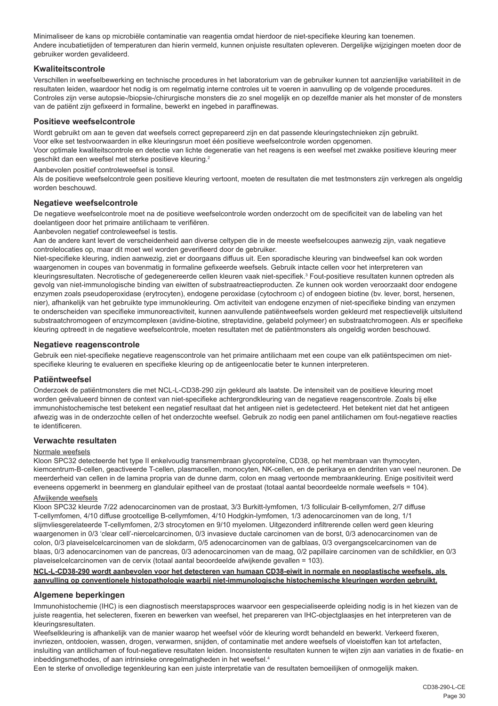Minimaliseer de kans op microbiële contaminatie van reagentia omdat hierdoor de niet-specifieke kleuring kan toenemen. Andere incubatietijden of temperaturen dan hierin vermeld, kunnen onjuiste resultaten opleveren. Dergelijke wijzigingen moeten door de gebruiker worden gevalideerd.

## **Kwaliteitscontrole**

Verschillen in weefselbewerking en technische procedures in het laboratorium van de gebruiker kunnen tot aanzienlijke variabiliteit in de resultaten leiden, waardoor het nodig is om regelmatig interne controles uit te voeren in aanvulling op de volgende procedures. Controles zijn verse autopsie-/biopsie-/chirurgische monsters die zo snel mogelijk en op dezelfde manier als het monster of de monsters van de patiënt zijn gefixeerd in formaline, bewerkt en ingebed in paraffinewas.

#### **Positieve weefselcontrole**

Wordt gebruikt om aan te geven dat weefsels correct geprepareerd zijn en dat passende kleuringstechnieken zijn gebruikt.

Voor elke set testvoorwaarden in elke kleuringsrun moet één positieve weefselcontrole worden opgenomen.

Voor optimale kwaliteitscontrole en detectie van lichte degeneratie van het reagens is een weefsel met zwakke positieve kleuring meer geschikt dan een weefsel met sterke positieve kleuring.<sup>2</sup>

Aanbevolen positief controleweefsel is tonsil.

Als de positieve weefselcontrole geen positieve kleuring vertoont, moeten de resultaten die met testmonsters zijn verkregen als ongeldig worden beschouwd.

#### **Negatieve weefselcontrole**

De negatieve weefselcontrole moet na de positieve weefselcontrole worden onderzocht om de specificiteit van de labeling van het doelantigeen door het primaire antilichaam te verifiëren.

Aanbevolen negatief controleweefsel is testis.

Aan de andere kant levert de verscheidenheid aan diverse celtypen die in de meeste weefselcoupes aanwezig zijn, vaak negatieve controlelocaties op, maar dit moet wel worden geverifieerd door de gebruiker.

Niet-specifieke kleuring, indien aanwezig, ziet er doorgaans diffuus uit. Een sporadische kleuring van bindweefsel kan ook worden waargenomen in coupes van bovenmatig in formaline gefixeerde weefsels. Gebruik intacte cellen voor het interpreteren van kleuringsresultaten. Necrotische of gedegenereerde cellen kleuren vaak niet-specifiek.<sup>3</sup> Fout-positieve resultaten kunnen optreden als gevolg van niet-immunologische binding van eiwitten of substraatreactieproducten. Ze kunnen ook worden veroorzaakt door endogene enzymen zoals pseudoperoxidase (erytrocyten), endogene peroxidase (cytochroom c) of endogeen biotine (bv. lever, borst, hersenen, nier), afhankelijk van het gebruikte type immunokleuring. Om activiteit van endogene enzymen of niet-specifieke binding van enzymen te onderscheiden van specifieke immunoreactiviteit, kunnen aanvullende patiëntweefsels worden gekleurd met respectievelijk uitsluitend substraatchromogeen of enzymcomplexen (avidine-biotine, streptavidine, gelabeld polymeer) en substraatchromogeen. Als er specifieke kleuring optreedt in de negatieve weefselcontrole, moeten resultaten met de patiëntmonsters als ongeldig worden beschouwd.

#### **Negatieve reagenscontrole**

Gebruik een niet-specifieke negatieve reagenscontrole van het primaire antilichaam met een coupe van elk patiëntspecimen om nietspecifieke kleuring te evalueren en specifieke kleuring op de antigeenlocatie beter te kunnen interpreteren.

#### **Patiëntweefsel**

Onderzoek de patiëntmonsters die met NCL-L-CD38-290 zijn gekleurd als laatste. De intensiteit van de positieve kleuring moet worden geëvalueerd binnen de context van niet-specifieke achtergrondkleuring van de negatieve reagenscontrole. Zoals bij elke immunohistochemische test betekent een negatief resultaat dat het antigeen niet is gedetecteerd. Het betekent niet dat het antigeen afwezig was in de onderzochte cellen of het onderzochte weefsel. Gebruik zo nodig een panel antilichamen om fout-negatieve reacties te identificeren.

#### **Verwachte resultaten**

#### Normale weefsels

Kloon SPC32 detecteerde het type II enkelvoudig transmembraan glycoproteïne, CD38, op het membraan van thymocyten, kiemcentrum-B-cellen, geactiveerde T-cellen, plasmacellen, monocyten, NK-cellen, en de perikarya en dendriten van veel neuronen. De meerderheid van cellen in de lamina propria van de dunne darm, colon en maag vertoonde membraankleuring. Enige positiviteit werd eveneens opgemerkt in beenmerg en glandulair epitheel van de prostaat (totaal aantal beoordeelde normale weefsels = 104).

#### Afwijkende weefsels

Kloon SPC32 kleurde 7/22 adenocarcinomen van de prostaat, 3/3 Burkitt-lymfomen, 1/3 folliculair B-cellymfomen, 2/7 diffuse T-cellymfomen, 4/10 diffuse grootcellige B-cellymfomen, 4/10 Hodgkin-lymfomen, 1/3 adenocarcinomen van de long, 1/1 slijmvliesgerelateerde T-cellymfomen, 2/3 strocytomen en 9/10 myelomen. Uitgezonderd infiltrerende cellen werd geen kleuring waargenomen in 0/3 'clear cell'-niercelcarcinomen, 0/3 invasieve ductale carcinomen van de borst, 0/3 adenocarcinomen van de colon, 0/3 plaveiselcelcarcinomen van de slokdarm, 0/5 adenocarcinomen van de galblaas, 0/3 overgangscelcarcinomen van de blaas, 0/3 adenocarcinomen van de pancreas, 0/3 adenocarcinomen van de maag, 0/2 papillaire carcinomen van de schildklier, en 0/3 plaveiselcelcarcinomen van de cervix (totaal aantal beoordeelde afwijkende gevallen = 103).

#### **NCL-L-CD38-290 wordt aanbevolen voor het detecteren van humaan CD38-eiwit in normale en neoplastische weefsels, als aanvulling op conventionele histopathologie waarbij niet-immunologische histochemische kleuringen worden gebruikt.**

## **Algemene beperkingen**

Immunohistochemie (IHC) is een diagnostisch meerstapsproces waarvoor een gespecialiseerde opleiding nodig is in het kiezen van de juiste reagentia, het selecteren, fixeren en bewerken van weefsel, het prepareren van IHC-objectglaasjes en het interpreteren van de kleuringsresultaten.

Weefselkleuring is afhankelijk van de manier waarop het weefsel vóór de kleuring wordt behandeld en bewerkt. Verkeerd fixeren, invriezen, ontdooien, wassen, drogen, verwarmen, snijden, of contaminatie met andere weefsels of vloeistoffen kan tot artefacten, insluiting van antilichamen of fout-negatieve resultaten leiden. Inconsistente resultaten kunnen te wijten zijn aan variaties in de fixatie- en inbeddingsmethodes, of aan intrinsieke onregelmatigheden in het weefsel.<sup>4</sup>

Een te sterke of onvolledige tegenkleuring kan een juiste interpretatie van de resultaten bemoeilijken of onmogelijk maken.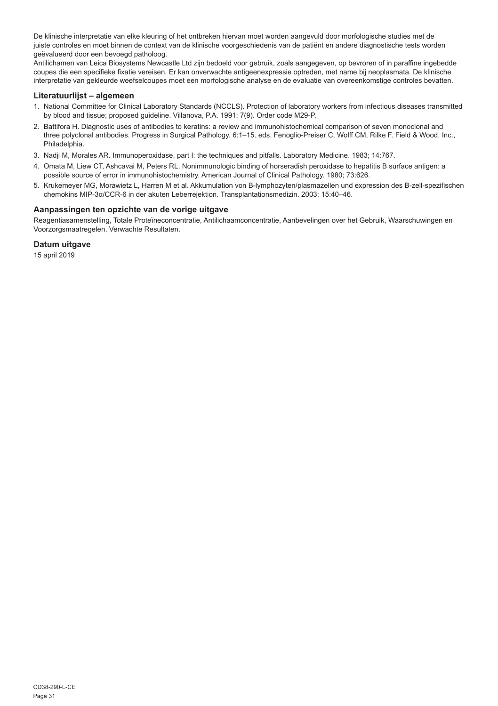De klinische interpretatie van elke kleuring of het ontbreken hiervan moet worden aangevuld door morfologische studies met de juiste controles en moet binnen de context van de klinische voorgeschiedenis van de patiënt en andere diagnostische tests worden geëvalueerd door een bevoegd patholoog.

Antilichamen van Leica Biosystems Newcastle Ltd zijn bedoeld voor gebruik, zoals aangegeven, op bevroren of in paraffine ingebedde coupes die een specifieke fixatie vereisen. Er kan onverwachte antigeenexpressie optreden, met name bij neoplasmata. De klinische interpretatie van gekleurde weefselcoupes moet een morfologische analyse en de evaluatie van overeenkomstige controles bevatten.

#### **Literatuurlijst – algemeen**

- 1. National Committee for Clinical Laboratory Standards (NCCLS). Protection of laboratory workers from infectious diseases transmitted by blood and tissue; proposed guideline. Villanova, P.A. 1991; 7(9). Order code M29-P.
- 2. Battifora H. Diagnostic uses of antibodies to keratins: a review and immunohistochemical comparison of seven monoclonal and three polyclonal antibodies. Progress in Surgical Pathology. 6:1–15. eds. Fenoglio-Preiser C, Wolff CM, Rilke F. Field & Wood, Inc., Philadelphia.
- 3. Nadji M, Morales AR. Immunoperoxidase, part I: the techniques and pitfalls. Laboratory Medicine. 1983; 14:767.
- 4. Omata M, Liew CT, Ashcavai M, Peters RL. Nonimmunologic binding of horseradish peroxidase to hepatitis B surface antigen: a possible source of error in immunohistochemistry. American Journal of Clinical Pathology. 1980; 73:626.
- 5. Krukemeyer MG, Morawietz L, Harren M et al. Akkumulation von B-lymphozyten/plasmazellen und expression des B-zell-spezifischen chemokins MIP-3α/CCR-6 in der akuten Leberrejektion. Transplantationsmedizin. 2003; 15:40–46.

#### **Aanpassingen ten opzichte van de vorige uitgave**

Reagentiasamenstelling, Totale Proteïneconcentratie, Antilichaamconcentratie, Aanbevelingen over het Gebruik, Waarschuwingen en Voorzorgsmaatregelen, Verwachte Resultaten.

#### **Datum uitgave**

15 april 2019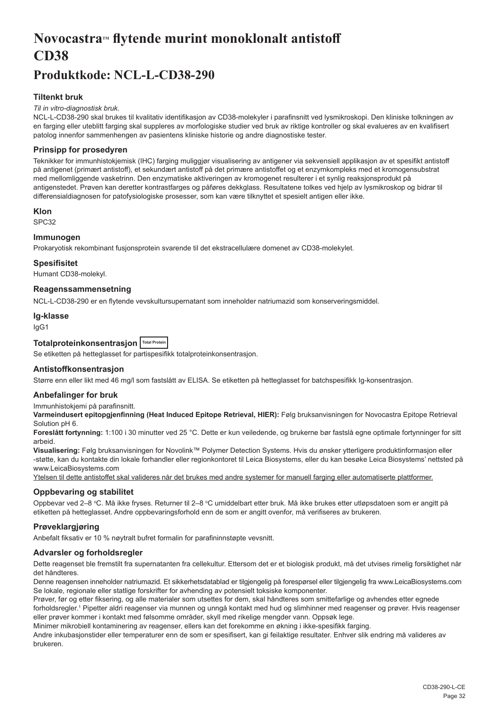# <span id="page-32-0"></span>Novocastra<sup>*M*</sup> flytende murint monoklonalt antistoff **CD38**

## **Produktkode: NCL-L-CD38-290**

## **Tiltenkt bruk**

#### *Til in vitro-diagnostisk bruk.*

NCL-L-CD38-290 skal brukes til kvalitativ identifikasjon av CD38-molekyler i parafinsnitt ved lysmikroskopi. Den kliniske tolkningen av en farging eller uteblitt farging skal suppleres av morfologiske studier ved bruk av riktige kontroller og skal evalueres av en kvalifisert patolog innenfor sammenhengen av pasientens kliniske historie og andre diagnostiske tester.

## **Prinsipp for prosedyren**

Teknikker for immunhistokjemisk (IHC) farging muliggjør visualisering av antigener via sekvensiell applikasjon av et spesifikt antistoff på antigenet (primært antistoff), et sekundært antistoff på det primære antistoffet og et enzymkompleks med et kromogensubstrat med mellomliggende vasketrinn. Den enzymatiske aktiveringen av kromogenet resulterer i et synlig reaksjonsprodukt på antigenstedet. Prøven kan deretter kontrastfarges og påføres dekkglass. Resultatene tolkes ved hjelp av lysmikroskop og bidrar til differensialdiagnosen for patofysiologiske prosesser, som kan være tilknyttet et spesielt antigen eller ikke.

## **Klon**

SPC32

## **Immunogen**

Prokaryotisk rekombinant fusjonsprotein svarende til det ekstracellulære domenet av CD38-molekylet.

#### **Spesifisitet**

Humant CD38-molekyl.

## **Reagenssammensetning**

NCL-L-CD38-290 er en flytende vevskultursupernatant som inneholder natriumazid som konserveringsmiddel.

#### **Ig-klasse**

IgG1

## **Totalproteinkonsentrasjon Total Protein**

Se etiketten på hetteglasset for partispesifikk totalproteinkonsentrasjon.

## **Antistoffkonsentrasjon**

Større enn eller likt med 46 mg/l som fastslått av ELISA. Se etiketten på hetteglasset for batchspesifikk Ig-konsentrasjon.

## **Anbefalinger for bruk**

Immunhistokjemi på parafinsnitt.

**Varmeindusert epitopgjenfinning (Heat Induced Epitope Retrieval, HIER):** Følg bruksanvisningen for Novocastra Epitope Retrieval Solution pH 6.

**Foreslått fortynning:** 1:100 i 30 minutter ved 25 °C. Dette er kun veiledende, og brukerne bør fastslå egne optimale fortynninger for sitt arbeid.

**Visualisering:** Følg bruksanvisningen for Novolink™ Polymer Detection Systems. Hvis du ønsker ytterligere produktinformasjon eller -støtte, kan du kontakte din lokale forhandler eller regionkontoret til Leica Biosystems, eller du kan besøke Leica Biosystems' nettsted på www.LeicaBiosystems.com

Ytelsen til dette antistoffet skal valideres når det brukes med andre systemer for manuell farging eller automatiserte plattformer.

## **Oppbevaring og stabilitet**

Oppbevar ved 2–8 °C. Må ikke fryses. Returner til 2–8 °C umiddelbart etter bruk. Må ikke brukes etter utløpsdatoen som er angitt på etiketten på hetteglasset. Andre oppbevaringsforhold enn de som er angitt ovenfor, må verifiseres av brukeren.

## **Prøveklargjøring**

Anbefalt fiksativ er 10 % nøytralt bufret formalin for parafininnstøpte vevsnitt.

## **Advarsler og forholdsregler**

Dette reagenset ble fremstilt fra supernatanten fra cellekultur. Ettersom det er et biologisk produkt, må det utvises rimelig forsiktighet når det håndteres.

Denne reagensen inneholder natriumazid. Et sikkerhetsdatablad er tilgjengelig på forespørsel eller tilgjengelig fra www.LeicaBiosystems.com Se lokale, regionale eller statlige forskrifter for avhending av potensielt toksiske komponenter.

Prøver, før og etter fiksering, og alle materialer som utsettes for dem, skal håndteres som smittefarlige og avhendes etter egnede forholdsregler.<sup>1</sup> Pipetter aldri reagenser via munnen og unngå kontakt med hud og slimhinner med reagenser og prøver. Hvis reagenser eller prøver kommer i kontakt med følsomme områder, skyll med rikelige mengder vann. Oppsøk lege.

Minimer mikrobiell kontaminering av reagenser, ellers kan det forekomme en økning i ikke-spesifikk farging.

Andre inkubasjonstider eller temperaturer enn de som er spesifisert, kan gi feilaktige resultater. Enhver slik endring må valideres av brukeren.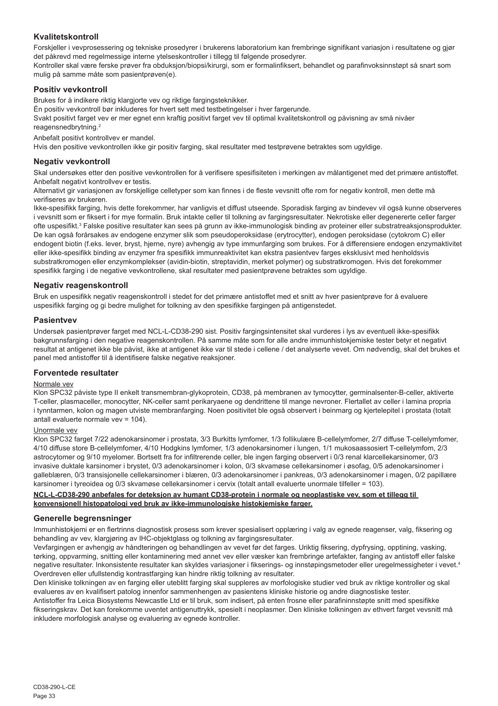## **Kvalitetskontroll**

Forskjeller i vevprosessering og tekniske prosedyrer i brukerens laboratorium kan frembringe signifikant variasjon i resultatene og gjør det påkrevd med regelmessige interne ytelseskontroller i tillegg til følgende prosedyrer.

Kontroller skal være ferske prøver fra obduksjon/biopsi/kirurgi, som er formalinfiksert, behandlet og parafinvoksinnstøpt så snart som mulig på samme måte som pasientprøven(e).

## **Positiv vevkontroll**

Brukes for å indikere riktig klargjorte vev og riktige fargingsteknikker.

Én positiv vevkontroll bør inkluderes for hvert sett med testbetingelser i hver fargerunde.

Svakt positivt farget vev er mer egnet enn kraftig positivt farget vev til optimal kvalitetskontroll og påvisning av små nivåer reagensnedbrytning.<sup>2</sup>

Anbefalt positivt kontrollvev er mandel.

Hvis den positive vevkontrollen ikke gir positiv farging, skal resultater med testprøvene betraktes som ugyldige.

#### **Negativ vevkontroll**

Skal undersøkes etter den positive vevkontrollen for å verifisere spesifisiteten i merkingen av målantigenet med det primære antistoffet. Anbefalt negativt kontrollvev er testis.

Alternativt gir variasjonen av forskjellige celletyper som kan finnes i de fleste vevsnitt ofte rom for negativ kontroll, men dette må verifiseres av brukeren.

Ikke-spesifikk farging, hvis dette forekommer, har vanligvis et diffust utseende. Sporadisk farging av bindevev vil også kunne observeres i vevsnitt som er fiksert i for mye formalin. Bruk intakte celler til tolkning av fargingsresultater. Nekrotiske eller degenererte celler farger ofte uspesifikt.<sup>3</sup> Falske positive resultater kan sees på grunn av ikke-immunologisk binding av proteiner eller substratreaksjonsprodukter. De kan også forårsakes av endogene enzymer slik som pseudoperoksidase (erytrocytter), endogen peroksidase (cytokrom C) eller endogent biotin (f.eks. lever, bryst, hjerne, nyre) avhengig av type immunfarging som brukes. For å differensiere endogen enzymaktivitet eller ikke-spesifikk binding av enzymer fra spesifikk immunreaktivitet kan ekstra pasientvev farges eksklusivt med henholdsvis substratkromogen eller enzymkomplekser (avidin-biotin, streptavidin, merket polymer) og substratkromogen. Hvis det forekommer spesifikk farging i de negative vevkontrollene, skal resultater med pasientprøvene betraktes som ugyldige.

## **Negativ reagenskontroll**

Bruk en uspesifikk negativ reagenskontroll i stedet for det primære antistoffet med et snitt av hver pasientprøve for å evaluere uspesifikk farging og gi bedre mulighet for tolkning av den spesifikke fargingen på antigenstedet.

#### **Pasientvev**

Undersøk pasientprøver farget med NCL-L-CD38-290 sist. Positiv fargingsintensitet skal vurderes i lys av eventuell ikke-spesifikk bakgrunnsfarging i den negative reagenskontrollen. På samme måte som for alle andre immunhistokjemiske tester betyr et negativt resultat at antigenet ikke ble påvist, ikke at antigenet ikke var til stede i cellene / det analyserte vevet. Om nødvendig, skal det brukes et panel med antistoffer til å identifisere falske negative reaksjoner.

## **Forventede resultater**

#### Normale vev

Klon SPC32 påviste type II enkelt transmembran-glykoprotein, CD38, på membranen av tymocytter, germinalsenter-B-celler, aktiverte T-celler, plasmaceller, monocytter, NK-celler samt perikaryaene og dendrittene til mange nevroner. Flertallet av celler i lamina propria i tynntarmen, kolon og magen utviste membranfarging. Noen positivitet ble også observert i beinmarg og kjertelepitel i prostata (totalt antall evaluerte normale vev = 104).

#### Unormale vev

Klon SPC32 farget 7/22 adenokarsinomer i prostata, 3/3 Burkitts lymfomer, 1/3 follikulære B-cellelymfomer, 2/7 diffuse T-cellelymfomer, 4/10 diffuse store B-cellelymfomer, 4/10 Hodgkins lymfomer, 1/3 adenokarsinomer i lungen, 1/1 mukosaassosiert T-cellelymfom, 2/3 astrocytomer og 9/10 myelomer. Bortsett fra for infiltrerende celler, ble ingen farging observert i 0/3 renal klarcellekarsinomer, 0/3 invasive duktale karsinomer i brystet, 0/3 adenokarsinomer i kolon, 0/3 skvamøse cellekarsinomer i øsofag, 0/5 adenokarsinomer i galleblæren, 0/3 transisjonelle cellekarsinomer i blæren, 0/3 adenokarsinomer i pankreas, 0/3 adenokarsinomer i magen, 0/2 papillære karsinomer i tyreoidea og 0/3 skvamøse cellekarsinomer i cervix (totalt antall evaluerte unormale tilfeller = 103).

#### **NCL-L-CD38-290 anbefales for deteksjon av humant CD38-protein i normale og neoplastiske vev, som et tillegg til konvensjonell histopatologi ved bruk av ikke-immunologiske histokjemiske farger.**

#### **Generelle begrensninger**

Immunhistokjemi er en flertrinns diagnostisk prosess som krever spesialisert opplæring i valg av egnede reagenser, valg, fiksering og behandling av vev, klargjøring av IHC-objektglass og tolkning av fargingsresultater.

Vevfargingen er avhengig av håndteringen og behandlingen av vevet før det farges. Uriktig fiksering, dypfrysing, opptining, vasking, tørking, oppvarming, snitting eller kontaminering med annet vev eller væsker kan frembringe artefakter, fanging av antistoff eller falske negative resultater. Inkonsistente resultater kan skyldes variasjoner i fikserings- og innstøpingsmetoder eller uregelmessigheter i vevet.<sup>4</sup> Overdreven eller ufullstendig kontrastfarging kan hindre riktig tolkning av resultater.

Den kliniske tolkningen av en farging eller uteblitt farging skal suppleres av morfologiske studier ved bruk av riktige kontroller og skal evalueres av en kvalifisert patolog innenfor sammenhengen av pasientens kliniske historie og andre diagnostiske tester.

Antistoffer fra Leica Biosystems Newcastle Ltd er til bruk, som indisert, på enten frosne eller parafininnstøpte snitt med spesifikke fikseringskrav. Det kan forekomme uventet antigenuttrykk, spesielt i neoplasmer. Den kliniske tolkningen av ethvert farget vevsnitt må inkludere morfologisk analyse og evaluering av egnede kontroller.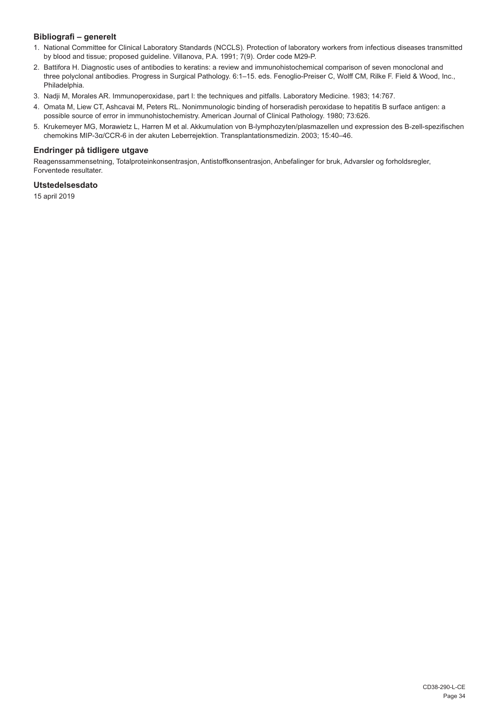## **Bibliografi – generelt**

- 1. National Committee for Clinical Laboratory Standards (NCCLS). Protection of laboratory workers from infectious diseases transmitted by blood and tissue; proposed guideline. Villanova, P.A. 1991; 7(9). Order code M29-P.
- 2. Battifora H. Diagnostic uses of antibodies to keratins: a review and immunohistochemical comparison of seven monoclonal and three polyclonal antibodies. Progress in Surgical Pathology. 6:1–15. eds. Fenoglio-Preiser C, Wolff CM, Rilke F. Field & Wood, Inc., Philadelphia.
- 3. Nadji M, Morales AR. Immunoperoxidase, part I: the techniques and pitfalls. Laboratory Medicine. 1983; 14:767.
- 4. Omata M, Liew CT, Ashcavai M, Peters RL. Nonimmunologic binding of horseradish peroxidase to hepatitis B surface antigen: a possible source of error in immunohistochemistry. American Journal of Clinical Pathology. 1980; 73:626.
- 5. Krukemeyer MG, Morawietz L, Harren M et al. Akkumulation von B-lymphozyten/plasmazellen und expression des B-zell-spezifischen chemokins MIP-3α/CCR-6 in der akuten Leberrejektion. Transplantationsmedizin. 2003; 15:40–46.

#### **Endringer på tidligere utgave**

Reagenssammensetning, Totalproteinkonsentrasjon, Antistoffkonsentrasjon, Anbefalinger for bruk, Advarsler og forholdsregler, Forventede resultater.

## **Utstedelsesdato**

15 april 2019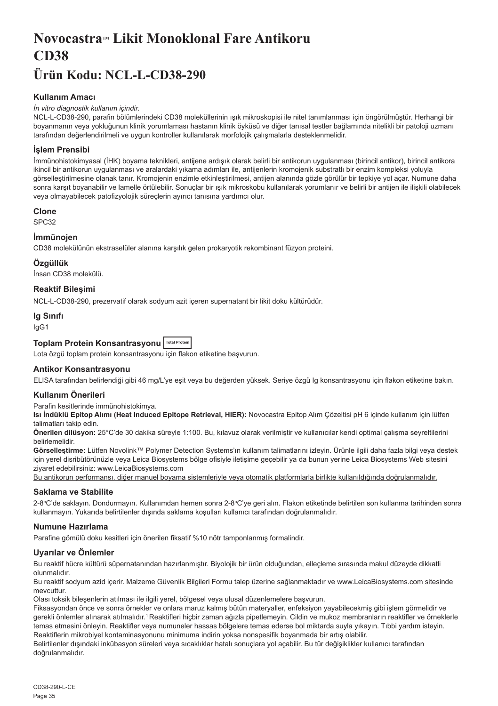# <span id="page-35-0"></span>**NovocastraTM Likit Monoklonal Fare Antikoru CD38**

# **Ürün Kodu: NCL-L-CD38-290**

## **Kullanım Amacı**

#### *İn vitro diagnostik kullanım içindir.*

NCL-L-CD38-290, parafin bölümlerindeki CD38 moleküllerinin ışık mikroskopisi ile nitel tanımlanması için öngörülmüştür. Herhangi bir boyanmanın veya yokluğunun klinik yorumlaması hastanın klinik öyküsü ve diğer tanısal testler bağlamında nitelikli bir patoloji uzmanı tarafından değerlendirilmeli ve uygun kontroller kullanılarak morfolojik çalışmalarla desteklenmelidir.

## **İşlem Prensibi**

İmmünohistokimyasal (İHK) boyama teknikleri, antijene ardışık olarak belirli bir antikorun uygulanması (birincil antikor), birincil antikora ikincil bir antikorun uygulanması ve aralardaki yıkama adımları ile, antijenlerin kromojenik substratlı bir enzim kompleksi yoluyla görselleştirilmesine olanak tanır. Kromojenin enzimle etkinleştirilmesi, antijen alanında gözle görülür bir tepkiye yol açar. Numune daha sonra karşıt boyanabilir ve lamelle örtülebilir. Sonuçlar bir ışık mikroskobu kullanılarak yorumlanır ve belirli bir antijen ile ilişkili olabilecek veya olmayabilecek patofizyolojik süreçlerin ayırıcı tanısına yardımcı olur.

## **Clone**

SPC32

## **İmmünojen**

CD38 molekülünün ekstraselüler alanına karşılık gelen prokaryotik rekombinant füzyon proteini.

#### **Özgüllük**

İnsan CD38 molekülü.

## **Reaktif Bileşimi**

NCL-L-CD38-290, prezervatif olarak sodyum azit içeren supernatant bir likit doku kültürüdür.

## **Ig Sınıfı**

IgG1

## **Toplam Protein Konsantrasyonu Total Protein**

Lota özgü toplam protein konsantrasyonu için flakon etiketine başvurun.

## **Antikor Konsantrasyonu**

ELISA tarafından belirlendiği gibi 46 mg/L'ye eşit veya bu değerden yüksek. Seriye özgü Ig konsantrasyonu için flakon etiketine bakın.

## **Kullanım Önerileri**

Parafin kesitlerinde immünohistokimya.

**Isı İndüklü Epitop Alımı (Heat Induced Epitope Retrieval, HIER):** Novocastra Epitop Alım Çözeltisi pH 6 içinde kullanım için lütfen talimatları takip edin.

**Önerilen dilüsyon:** 25°C'de 30 dakika süreyle 1:100. Bu, kılavuz olarak verilmiştir ve kullanıcılar kendi optimal çalışma seyreltilerini belirlemelidir.

**Görselleştirme:** Lütfen Novolink™ Polymer Detection Systems'ın kullanım talimatlarını izleyin. Ürünle ilgili daha fazla bilgi veya destek için yerel disribütörünüzle veya Leica Biosystems bölge ofisiyle iletişime geçebilir ya da bunun yerine Leica Biosystems Web sitesini ziyaret edebilirsiniz: www.LeicaBiosystems.com

Bu antikorun performansı, diğer manuel boyama sistemleriyle veya otomatik platformlarla birlikte kullanıldığında doğrulanmalıdır.

## **Saklama ve Stabilite**

2-8ºC'de saklayın. Dondurmayın. Kullanımdan hemen sonra 2-8ºC'ye geri alın. Flakon etiketinde belirtilen son kullanma tarihinden sonra kullanmayın. Yukarıda belirtilenler dışında saklama koşulları kullanıcı tarafından doğrulanmalıdır.

## **Numune Hazırlama**

Parafine gömülü doku kesitleri için önerilen fiksatif %10 nötr tamponlanmış formalindir.

## **Uyarılar ve Önlemler**

Bu reaktif hücre kültürü süpernatanından hazırlanmıştır. Biyolojik bir ürün olduğundan, elleçleme sırasında makul düzeyde dikkatli olunmalıdır.

Bu reaktif sodyum azid içerir. Malzeme Güvenlik Bilgileri Formu talep üzerine sağlanmaktadır ve www.LeicaBiosystems.com sitesinde mevcuttur.

Olası toksik bileşenlerin atılması ile ilgili yerel, bölgesel veya ulusal düzenlemelere başvurun.

Fiksasyondan önce ve sonra örnekler ve onlara maruz kalmış bütün materyaller, enfeksiyon yayabilecekmiş gibi işlem görmelidir ve gerekli önlemler alınarak atılmalıdır.<sup>1</sup>Reaktifleri hiçbir zaman ağızla pipetlemeyin. Cildin ve mukoz membranların reaktifler ve örneklerle temas etmesini önleyin. Reaktifler veya numuneler hassas bölgelere temas ederse bol miktarda suyla yıkayın. Tıbbi yardım isteyin. Reaktiflerin mikrobiyel kontaminasyonunu minimuma indirin yoksa nonspesifik boyanmada bir artış olabilir.

Belirtilenler dışındaki inkübasyon süreleri veya sıcaklıklar hatalı sonuçlara yol açabilir. Bu tür değişiklikler kullanıcı tarafından doğrulanmalıdır.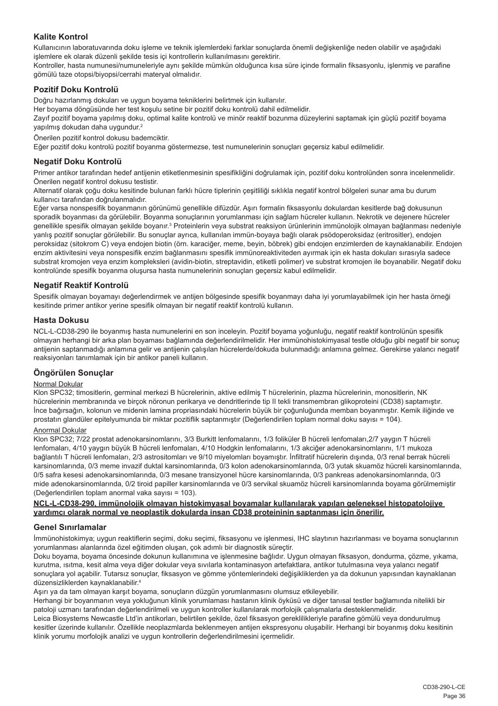## **Kalite Kontrol**

Kullanıcının laboratuvarında doku işleme ve teknik işlemlerdeki farklar sonuçlarda önemli değişkenliğe neden olabilir ve aşağıdaki işlemlere ek olarak düzenli şekilde tesis içi kontrollerin kullanılmasını gerektirir.

Kontroller, hasta numunesi/numuneleriyle aynı şekilde mümkün olduğunca kısa süre içinde formalin fiksasyonlu, işlenmiş ve parafine gömülü taze otopsi/biyopsi/cerrahi materyal olmalıdır.

## **Pozitif Doku Kontrolü**

Doğru hazırlanmış dokuları ve uygun boyama tekniklerini belirtmek için kullanılır.

Her boyama döngüsünde her test koşulu setine bir pozitif doku kontrolü dahil edilmelidir.

Zayıf pozitif boyama yapılmış doku, optimal kalite kontrolü ve minör reaktif bozunma düzeylerini saptamak için güçlü pozitif boyama yapılmış dokudan daha uygundur.<sup>2</sup>

Önerilen pozitif kontrol dokusu bademciktir.

Eğer pozitif doku kontrolü pozitif boyanma göstermezse, test numunelerinin sonuçları geçersiz kabul edilmelidir.

#### **Negatif Doku Kontrolü**

Primer antikor tarafından hedef antijenin etiketlenmesinin spesifikliğini doğrulamak için, pozitif doku kontrolünden sonra incelenmelidir. Önerilen negatif kontrol dokusu testistir.

Alternatif olarak çoğu doku kesitinde bulunan farklı hücre tiplerinin çeşitliliği sıklıkla negatif kontrol bölgeleri sunar ama bu durum kullanıcı tarafından doğrulanmalıdır.

Eğer varsa nonspesifik boyanmanın görünümü genellikle difüzdür. Aşırı formalin fiksasyonlu dokulardan kesitlerde bağ dokusunun sporadik boyanması da görülebilir. Boyanma sonuçlarının yorumlanması için sağlam hücreler kullanın. Nekrotik ve dejenere hücreler genellikle spesifik olmayan şekilde boyanır.<sup>3</sup> Proteinlerin veya substrat reaksiyon ürünlerinin immünolojik olmayan bağlanması nedeniyle yanlış pozitif sonuçlar görülebilir. Bu sonuçlar ayrıca, kullanılan immün-boyaya bağlı olarak psödoperoksidaz (eritrositler), endojen peroksidaz (sitokrom C) veya endojen biotin (örn. karaciğer, meme, beyin, böbrek) gibi endojen enzimlerden de kaynaklanabilir. Endojen enzim aktivitesini veya nonspesifik enzim bağlanmasını spesifik immünoreaktiviteden ayırmak için ek hasta dokuları sırasıyla sadece substrat kromojen veya enzim kompleksleri (avidin-biotin, streptavidin, etiketli polimer) ve substrat kromojen ile boyanabilir. Negatif doku kontrolünde spesifik boyanma oluşursa hasta numunelerinin sonuçları geçersiz kabul edilmelidir.

## **Negatif Reaktif Kontrolü**

Spesifik olmayan boyamayı değerlendirmek ve antijen bölgesinde spesifik boyanmayı daha iyi yorumlayabilmek için her hasta örneği kesitinde primer antikor yerine spesifik olmayan bir negatif reaktif kontrolü kullanın.

#### **Hasta Dokusu**

NCL-L-CD38-290 ile boyanmış hasta numunelerini en son inceleyin. Pozitif boyama yoğunluğu, negatif reaktif kontrolünün spesifik olmayan herhangi bir arka plan boyaması bağlamında değerlendirilmelidir. Her immünohistokimyasal testle olduğu gibi negatif bir sonuç antijenin saptanmadığı anlamına gelir ve antijenin çalışılan hücrelerde/dokuda bulunmadığı anlamına gelmez. Gerekirse yalancı negatif reaksiyonları tanımlamak için bir antikor paneli kullanın.

## **Öngörülen Sonuçlar**

## Normal Dokular

Klon SPC32; timositlerin, germinal merkezi B hücrelerinin, aktive edilmiş T hücrelerinin, plazma hücrelerinin, monositlerin, NK hücrelerinin membranında ve birçok nöronun perikarya ve dendritlerinde tip II tekli transmembran glikoproteini (CD38) saptamıştır. İnce bağırsağın, kolonun ve midenin lamina propriasındaki hücrelerin büyük bir çoğunluğunda memban boyanmıştır. Kemik iliğinde ve prostatın glandüler epitelyumunda bir miktar pozitiflik saptanmıştır (Değerlendirilen toplam normal doku sayısı = 104).

#### Anormal Dokular

Klon SPC32; 7/22 prostat adenokarsinomlarını, 3/3 Burkitt lenfomalarını, 1/3 foliküler B hücreli lenfomaları,2/7 yaygın T hücreli lenfomaları, 4/10 yaygın büyük B hücreli lenfomaları, 4/10 Hodgkin lenfomalarını, 1/3 akciğer adenokarsinomlarını, 1/1 mukoza bağlantılı T hücreli lenfomaları, 2/3 astrositomları ve 9/10 miyelomları boyamıştır. İnfiltratif hücrelerin dışında, 0/3 renal berrak hücreli karsinomlarında, 0/3 meme invazif duktal karsinomlarında, 0/3 kolon adenokarsinomlarında, 0/3 yutak skuamöz hücreli karsinomlarında, 0/5 safra kesesi adenokarsinomlarında, 0/3 mesane transizyonel hücre karsinomlarında, 0/3 pankreas adenokarsinomlarında, 0/3 mide adenokarsinomlarında, 0/2 tiroid papiller karsinomlarında ve 0/3 servikal skuamöz hücreli karsinomlarında boyama görülmemiştir (Değerlendirilen toplam anormal vaka sayısı = 103).

#### **NCL-L-CD38-290, immünolojik olmayan histokimyasal boyamalar kullanılarak yapılan geleneksel histopatolojiye yardımcı olarak normal ve neoplastik dokularda insan CD38 proteininin saptanması için önerilir.**

## **Genel Sınırlamalar**

İmmünohistokimya; uygun reaktiflerin seçimi, doku seçimi, fiksasyonu ve işlenmesi, IHC slaytının hazırlanması ve boyama sonuçlarının yorumlanması alanlarında özel eğitimden oluşan, çok adımlı bir diagnostik süreçtir.

Doku boyama, boyama öncesinde dokunun kullanımına ve işlenmesine bağlıdır. Uygun olmayan fiksasyon, dondurma, çözme, yıkama, kurutma, ısıtma, kesit alma veya diğer dokular veya sıvılarla kontaminasyon artefaktlara, antikor tutulmasına veya yalancı negatif sonuçlara yol açabilir. Tutarsız sonuçlar, fiksasyon ve gömme yöntemlerindeki değişikliklerden ya da dokunun yapısından kaynaklanan düzensizliklerden kaynaklanabilir.<sup>4</sup>

Aşırı ya da tam olmayan karşıt boyama, sonuçların düzgün yorumlanmasını olumsuz etkileyebilir.

Herhangi bir boyanmanın veya yokluğunun klinik yorumlaması hastanın klinik öyküsü ve diğer tanısal testler bağlamında nitelikli bir patoloji uzmanı tarafından değerlendirilmeli ve uygun kontroller kullanılarak morfolojik çalışmalarla desteklenmelidir.

Leica Biosystems Newcastle Ltd'in antikorları, belirtilen şekilde, özel fiksasyon gereklilikleriyle parafine gömülü veya dondurulmuş kesitler üzerinde kullanılır. Özellikle neoplazmlarda beklenmeyen antijen ekspresyonu oluşabilir. Herhangi bir boyanmış doku kesitinin klinik yorumu morfolojik analizi ve uygun kontrollerin değerlendirilmesini içermelidir.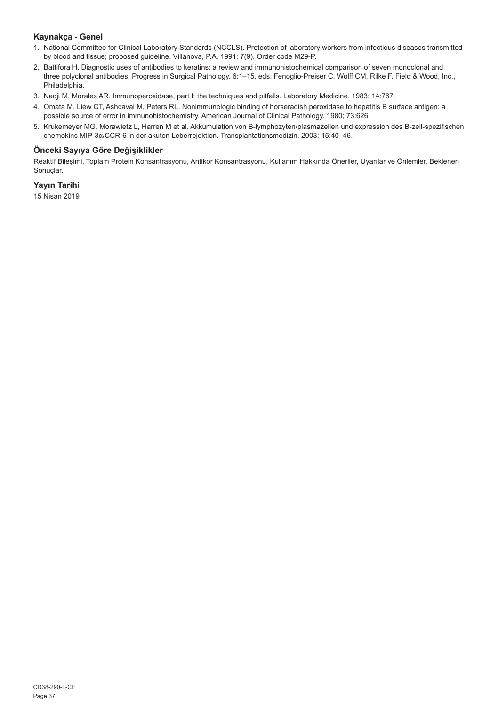## **Kaynakça - Genel**

- 1. National Committee for Clinical Laboratory Standards (NCCLS). Protection of laboratory workers from infectious diseases transmitted by blood and tissue; proposed guideline. Villanova, P.A. 1991; 7(9). Order code M29-P.
- 2. Battifora H. Diagnostic uses of antibodies to keratins: a review and immunohistochemical comparison of seven monoclonal and three polyclonal antibodies. Progress in Surgical Pathology. 6:1–15. eds. Fenoglio-Preiser C, Wolff CM, Rilke F. Field & Wood, Inc., Philadelphia.
- 3. Nadji M, Morales AR. Immunoperoxidase, part I: the techniques and pitfalls. Laboratory Medicine. 1983; 14:767.
- 4. Omata M, Liew CT, Ashcavai M, Peters RL. Nonimmunologic binding of horseradish peroxidase to hepatitis B surface antigen: a possible source of error in immunohistochemistry. American Journal of Clinical Pathology. 1980; 73:626.
- 5. Krukemeyer MG, Morawietz L, Harren M et al. Akkumulation von B-lymphozyten/plasmazellen und expression des B-zell-spezifischen chemokins MIP-3α/CCR-6 in der akuten Leberrejektion. Transplantationsmedizin. 2003; 15:40–46.

## **Önceki Sayıya Göre Değişiklikler**

Reaktif Bileşimi, Toplam Protein Konsantrasyonu, Antikor Konsantrasyonu, Kullanım Hakkında Öneriler, Uyarılar ve Önlemler, Beklenen Sonuclar.

## **Yayın Tarihi**

15 Nisan 2019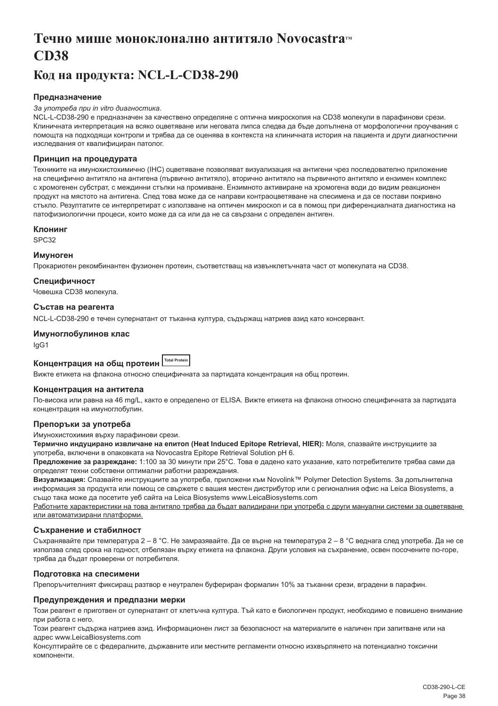# <span id="page-38-0"></span>Течно мише моноклонално антитяло Novocastra™ **CD38**

## **Код на продукта: NCL-L-CD38-290**

## **Предназначение**

#### *За употреба при in vitro диагностика.*

NCL-L-CD38-290 е предназначен за качествено определяне с оптична микроскопия на CD38 молекули в парафинови срези. Клиничната интерпретация на всяко оцветяване или неговата липса следва да бъде допълнена от морфологични проучвания с помощта на подходящи контроли и трябва да се оценява в контекста на клиничната история на пациента и други диагностични изследвания от квалифициран патолог.

#### **Принцип на процедурата**

Техниките на имунохистохимично (IHC) оцветяване позволяват визуализация на антигени чрез последователно приложение на специфично антитяло на антигена (първично антитяло), вторично антитяло на първичното антитяло и ензимен комплекс с хромогенен субстрат, с междинни стъпки на промиване. Ензимното активиране на хромогена води до видим реакционен продукт на мястото на антигена. След това може да се направи контраоцветяване на спесимена и да се постави покривно стъкло. Резултатите се интерпретират с използване на оптичен микроскоп и са в помощ при диференциалната диагностика на патофизиологични процеси, които може да са или да не са свързани с определен антиген.

#### **Клонинг**

SPC32

#### **Имуноген**

Прокариотен рекомбинантен фузионен протеин, съответстващ на извънклетъчната част от молекулата на CD38.

#### **Специфичност**

Човешка CD38 молекула.

#### **Състав на реагента**

NCL-L-CD38-290 е течен супернатант от тъканна култура, съдържащ натриев азид като консервант.

#### **Имуноглобулинов клас**

IgG1

## **Концентрация на общ протеин Total Protein**

Вижте етикета на флакона относно специфичната за партидата концентрация на общ протеин.

#### **Концентрация на антитела**

По-висока или равна на 46 mg/L, както е определено от ELISA. Вижте етикета на флакона относно специфичната за партидата концентрация на имуноглобулин.

#### **Препоръки за употреба**

Имунохистохимия върху парафинови срези.

**Термично индуцирано извличане на епитоп (Heat Induced Epitope Retrieval, HIER):** Моля, спазвайте инструкциите за употреба, включени в опаковката на Novocastra Epitope Retrieval Solution pH 6.

**Предложение за разреждане:** 1:100 за 30 минути при 25°C. Това е дадено като указание, като потребителите трябва сами да определят техни собствени оптимални работни разреждания.

**Визуализация:** Спазвайте инструкциите за употреба, приложени към Novolink™ Polymer Detection Systems. За допълнителна информация за продукта или помощ се свържете с вашия местен дистрибутор или с регионалния офис на Leica Biosystems, а също така може да посетите уеб сайта на Leica Biosystems www.LeicaBiosystems.com

Работните характеристики на това антитяло трябва да бъдат валидирани при употреба с други мануални системи за оцветяване или автоматизирани платформи.

#### **Съхранение и стабилност**

Съхранявайте при температура 2 – 8 °C. Не замразявайте. Да се върне на температура 2 – 8 °C веднага след употреба. Да не се използва след срока на годност, отбелязан върху етикета на флакона. Други условия на съхранение, освен посочените по-горе, трябва да бъдат проверени от потребителя.

## **Подготовка на спесимени**

Препоръчителният фиксиращ разтвор е неутрален буфериран формалин 10% за тъканни срези, вградени в парафин.

#### **Предупреждения и предпазни мерки**

Този реагент е приготвен от супернатант от клетъчна култура. Тъй като е биологичен продукт, необходимо е повишено внимание при работа с него.

Този реагент съдържа натриев азид. Информационен лист за безопасност на материалите е наличен при запитване или на адрес www.LeicaBiosystems.com

Консултирайте се с федералните, държавните или местните регламенти относно изхвърлянето на потенциално токсични компоненти.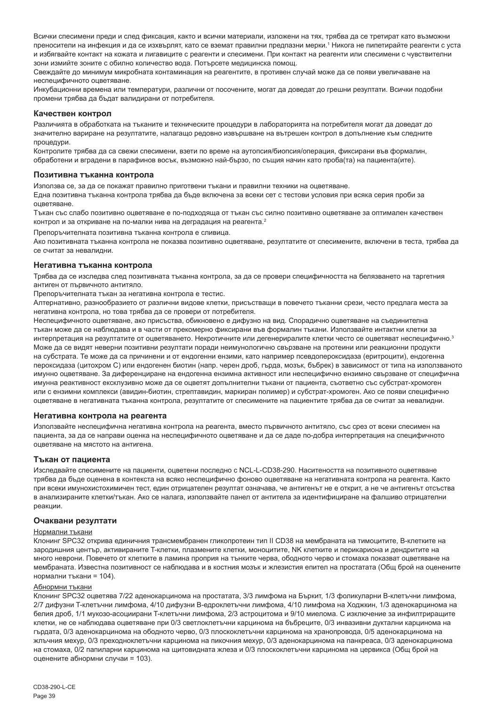Всички спесимени преди и след фиксация, както и всички материали, изложени на тях, трябва да се третират като възможни преносители на инфекция и да се изхвърлят, като се вземат правилни предпазни мерки.' Никога не пипетирайте реагенти с уста и избягвайте контакт на кожата и лигавиците с реагенти и спесимени. При контакт на реагенти или спесимени с чувствителни зони измийте зоните с обилно количество вода. Потърсете медицинска помощ.

Свеждайте до минимум микробната контаминация на реагентите, в противен случай може да се появи увеличаване на неспецифичното оцветяване.

Инкубационни времена или температури, различни от посочените, могат да доведат до грешни резултати. Всички подобни промени трябва да бъдат валидирани от потребителя.

#### **Качествен контрол**

Различията в обработката на тъканите и техническите процедури в лабораторията на потребителя могат да доведат до значително вариране на резултатите, налагащо редовно извършване на вътрешен контрол в допълнение към следните процедури.

Контролите трябва да са свежи спесимени, взети по време на аутопсия/биопсия/операция, фиксирани във формалин, обработени и вградени в парафинов восък, възможно най-бързо, по същия начин като проба(та) на пациента(ите).

#### **Позитивна тъканна контрола**

Използва се, за да се покажат правилно приготвени тъкани и правилни техники на оцветяване.

Една позитивна тъканна контрола трябва да бъде включена за всеки сет с тестови условия при всяка серия проби за оцветяване.

Тъкан със слабо позитивно оцветяване е по-подходяща от тъкан със силно позитивно оцветяване за оптимален качествен контрол и за откриване на по-малки нива на деградация на реагента.<sup>2</sup>

Препоръчителната позитивна тъканна контрола е сливица.

Ако позитивната тъканна контрола не показва позитивно оцветяване, резултатите от спесимените, включени в теста, трябва да се считат за невалидни.

#### **Негативна тъканна контрола**

Трябва да се изследва след позитивната тъканна контрола, за да се провери специфичността на белязването на таргетния антиген от първичното антитяло.

Препоръчителната тъкан за негативна контрола е тестис.

Алтернативно, разнообразието от различни видове клетки, присъстващи в повечето тъканни срези, често предлага места за негативна контрола, но това трябва да се провери от потребителя.

Неспецифичното оцветяване, ако присъства, обикновено е дифузно на вид. Спорадично оцветяване на съединителна тъкан може да се наблюдава и в части от прекомерно фиксирани във формалин тъкани. Използвайте интактни клетки за интерпретация на резултатите от оцветяването. Некротичните или дегенериралите клетки често се оцветяват неспецифично.<sup>3</sup> Може да се видят неверни позитивни резултати поради неимунологично свързване на протеини или реакционни продукти на субстрата. Те може да са причинени и от ендогенни ензими, като например псевдопероксидаза (еритроцити), ендогенна пероксидаза (цитохром C) или ендогенен биотин (напр. черен дроб, гърда, мозък, бъбрек) в зависимост от типа на използваното имунно оцветяване. За диференциране на ендогенна ензимна активност или неспецифично ензимно свързване от специфична имунна реактивност ексклузивно може да се оцветят допълнителни тъкани от пациента, съответно със субстрат-хромоген или с ензимни комплекси (авидин-биотин, стрептавидин, маркиран полимер) и субстрат-хромоген. Ако се появи специфично оцветяване в негативната тъканна контрола, резултатите от спесимените на пациентите трябва да се считат за невалидни.

#### **Негативна контрола на реагента**

Използвайте неспецифична негативна контрола на реагента, вместо първичното антитяло, със срез от всеки спесимен на пациента, за да се направи оценка на неспецифичното оцветяване и да се даде по-добра интерпретация на специфичното оцветяване на мястото на антигена.

#### **Тъкан от пациента**

Изследвайте спесимените на пациенти, оцветени последно с NCL-L-CD38-290. Наситеността на позитивното оцветяване трябва да бъде оценена в контекста на всяко неспецифично фоново оцветяване на негативната контрола на реагента. Както при всеки имунохистохимичен тест, един отрицателен резултат означава, че антигенът не е открит, а не че антигенът отсъства в анализираните клетки/тъкан. Ако се налага, използвайте панел от антитела за идентифициране на фалшиво отрицателни реакции.

## **Очаквани резултати**

#### Нормални тъкани

Клонинг SPC32 открива единичния трансмембранен гликопротеин тип II CD38 на мембраната на тимоцитите, B-клетките на зародишния център, активираните T-клетки, плазмените клетки, моноцитите, NK клетките и перикариона и дендритите на много неврони. Повечето от клетките в ламина проприя на тънките черва, ободното черво и стомаха показват оцветяване на мембраната. Известна позитивност се наблюдава и в костния мозък и жлезистия епител на простатата (Общ брой на оценените нормални тъкани = 104).

#### Абнормни тъкани

Клонинг SPC32 оцветява 7/22 аденокарцинома на простатата, 3/3 лимфома на Бъркит, 1/3 фоликуларни B-клетъчни лимфома, 2/7 дифузни T-клетъчни лимфома, 4/10 дифузни B-едроклетъчни лимфома, 4/10 лимфома на Ходжкин, 1/3 аденокарцинома на белия дроб, 1/1 мукозо-асоциирани T-клетъчни лимфома, 2/3 астроцитома и 9/10 миелома. С изключение за инфилтриращите клетки, не се наблюдава оцветяване при 0/3 светлоклетъчни карцинома на бъбреците, 0/3 инвазивни дуктални карцинома на гърдата, 0/3 аденокарцинома на ободното черво, 0/3 плоскоклетъчни карцинома на хранопровода, 0/5 аденокарцинома на жлъчния мехур, 0/3 преходноклетъчни карцинома на пикочния мехур, 0/3 аденокарцинома на панкреаса, 0/3 аденокарцинома на стомаха, 0/2 папиларни карцинома на щитовидната жлеза и 0/3 плоскоклетъчни карцинома на цервикса (Общ брой на оценените абнормни случаи = 103).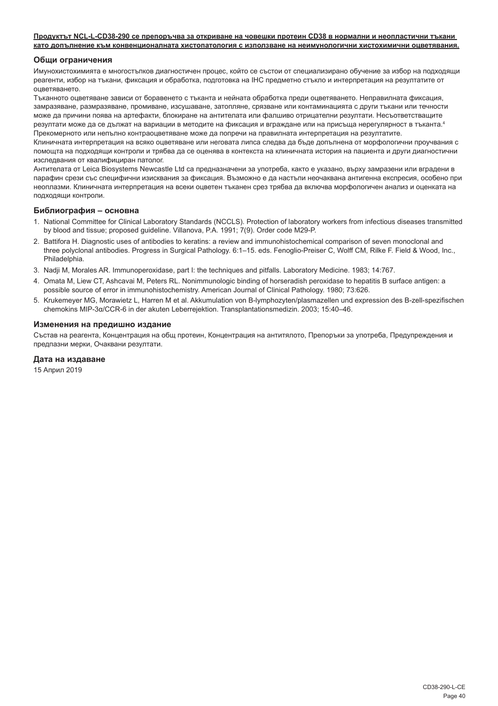#### **Продуктът NCL-L-CD38-290 се препоръчва за откриване на човешки протеин CD38 в нормални и неопластични тъкани като допълнение към конвенционалната хистопатология с използване на неимунологични хистохимични оцветявания.**

#### **Общи ограничения**

Имунохистохимията е многостъпков диагностичен процес, който се състои от специализирано обучение за избор на подходящи реагенти, избор на тъкани, фиксация и обработка, подготовка на IHC предметно стъкло и интерпретация на резултатите от оцветяването.

Тъканното оцветяване зависи от боравенето с тъканта и нейната обработка преди оцветяването. Неправилната фиксация, замразяване, размразяване, промиване, изсушаване, затопляне, срязване или контаминацията с други тъкани или течности може да причини поява на артефакти, блокиране на антителата или фалшиво отрицателни резултати. Несъответстващите резултати може да се дължат на вариации в методите на фиксация и вграждане или на присъща нерегулярност в тъканта.<sup>4</sup> Прекомерното или непълно контраоцветяване може да попречи на правилната интерпретация на резултатите.

Клиничната интерпретация на всяко оцветяване или неговата липса следва да бъде допълнена от морфологични проучвания с помощта на подходящи контроли и трябва да се оценява в контекста на клиничната история на пациента и други диагностични изследвания от квалифициран патолог.

Антителата от Leica Biosystems Newcastle Ltd са предназначени за употреба, както е указано, върху замразени или вградени в парафин срези със специфични изисквания за фиксация. Възможно е да настъпи неочаквана антигенна експресия, особено при неоплазми. Клиничната интерпретация на всеки оцветен тъканен срез трябва да включва морфологичен анализ и оценката на подходящи контроли.

#### **Библиография – основна**

- 1. National Committee for Clinical Laboratory Standards (NCCLS). Protection of laboratory workers from infectious diseases transmitted by blood and tissue; proposed guideline. Villanova, P.A. 1991; 7(9). Order code M29-P.
- 2. Battifora H. Diagnostic uses of antibodies to keratins: a review and immunohistochemical comparison of seven monoclonal and three polyclonal antibodies. Progress in Surgical Pathology. 6:1–15. eds. Fenoglio-Preiser C, Wolff CM, Rilke F. Field & Wood, Inc., Philadelphia.
- 3. Nadji M, Morales AR. Immunoperoxidase, part I: the techniques and pitfalls. Laboratory Medicine. 1983; 14:767.
- 4. Omata M, Liew CT, Ashcavai M, Peters RL. Nonimmunologic binding of horseradish peroxidase to hepatitis B surface antigen: a possible source of error in immunohistochemistry. American Journal of Clinical Pathology. 1980; 73:626.
- 5. Krukemeyer MG, Morawietz L, Harren M et al. Akkumulation von B-lymphozyten/plasmazellen und expression des B-zell-spezifischen chemokins MIP-3α/CCR-6 in der akuten Leberrejektion. Transplantationsmedizin. 2003; 15:40–46.

#### **Изменения на предишно издание**

Състав на реагента, Концентрация на общ протеин, Концентрация на антитялото, Препоръки за употреба, Предупреждения и предпазни мерки, Очаквани резултати.

#### **Дата на издаване**

15 Април 2019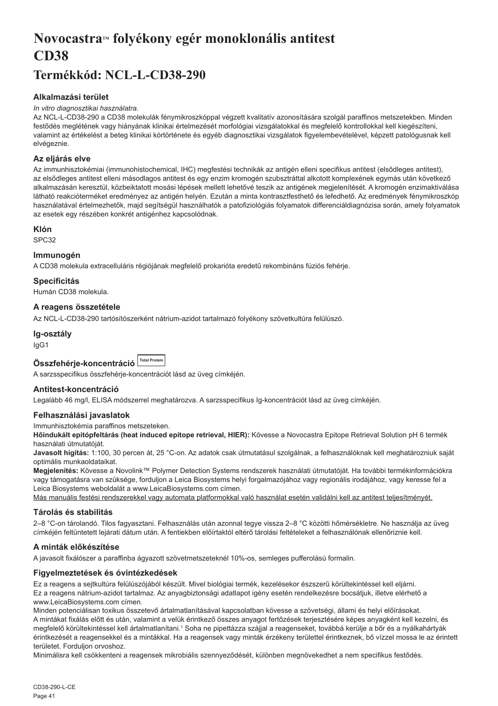# <span id="page-41-0"></span>Novocastra™ folyékony egér monoklonális antitest **CD38**

## **Termékkód: NCL-L-CD38-290**

## **Alkalmazási terület**

#### *In vitro diagnosztikai használatra.*

Az NCL-L-CD38-290 a CD38 molekulák fénymikroszkóppal végzett kvalitatív azonosítására szolgál paraffinos metszetekben. Minden festődés meglétének vagy hiányának klinikai értelmezését morfológiai vizsgálatokkal és megfelelő kontrollokkal kell kiegészíteni, valamint az értékelést a beteg klinikai kórtörténete és egyéb diagnosztikai vizsgálatok figyelembevételével, képzett patológusnak kell elvégeznie.

## **Az eljárás elve**

Az immunhisztokémiai (immunohistochemical, IHC) megfestési technikák az antigén elleni specifikus antitest (elsődleges antitest), az elsődleges antitest elleni másodlagos antitest és egy enzim kromogén szubsztráttal alkotott komplexének egymás után következő alkalmazásán keresztül, közbeiktatott mosási lépések mellett lehetővé teszik az antigének megjelenítését. A kromogén enzimaktiválása látható reakcióterméket eredményez az antigén helyén. Ezután a minta kontrasztfesthető és lefedhető. Az eredmények fénymikroszkóp használatával értelmezhetők, majd segítségül használhatók a patofiziológiás folyamatok differenciáldiagnózisa során, amely folyamatok az esetek egy részében konkrét antigénhez kapcsolódnak.

## **Klón**

SPC32

## **Immunogén**

A CD38 molekula extracelluláris régiójának megfelelő prokarióta eredetű rekombináns fúziós fehérje.

## **Specificitás**

Humán CD38 molekula.

## **A reagens összetétele**

Az NCL-L-CD38-290 tartósítószerként nátrium-azidot tartalmazó folyékony szövetkultúra felülúszó.

## **Ig-osztály**

IgG1

| Összfehérje-koncentráció ITOtal Protein |
|-----------------------------------------|
|-----------------------------------------|

A sarzsspecifikus összfehérje-koncentrációt lásd az üveg címkéjén.

## **Antitest-koncentráció**

Legalább 46 mg/l, ELISA módszerrel meghatározva. A sarzsspecifikus Ig-koncentrációt lásd az üveg címkéjén.

## **Felhasználási javaslatok**

#### Immunhisztokémia paraffinos metszeteken.

**Hőindukált epitópfeltárás (heat induced epitope retrieval, HIER):** Kövesse a Novocastra Epitope Retrieval Solution pH 6 termék használati útmutatóját.

**Javasolt hígítás:** 1:100, 30 percen át, 25 °C-on. Az adatok csak útmutatásul szolgálnak, a felhasználóknak kell meghatározniuk saját optimális munkaoldataikat.

**Megjelenítés:** Kövesse a Novolink™ Polymer Detection Systems rendszerek használati útmutatóját. Ha további termékinformációkra vagy támogatásra van szüksége, forduljon a Leica Biosystems helyi forgalmazójához vagy regionális irodájához, vagy keresse fel a Leica Biosystems weboldalát a www.LeicaBiosystems.com címen.

Más manuális festési rendszerekkel vagy automata platformokkal való használat esetén validálni kell az antitest teljesítményét.

## **Tárolás és stabilitás**

2–8 °C-on tárolandó. Tilos fagyasztani. Felhasználás után azonnal tegye vissza 2–8 °C közötti hőmérsékletre. Ne használja az üveg címkéjén feltüntetett lejárati dátum után. A fentiekben előírtaktól eltérő tárolási feltételeket a felhasználónak ellenőriznie kell.

## **A minták előkészítése**

A javasolt fixálószer a paraffinba ágyazott szövetmetszeteknél 10%-os, semleges pufferolású formalin.

## **Figyelmeztetések és óvintézkedések**

Ez a reagens a sejtkultúra felülúszójából készült. Mivel biológiai termék, kezelésekor észszerű körültekintéssel kell eljárni. Ez a reagens nátrium-azidot tartalmaz. Az anyagbiztonsági adatlapot igény esetén rendelkezésre bocsátjuk, illetve elérhető a www.LeicaBiosystems.com címen.

Minden potenciálisan toxikus összetevő ártalmatlanításával kapcsolatban kövesse a szövetségi, állami és helyi előírásokat. A mintákat fixálás előtt és után, valamint a velük érintkező összes anyagot fertőzések terjesztésére képes anyagként kell kezelni, és megfelelő körültekintéssel kell ártalmatlanítani.1 Soha ne pipettázza szájjal a reagenseket, továbbá kerülje a bőr és a nyálkahártyák érintkezését a reagensekkel és a mintákkal. Ha a reagensek vagy minták érzékeny területtel érintkeznek, bő vízzel mossa le az érintett területet. Forduljon orvoshoz.

Minimálisra kell csökkenteni a reagensek mikrobiális szennyeződését, különben megnövekedhet a nem specifikus festődés.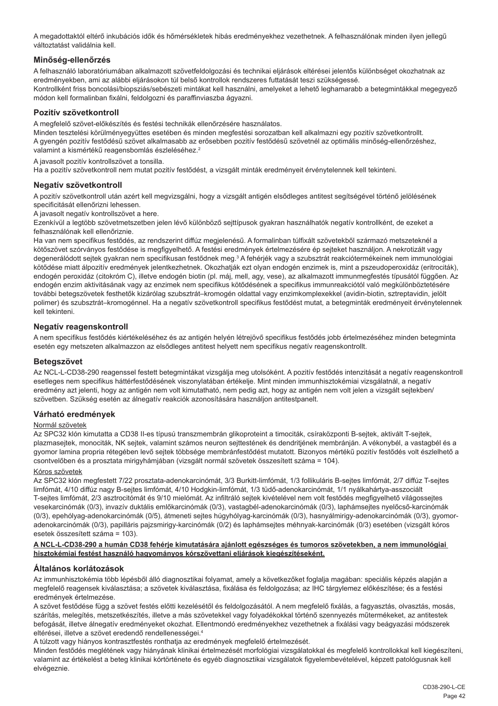A megadottaktól eltérő inkubációs idők és hőmérsékletek hibás eredményekhez vezethetnek. A felhasználónak minden ilyen jellegű változtatást validálnia kell.

## **Minőség-ellenőrzés**

A felhasználó laboratóriumában alkalmazott szövetfeldolgozási és technikai eljárások eltérései jelentős különbséget okozhatnak az eredményekben, ami az alábbi eljárásokon túl belső kontrollok rendszeres futtatását teszi szükségessé. Kontrollként friss boncolási/biopsziás/sebészeti mintákat kell használni, amelyeket a lehető leghamarabb a betegmintákkal megegyező módon kell formalinban fixálni, feldolgozni és paraffinviaszba ágyazni.

## **Pozitív szövetkontroll**

A megfelelő szövet-előkészítés és festési technikák ellenőrzésére használatos.

Minden tesztelési körülményegyüttes esetében és minden megfestési sorozatban kell alkalmazni egy pozitív szövetkontrollt. A gyengén pozitív festődésű szövet alkalmasabb az erősebben pozitív festődésű szövetnél az optimális minőség-ellenőrzéshez, valamint a kismértékű reagensbomlás észleléséhez.<sup>2</sup>

A javasolt pozitív kontrollszövet a tonsilla.

Ha a pozitív szövetkontroll nem mutat pozitív festődést, a vizsgált minták eredményeit érvénytelennek kell tekinteni.

## **Negatív szövetkontroll**

A pozitív szövetkontroll után azért kell megvizsgálni, hogy a vizsgált antigén elsődleges antitest segítségével történő jelölésének specificitását ellenőrizni lehessen.

A javasolt negatív kontrollszövet a here.

Ezenkívül a legtöbb szövetmetszetben jelen lévő különböző sejttípusok gyakran használhatók negatív kontrollként, de ezeket a felhasználónak kell ellenőriznie.

Ha van nem specifikus festődés, az rendszerint diffúz megjelenésű. A formalinban túlfixált szövetekből származó metszeteknél a kötőszövet szórványos festődése is megfigyelhető. A festési eredmények értelmezésére ép sejteket használjon. A nekrotizált vagy degenerálódott sejtek gyakran nem specifikusan festődnek meg.<sup>3</sup> A fehérjék vagy a szubsztrát reakciótermékeinek nem immunológiai kötődése miatt álpozitív eredmények jelentkezhetnek. Okozhatják ezt olyan endogén enzimek is, mint a pszeudoperoxidáz (eritrociták), endogén peroxidáz (citokróm C), illetve endogén biotin (pl. máj, mell, agy, vese), az alkalmazott immunmegfestés típusától függően. Az endogén enzim aktivitásának vagy az enzimek nem specifikus kötődésének a specifikus immunreakciótól való megkülönböztetésére további betegszövetek festhetők kizárólag szubsztrát–kromogén oldattal vagy enzimkomplexekkel (avidin-biotin, sztreptavidin, jelölt polimer) és szubsztrát–kromogénnel. Ha a negatív szövetkontroll specifikus festődést mutat, a betegminták eredményeit érvénytelennek kell tekinteni.

## **Negatív reagenskontroll**

A nem specifikus festődés kiértékeléséhez és az antigén helyén létrejövő specifikus festődés jobb értelmezéséhez minden betegminta esetén egy metszeten alkalmazzon az elsődleges antitest helyett nem specifikus negatív reagenskontrollt.

#### **Betegszövet**

Az NCL-L-CD38-290 reagenssel festett betegmintákat vizsgálja meg utolsóként. A pozitív festődés intenzitását a negatív reagenskontroll esetleges nem specifikus háttérfestődésének viszonylatában értékelje. Mint minden immunhisztokémiai vizsgálatnál, a negatív eredmény azt jelenti, hogy az antigén nem volt kimutatható, nem pedig azt, hogy az antigén nem volt jelen a vizsgált sejtekben/ szövetben. Szükség esetén az álnegatív reakciók azonosítására használjon antitestpanelt.

## **Várható eredmények**

#### Normál szövetek

Az SPC32 klón kimutatta a CD38 II-es típusú transzmembrán glikoproteint a timociták, csíraközponti B-sejtek, aktivált T-sejtek, plazmasejtek, monociták, NK sejtek, valamint számos neuron sejttestének és dendritjének membránján. A vékonybél, a vastagbél és a gyomor lamina propria rétegében levő sejtek többsége membránfestődést mutatott. Bizonyos mértékű pozitív festődés volt észlelhető a csontvelőben és a prosztata mirigyhámjában (vizsgált normál szövetek összesített száma = 104).

## Kóros szövetek

Az SPC32 klón megfestett 7/22 prosztata-adenokarcinómát, 3/3 Burkitt-limfómát, 1/3 follikuláris B-sejtes limfómát, 2/7 diffúz T-sejtes limfómát, 4/10 diffúz nagy B-sejtes limfómát, 4/10 Hodgkin-limfómát, 1/3 tüdő-adenokarcinómát, 1/1 nyálkahártya-asszociált T-sejtes limfómát, 2/3 asztrocitómát és 9/10 mielómát. Az infiltráló sejtek kivételével nem volt festődés megfigyelhető világossejtes vesekarcinómák (0/3), invazív duktális emlőkarcinómák (0/3), vastagbél-adenokarcinómák (0/3), laphámsejtes nyelőcső-karcinómák (0/3), epehólyag-adenokarcinómák (0/5), átmeneti sejtes húgyhólyag-karcinómák (0/3), hasnyálmirigy-adenokarcinómák (0/3), gyomoradenokarcinómák (0/3), papilláris pajzsmirigy-karcinómák (0/2) és laphámsejtes méhnyak-karcinómák (0/3) esetében (vizsgált kóros esetek összesített száma = 103).

#### **A NCL-L-CD38-290 a humán CD38 fehérje kimutatására ajánlott egészséges és tumoros szövetekben, a nem immunológiai hisztokémiai festést használó hagyományos kórszövettani eljárások kiegészítéseként.**

## **Általános korlátozások**

Az immunhisztokémia több lépésből álló diagnosztikai folyamat, amely a következőket foglalja magában: speciális képzés alapján a megfelelő reagensek kiválasztása; a szövetek kiválasztása, fixálása és feldolgozása; az IHC tárgylemez előkészítése; és a festési eredmények értelmezése.

A szövet festődése függ a szövet festés előtti kezelésétől és feldolgozásától. A nem megfelelő fixálás, a fagyasztás, olvasztás, mosás, szárítás, melegítés, metszetkészítés, illetve a más szövetekkel vagy folyadékokkal történő szennyezés műtermékeket, az antitestek befogását, illetve álnegatív eredményeket okozhat. Ellentmondó eredményekhez vezethetnek a fixálási vagy beágyazási módszerek eltérései, illetve a szövet eredendő rendellenességei.<sup>4</sup>

A túlzott vagy hiányos kontrasztfestés ronthatja az eredmények megfelelő értelmezését.

Minden festődés meglétének vagy hiányának klinikai értelmezését morfológiai vizsgálatokkal és megfelelő kontrollokkal kell kiegészíteni, valamint az értékelést a beteg klinikai kórtörténete és egyéb diagnosztikai vizsgálatok figyelembevételével, képzett patológusnak kell elvégeznie.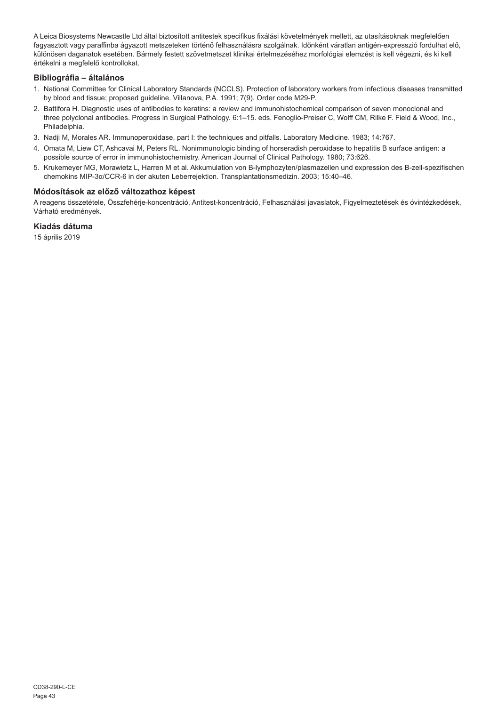A Leica Biosystems Newcastle Ltd által biztosított antitestek specifikus fixálási követelmények mellett, az utasításoknak megfelelően fagyasztott vagy paraffinba ágyazott metszeteken történő felhasználásra szolgálnak. Időnként váratlan antigén-expresszió fordulhat elő, különösen daganatok esetében. Bármely festett szövetmetszet klinikai értelmezéséhez morfológiai elemzést is kell végezni, és ki kell értékelni a megfelelő kontrollokat.

## **Bibliográfia – általános**

- 1. National Committee for Clinical Laboratory Standards (NCCLS). Protection of laboratory workers from infectious diseases transmitted by blood and tissue; proposed guideline. Villanova, P.A. 1991; 7(9). Order code M29-P.
- 2. Battifora H. Diagnostic uses of antibodies to keratins: a review and immunohistochemical comparison of seven monoclonal and three polyclonal antibodies. Progress in Surgical Pathology. 6:1–15. eds. Fenoglio-Preiser C, Wolff CM, Rilke F. Field & Wood, Inc., Philadelphia.
- 3. Nadji M, Morales AR. Immunoperoxidase, part I: the techniques and pitfalls. Laboratory Medicine. 1983; 14:767.
- 4. Omata M, Liew CT, Ashcavai M, Peters RL. Nonimmunologic binding of horseradish peroxidase to hepatitis B surface antigen: a possible source of error in immunohistochemistry. American Journal of Clinical Pathology. 1980; 73:626.
- 5. Krukemeyer MG, Morawietz L, Harren M et al. Akkumulation von B-lymphozyten/plasmazellen und expression des B-zell-spezifischen chemokins MIP-3α/CCR-6 in der akuten Leberrejektion. Transplantationsmedizin. 2003; 15:40–46.

#### **Módosítások az előző változathoz képest**

A reagens összetétele, Összfehérje-koncentráció, Antitest-koncentráció, Felhasználási javaslatok, Figyelmeztetések és óvintézkedések, Várható eredmények.

## **Kiadás dátuma**

15 április 2019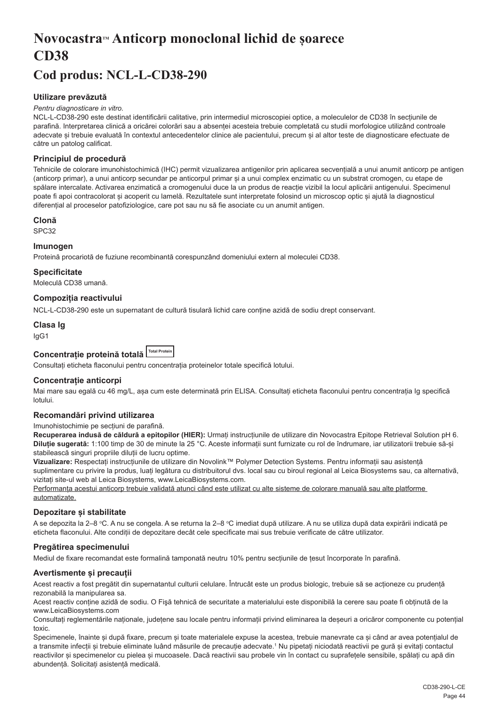# <span id="page-44-0"></span>**NovocastraTM Anticorp monoclonal lichid de șoarece CD38**

## **Cod produs: NCL-L-CD38-290**

## **Utilizare prevăzută**

#### *Pentru diagnosticare in vitro.*

NCL-L-CD38-290 este destinat identificării calitative, prin intermediul microscopiei optice, a moleculelor de CD38 în secțiunile de parafină. Interpretarea clinică a oricărei colorări sau a absenței acesteia trebuie completată cu studii morfologice utilizând controale adecvate și trebuie evaluată în contextul antecedentelor clinice ale pacientului, precum și al altor teste de diagnosticare efectuate de către un patolog calificat.

## **Principiul de procedură**

Tehnicile de colorare imunohistochimică (IHC) permit vizualizarea antigenilor prin aplicarea secvențială a unui anumit anticorp pe antigen (anticorp primar), a unui anticorp secundar pe anticorpul primar și a unui complex enzimatic cu un substrat cromogen, cu etape de spălare intercalate. Activarea enzimatică a cromogenului duce la un produs de reacție vizibil la locul aplicării antigenului. Specimenul poate fi apoi contracolorat și acoperit cu lamelă. Rezultatele sunt interpretate folosind un microscop optic și ajută la diagnosticul diferențial al proceselor patofiziologice, care pot sau nu să fie asociate cu un anumit antigen.

## **Clonă**

SPC32

## **Imunogen**

Proteină procariotă de fuziune recombinantă corespunzând domeniului extern al moleculei CD38.

## **Specificitate**

Moleculă CD38 umană.

## **Compoziția reactivului**

NCL-L-CD38-290 este un supernatant de cultură tisulară lichid care conține azidă de sodiu drept conservant.

## **Clasa Ig**

IgG1

| Concentrație proteină totală Total Protein |  |
|--------------------------------------------|--|
|                                            |  |

Consultați eticheta flaconului pentru concentrația proteinelor totale specifică lotului.

#### **Concentrație anticorpi**

Mai mare sau egală cu 46 mg/L, asa cum este determinată prin ELISA. Consultati eticheta flaconului pentru concentratia Ig specifică lotului.

## **Recomandări privind utilizarea**

Imunohistochimie pe secțiuni de parafină.

**Recuperarea indusă de căldură a epitopilor (HIER):** Urmați instrucțiunile de utilizare din Novocastra Epitope Retrieval Solution pH 6. Dilutie sugerată: 1:100 timp de 30 de minute la 25 °C. Aceste informații sunt furnizate cu rol de îndrumare, iar utilizatorii trebuie să-și stabilească singuri propriile diluții de lucru optime.

**Vizualizare:** Respectați instrucțiunile de utilizare din Novolink™ Polymer Detection Systems. Pentru informații sau asistență suplimentare cu privire la produs, luați legătura cu distribuitorul dvs. local sau cu biroul regional al Leica Biosystems sau, ca alternativă, vizitați site-ul web al Leica Biosystems, www.LeicaBiosystems.com.

Performanța acestui anticorp trebuie validată atunci când este utilizat cu alte sisteme de colorare manuală sau alte platforme automatizate.

## **Depozitare și stabilitate**

A se depozita la 2–8 °C. A nu se congela. A se returna la 2–8 °C imediat după utilizare. A nu se utiliza după data expirării indicată pe eticheta flaconului. Alte condiții de depozitare decât cele specificate mai sus trebuie verificate de către utilizator.

## **Pregătirea specimenului**

Mediul de fixare recomandat este formalină tamponată neutru 10% pentru secțiunile de țesut încorporate în parafină.

#### **Avertismente și precauții**

Acest reactiv a fost pregătit din supernatantul culturii celulare. Întrucât este un produs biologic, trebuie să se acționeze cu prudență rezonabilă la manipularea sa.

Acest reactiv conține azidă de sodiu. O Fişă tehnică de securitate a materialului este disponibilă la cerere sau poate fi obținută de la www.LeicaBiosystems.com

Consultați reglementările naționale, județene sau locale pentru informații privind eliminarea la deșeuri a oricăror componente cu potențial toxic.

Specimenele, înainte și după fixare, precum și toate materialele expuse la acestea, trebuie manevrate ca și când ar avea potențialul de a transmite infecții și trebuie eliminate luând măsurile de precauție adecvate.1 Nu pipetați niciodată reactivii pe gură și evitați contactul reactivilor și specimenelor cu pielea și mucoasele. Dacă reactivii sau probele vin în contact cu suprafețele sensibile, spălați cu apă din abundență. Solicitați asistență medicală.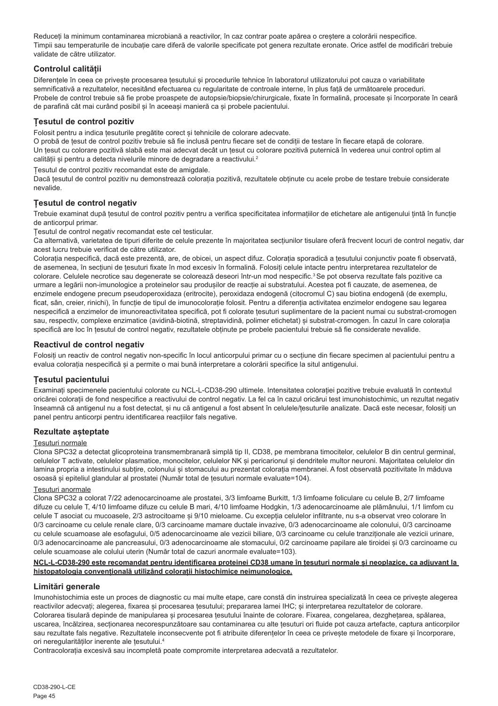Reduceți la minimum contaminarea microbiană a reactivilor, în caz contrar poate apărea o creștere a colorării nespecifice. Timpii sau temperaturile de incubație care diferă de valorile specificate pot genera rezultate eronate. Orice astfel de modificări trebuie validate de către utilizator.

## **Controlul calității**

Diferențele în ceea ce privește procesarea țesutului și procedurile tehnice în laboratorul utilizatorului pot cauza o variabilitate semnificativă a rezultatelor, necesitând efectuarea cu regularitate de controale interne, în plus față de următoarele proceduri. Probele de control trebuie să fie probe proaspete de autopsie/biopsie/chirurgicale, fixate în formalină, procesate și încorporate în ceară de parafină cât mai curând posibil și în aceeași manieră ca și probele pacientului.

## **Țesutul de control pozitiv**

Folosit pentru a indica țesuturile pregătite corect și tehnicile de colorare adecvate.

O probă de țesut de control pozitiv trebuie să fie inclusă pentru fiecare set de condiții de testare în fiecare etapă de colorare. Un țesut cu colorare pozitivă slabă este mai adecvat decât un țesut cu colorare pozitivă puternică în vederea unui control optim al calității și pentru a detecta nivelurile minore de degradare a reactivului.<sup>2</sup>

Țesutul de control pozitiv recomandat este de amigdale.

Dacă țesutul de control pozitiv nu demonstrează colorația pozitivă, rezultatele obținute cu acele probe de testare trebuie considerate nevalide.

## **Țesutul de control negativ**

Trebuie examinat după țesutul de control pozitiv pentru a verifica specificitatea informațiilor de etichetare ale antigenului țintă în funcție de anticorpul primar.

Țesutul de control negativ recomandat este cel testicular.

Ca alternativă, varietatea de tipuri diferite de celule prezente în majoritatea secțiunilor tisulare oferă frecvent locuri de control negativ, dar acest lucru trebuie verificat de către utilizator.

Colorația nespecifică, dacă este prezentă, are, de obicei, un aspect difuz. Colorația sporadică a țesutului conjunctiv poate fi observată, de asemenea, în secțiuni de țesuturi fixate în mod excesiv în formalină. Folosiți celule intacte pentru interpretarea rezultatelor de colorare. Celulele necrotice sau degenerate se colorează deseori într-un mod nespecific.<sup>3</sup>Se pot observa rezultate fals pozitive ca urmare a legării non-imunologice a proteinelor sau produșilor de reacție ai substratului. Acestea pot fi cauzate, de asemenea, de enzimele endogene precum pseudoperoxidaza (eritrocite), peroxidaza endogenă (citocromul C) sau biotina endogenă (de exemplu, ficat, sân, creier, rinichi), în funcție de tipul de imunocolorație folosit. Pentru a diferenția activitatea enzimelor endogene sau legarea nespecifică a enzimelor de imunoreactivitatea specifică, pot fi colorate tesuturi suplimentare de la pacient numai cu substrat-cromogen sau, respectiv, complexe enzimatice (avidină-biotină, streptavidină, polimer etichetat) și substrat-cromogen. În cazul în care colorația specifică are loc în țesutul de control negativ, rezultatele obținute pe probele pacientului trebuie să fie considerate nevalide.

## **Reactivul de control negativ**

Folosiți un reactiv de control negativ non-specific în locul anticorpului primar cu o secțiune din fiecare specimen al pacientului pentru a evalua colorația nespecifică și a permite o mai bună interpretare a colorării specifice la situl antigenului.

## **Țesutul pacientului**

Examinați specimenele pacientului colorate cu NCL-L-CD38-290 ultimele. Intensitatea colorației pozitive trebuie evaluată în contextul oricărei colorații de fond nespecifice a reactivului de control negativ. La fel ca în cazul oricărui test imunohistochimic, un rezultat negativ înseamnă că antigenul nu a fost detectat, și nu că antigenul a fost absent în celulele/țesuturile analizate. Dacă este necesar, folosiți un panel pentru anticorpi pentru identificarea reacțiilor fals negative.

## **Rezultate așteptate**

#### Țesuturi normale

Clona SPC32 a detectat glicoproteina transmembranară simplă tip II, CD38, pe membrana timocitelor, celulelor B din centrul germinal, celulelor T activate, celulelor plasmatice, monocitelor, celulelor NK și pericarionul și dendritele multor neuroni. Majoritatea celulelor din lamina propria a intestinului subțire, colonului și stomacului au prezentat colorația membranei. A fost observată pozitivitate în măduva osoasă și epiteliul glandular al prostatei (Număr total de țesuturi normale evaluate=104).

#### Țesuturi anormale

Clona SPC32 a colorat 7/22 adenocarcinoame ale prostatei, 3/3 limfoame Burkitt, 1/3 limfoame foliculare cu celule B, 2/7 limfoame difuze cu celule T, 4/10 limfoame difuze cu celule B mari, 4/10 limfoame Hodgkin, 1/3 adenocarcinoame ale plămânului, 1/1 limfom cu celule T asociat cu mucoasele, 2/3 astrocitoame și 9/10 mieloame. Cu exceptia celulelor infiltrante, nu s-a observat vreo colorare în 0/3 carcinoame cu celule renale clare, 0/3 carcinoame mamare ductale invazive, 0/3 adenocarcinoame ale colonului, 0/3 carcinoame cu celule scuamoase ale esofagului, 0/5 adenocarcinoame ale vezicii biliare, 0/3 carcinoame cu celule tranziționale ale vezicii urinare, 0/3 adenocarcinoame ale pancreasului, 0/3 adenocarcinoame ale stomacului, 0/2 carcinoame papilare ale tiroidei și 0/3 carcinoame cu celule scuamoase ale colului uterin (Număr total de cazuri anormale evaluate=103).

#### **NCL-L-CD38-290 este recomandat pentru identificarea proteinei CD38 umane în țesuturi normale și neoplazice, ca adjuvant la histopatologia convențională utilizând colorații histochimice neimunologice.**

## **Limitări generale**

Imunohistochimia este un proces de diagnostic cu mai multe etape, care constă din instruirea specializată în ceea ce privește alegerea reactivilor adecvați; alegerea, fixarea și procesarea țesutului; prepararea lamei IHC; și interpretarea rezultatelor de colorare. Colorarea tisulară depinde de manipularea și procesarea țesutului înainte de colorare. Fixarea, congelarea, dezghețarea, spălarea, uscarea, încălzirea, secționarea necorespunzătoare sau contaminarea cu alte țesuturi ori fluide pot cauza artefacte, captura anticorpilor sau rezultate fals negative. Rezultatele inconsecvente pot fi atribuite diferențelor în ceea ce privește metodele de fixare și încorporare, ori neregularităților inerente ale țesutului.<sup>4</sup>

Contracolorația excesivă sau incompletă poate compromite interpretarea adecvată a rezultatelor.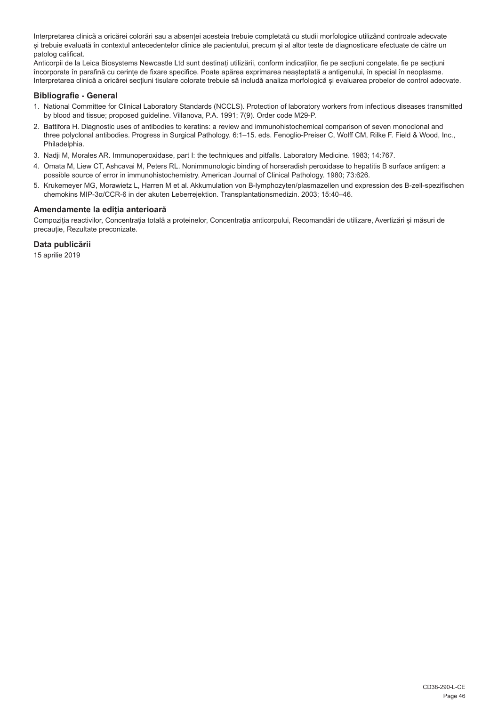Interpretarea clinică a oricărei colorări sau a absenței acesteia trebuie completată cu studii morfologice utilizând controale adecvate și trebuie evaluată în contextul antecedentelor clinice ale pacientului, precum și al altor teste de diagnosticare efectuate de către un patolog calificat.

Anticorpii de la Leica Biosystems Newcastle Ltd sunt destinați utilizării, conform indicațiilor, fie pe secțiuni congelate, fie pe secțiuni încorporate în parafină cu cerințe de fixare specifice. Poate apărea exprimarea neașteptată a antigenului, în special în neoplasme. Interpretarea clinică a oricărei secțiuni tisulare colorate trebuie să includă analiza morfologică și evaluarea probelor de control adecvate.

## **Bibliografie - General**

- 1. National Committee for Clinical Laboratory Standards (NCCLS). Protection of laboratory workers from infectious diseases transmitted by blood and tissue; proposed guideline. Villanova, P.A. 1991; 7(9). Order code M29-P.
- 2. Battifora H. Diagnostic uses of antibodies to keratins: a review and immunohistochemical comparison of seven monoclonal and three polyclonal antibodies. Progress in Surgical Pathology. 6:1–15. eds. Fenoglio-Preiser C, Wolff CM, Rilke F. Field & Wood, Inc., Philadelphia.
- 3. Nadji M, Morales AR. Immunoperoxidase, part I: the techniques and pitfalls. Laboratory Medicine. 1983; 14:767.
- 4. Omata M, Liew CT, Ashcavai M, Peters RL. Nonimmunologic binding of horseradish peroxidase to hepatitis B surface antigen: a possible source of error in immunohistochemistry. American Journal of Clinical Pathology. 1980; 73:626.
- 5. Krukemeyer MG, Morawietz L, Harren M et al. Akkumulation von B-lymphozyten/plasmazellen und expression des B-zell-spezifischen chemokins MIP-3α/CCR-6 in der akuten Leberrejektion. Transplantationsmedizin. 2003; 15:40–46.

## **Amendamente la ediția anterioară**

Compoziția reactivilor, Concentrația totală a proteinelor, Concentrația anticorpului, Recomandări de utilizare, Avertizări și măsuri de precauție, Rezultate preconizate.

## **Data publicării**

15 aprilie 2019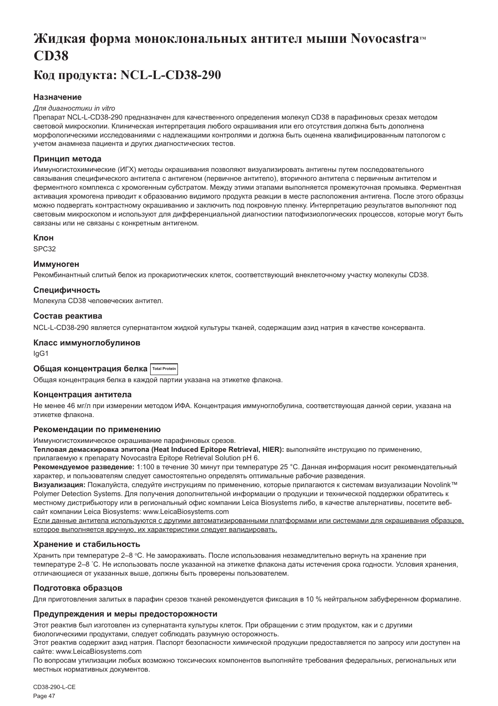# <span id="page-47-0"></span>**Жидкая форма моноклональных антител мыши Novocastra CD38**

# **Код продукта: NCL-L-CD38-290**

## **Назначение**

#### *Для диагностики in vitro*

Препарат NCL-L-CD38-290 предназначен для качественного определения молекул CD38 в парафиновых срезах методом световой микроскопии. Клиническая интерпретация любого окрашивания или его отсутствия должна быть дополнена морфологическими исследованиями с надлежащими контролями и должна быть оценена квалифицированным патологом с учетом анамнеза пациента и других диагностических тестов.

#### **Принцип метода**

Иммуногистохимические (ИГХ) методы окрашивания позволяют визуализировать антигены путем последовательного связывания специфического антитела с антигеном (первичное антитело), вторичного антитела с первичным антителом и ферментного комплекса с хромогенным субстратом. Между этими этапами выполняется промежуточная промывка. Ферментная активация хромогена приводит к образованию видимого продукта реакции в месте расположения антигена. После этого образцы можно подвергать контрастному окрашиванию и заключить под покровную пленку. Интерпретацию результатов выполняют под световым микроскопом и используют для дифференциальной диагностики патофизиологических процессов, которые могут быть связаны или не связаны с конкретным антигеном.

#### **Клон**

SPC32

#### **Иммуноген**

Рекомбинантный слитый белок из прокариотических клеток, соответствующий внеклеточному участку молекулы CD38.

#### **Специфичность**

Молекула CD38 человеческих антител.

#### **Состав реактива**

NCL-L-CD38-290 является супернатантом жидкой культуры тканей, содержащим азид натрия в качестве консерванта.

## **Класс иммуноглобулинов**

IgG1

## **Общая концентрация белка Total Protein**

Общая концентрация белка в каждой партии указана на этикетке флакона.

#### **Концентрация антитела**

Не менее 46 мг/л при измерении методом ИФА. Концентрация иммуноглобулина, соответствующая данной серии, указана на этикетке флакона.

#### **Рекомендации по применению**

Иммуногистохимическое окрашивание парафиновых срезов.

**Тепловая демаскировка эпитопа (Heat Induced Epitope Retrieval, HIER):** выполняйте инструкцию по применению,

прилагаемую к препарату Novocastra Epitope Retrieval Solution pH 6. **Рекомендуемое разведение:** 1:100 в течение 30 минут при температуре 25 °C. Данная информация носит рекомендательный характер, и пользователям следует самостоятельно определять оптимальные рабочие разведения.

**Визуализация:** Пожалуйста, следуйте инструкциям по применению, которые прилагаются к системам визуализации Novolink™ Polymer Detection Systems. Для получения дополнительной информации о продукции и технической поддержки обратитесь к местному дистрибьютору или в региональный офис компании Leica Biosystems либо, в качестве альтернативы, посетите вебсайт компании Leica Biosystems: www.LeicaBiosystems.com

Если данные антитела используются с другими автоматизированными платформами или системами для окрашивания образцов, которое выполняется вручную, их характеристики следует валидировать.

## **Хранение и стабильность**

Хранить при температуре 2–8 °C. Не замораживать. После использования незамедлительно вернуть на хранение при температуре 2–8 ° C. Не использовать после указанной на этикетке флакона даты истечения срока годности. Условия хранения, отличающиеся от указанных выше, должны быть проверены пользователем.

## **Подготовка образцов**

Для приготовления залитых в парафин срезов тканей рекомендуется фиксация в 10 % нейтральном забуференном формалине.

#### **Предупреждения и меры предосторожности**

Этот реактив был изготовлен из супернатанта культуры клеток. При обращении с этим продуктом, как и с другими биологическими продуктами, следует соблюдать разумную осторожность.

Этот реактив содержит азид натрия. Паспорт безопасности химической продукции предоставляется по запросу или доступен на сайте: www.LeicaBiosystems.com

По вопросам утилизации любых возможно токсических компонентов выполняйте требования федеральных, региональных или местных нормативных документов.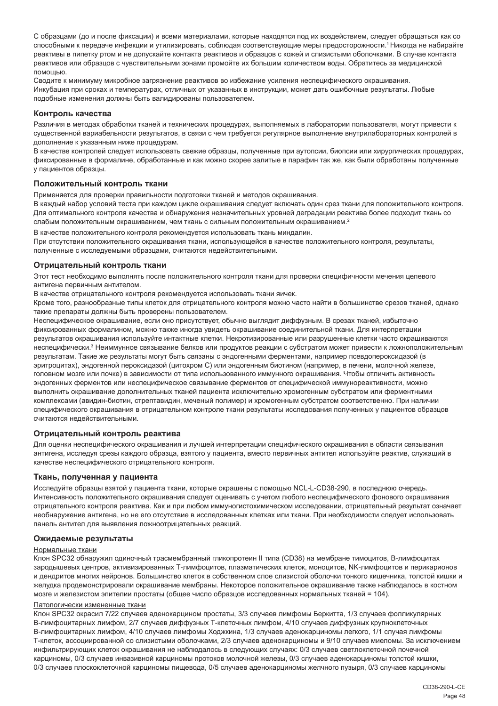С образцами (до и после фиксации) и всеми материалами, которые находятся под их воздействием, следует обращаться как со способными к передаче инфекции и утилизировать, соблюдая соответствующие меры предосторожности.<sup>1</sup>Никогда не набирайте реактивы в пипетку ртом и не допускайте контакта реактивов и образцов с кожей и слизистыми оболочками. В случае контакта реактивов или образцов с чувствительными зонами промойте их большим количеством воды. Обратитесь за медицинской помощью.

Сводите к минимуму микробное загрязнение реактивов во избежание усиления неспецифического окрашивания. Инкубация при сроках и температурах, отличных от указанных в инструкции, может дать ошибочные результаты. Любые подобные изменения должны быть валидированы пользователем.

#### **Контроль качества**

Различия в методах обработки тканей и технических процедурах, выполняемых в лаборатории пользователя, могут привести к существенной вариабельности результатов, в связи с чем требуется регулярное выполнение внутрилабораторных контролей в дополнение к указанным ниже процедурам.

В качестве контролей следует использовать свежие образцы, полученные при аутопсии, биопсии или хирургических процедурах, фиксированные в формалине, обработанные и как можно скорее залитые в парафин так же, как были обработаны полученные у пациентов образцы.

#### **Положительный контроль ткани**

Применяется для проверки правильности подготовки тканей и методов окрашивания.

В каждый набор условий теста при каждом цикле окрашивания следует включать один срез ткани для положительного контроля. Для оптимального контроля качества и обнаружения незначительных уровней деградации реактива более подходит ткань со слабым положительным окрашиванием, чем ткань с сильным положительным окрашиванием.<sup>2</sup>

В качестве положительного контроля рекомендуется использовать ткань миндалин.

При отсутствии положительного окрашивания ткани, использующейся в качестве положительного контроля, результаты, полученные с исследуемыми образцами, считаются недействительными.

#### **Отрицательный контроль ткани**

Этот тест необходимо выполнять после положительного контроля ткани для проверки специфичности мечения целевого антигена первичным антителом.

В качестве отрицательного контроля рекомендуется использовать ткани яичек.

Кроме того, разнообразные типы клеток для отрицательного контроля можно часто найти в большинстве срезов тканей, однако такие препараты должны быть проверены пользователем.

Неспецифическое окрашивание, если оно присутствует, обычно выглядит диффузным. В срезах тканей, избыточно фиксированных формалином, можно также иногда увидеть окрашивание соединительной ткани. Для интерпретации результатов окрашивания используйте интактные клетки. Некротизированные или разрушенные клетки часто окрашиваются неспецифически.<sup>з</sup> Неиммунное связывание белков или продуктов реакции с субстратом может привести к ложноположительным результатам. Такие же результаты могут быть связаны с эндогенными ферментами, например псевдопероксидазой (в эритроцитах), эндогенной пероксидазой (цитохром C) или эндогенным биотином (например, в печени, молочной железе, головном мозге или почке) в зависимости от типа использованного иммунного окрашивания. Чтобы отличить активность эндогенных ферментов или неспецифическое связывание ферментов от специфической иммунореактивности, можно выполнить окрашивание дополнительных тканей пациента исключительно хромогенным субстратом или ферментными комплексами (авидин-биотин, стрептавидин, меченый полимер) и хромогенным субстратом соответственно. При наличии специфического окрашивания в отрицательном контроле ткани результаты исследования полученных у пациентов образцов считаются недействительными.

#### **Отрицательный контроль реактива**

Для оценки неспецифического окрашивания и лучшей интерпретации специфического окрашивания в области связывания антигена, исследуя срезы каждого образца, взятого у пациента, вместо первичных антител используйте реактив, служащий в качестве неспецифического отрицательного контроля.

#### **Ткань, полученная у пациента**

Исследуйте образцы взятой у пациента ткани, которые окрашены с помощью NCL-L-CD38-290, в последнюю очередь. Интенсивность положительного окрашивания следует оценивать с учетом любого неспецифического фонового окрашивания отрицательного контроля реактива. Как и при любом иммуногистохимическом исследовании, отрицательный результат означает необнаружение антигена, но не его отсутствие в исследованных клетках или ткани. При необходимости следует использовать панель антител для выявления ложноотрицательных реакций.

#### **Ожидаемые результаты**

#### Нормальные ткани

Клон SPC32 обнаружил одиночный трасмембранный гликопротеин II типа (CD38) на мембране тимоцитов, В-лимфоцитах зародышевых центров, активизированных Т-лимфоцитов, плазматических клеток, моноцитов, NK-лимфоцитов и перикарионов и дендритов многих нейронов. Большинство клеток в собственном слое слизистой оболочки тонкого кишечника, толстой кишки и желудка продемонстрировали окрашивание мембраны. Некоторое положительное окрашивание также наблюдалось в костном мозге и железистом эпителии простаты (общее число образцов исследованных нормальных тканей = 104).

#### Патологически измененные ткани

Клон SPC32 окрасил 7/22 случаев аденокарцином простаты, 3/3 случаев лимфомы Беркитта, 1/3 случаев фолликулярных В-лимфоцитарных лимфом, 2/7 случаев диффузных Т-клеточных лимфом, 4/10 случаев диффузных крупноклеточных В-лимфоцитарных лимфом, 4/10 случаев лимфомы Ходжкина, 1/3 случаев аденокарциномы легкого, 1/1 случая лимфомы Т-клеток, ассоциированной со слизистыми оболочками, 2/3 случаев аденокарциномы и 9/10 случаев миеломы. За исключением инфильтрирующих клеток окрашивания не наблюдалось в следующих случаях: 0/3 случаев светлоклеточной почечной карциномы, 0/3 случаев инвазивной карциномы протоков молочной железы, 0/3 случаев аденокарциномы толстой кишки, 0/3 случаев плоскоклеточной карциномы пищевода, 0/5 случаев аденокарциномы желчного пузыря, 0/3 случаев карциномы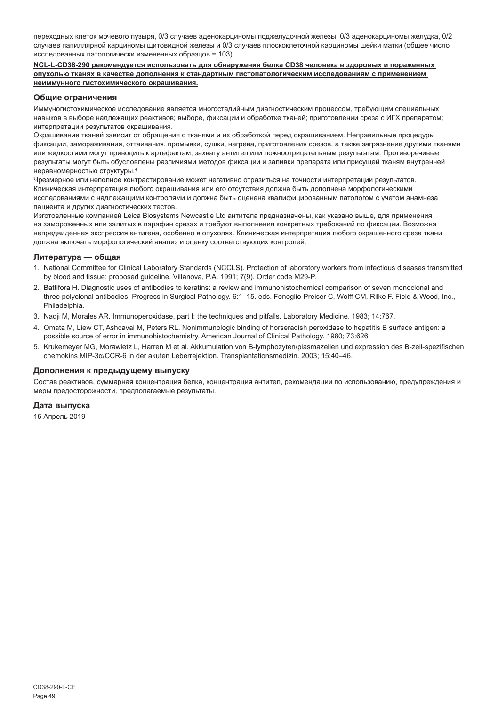переходных клеток мочевого пузыря, 0/3 случаев аденокарциномы поджелудочной железы, 0/3 аденокарциномы желудка, 0/2 случаев папиллярной карциномы щитовидной железы и 0/3 случаев плоскоклеточной карциномы шейки матки (общее число исследованных патологически измененных образцов = 103).

#### **NCL-L-CD38-290 рекомендуется использовать для обнаружения белка CD38 человека в здоровых и пораженных опухолью тканях в качестве дополнения к стандартным гистопатологическим исследованиям с применением неиммунного гистохимического окрашивания.**

#### **Общие ограничения**

Иммуногистохимическое исследование является многостадийным диагностическим процессом, требующим специальных навыков в выборе надлежащих реактивов; выборе, фиксации и обработке тканей; приготовлении среза с ИГХ препаратом; интерпретации результатов окрашивания.

Окрашивание тканей зависит от обращения с тканями и их обработкой перед окрашиванием. Неправильные процедуры фиксации, замораживания, оттаивания, промывки, сушки, нагрева, приготовления срезов, а также загрязнение другими тканями или жидкостями могут приводить к артефактам, захвату антител или ложноотрицательным результатам. Противоречивые результаты могут быть обусловлены различиями методов фиксации и заливки препарата или присущей тканям внутренней неравномерностью структуры.<sup>4</sup>

Чрезмерное или неполное контрастирование может негативно отразиться на точности интерпретации результатов. Клиническая интерпретация любого окрашивания или его отсутствия должна быть дополнена морфологическими исследованиями с надлежащими контролями и должна быть оценена квалифицированным патологом с учетом анамнеза пациента и других диагностических тестов.

Изготовленные компанией Leica Biosystems Newcastle Ltd антитела предназначены, как указано выше, для применения на замороженных или залитых в парафин срезах и требуют выполнения конкретных требований по фиксации. Возможна непредвиденная экспрессия антигена, особенно в опухолях. Клиническая интерпретация любого окрашенного среза ткани должна включать морфологический анализ и оценку соответствующих контролей.

## **Литература — общая**

- 1. National Committee for Clinical Laboratory Standards (NCCLS). Protection of laboratory workers from infectious diseases transmitted by blood and tissue; proposed guideline. Villanova, P.A. 1991; 7(9). Order code M29-P.
- 2. Battifora H. Diagnostic uses of antibodies to keratins: a review and immunohistochemical comparison of seven monoclonal and three polyclonal antibodies. Progress in Surgical Pathology. 6:1–15. eds. Fenoglio-Preiser C, Wolff CM, Rilke F. Field & Wood, Inc., Philadelphia.
- 3. Nadji M, Morales AR. Immunoperoxidase, part I: the techniques and pitfalls. Laboratory Medicine. 1983; 14:767.
- 4. Omata M, Liew CT, Ashcavai M, Peters RL. Nonimmunologic binding of horseradish peroxidase to hepatitis B surface antigen: a possible source of error in immunohistochemistry. American Journal of Clinical Pathology. 1980; 73:626.
- 5. Krukemeyer MG, Morawietz L, Harren M et al. Akkumulation von B-lymphozyten/plasmazellen und expression des B-zell-spezifischen chemokins MIP-3α/CCR-6 in der akuten Leberrejektion. Transplantationsmedizin. 2003; 15:40–46.

#### **Дополнения к предыдущему выпуску**

Состав реактивов, суммарная концентрация белка, концентрация антител, рекомендации по использованию, предупреждения и меры предосторожности, предполагаемые результаты.

## **Дата выпуска**

15 Апрель 2019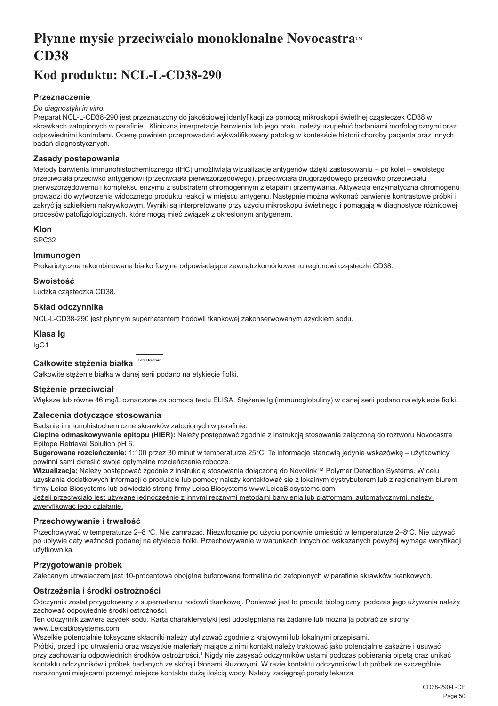# <span id="page-50-0"></span>**Płynne mysie przeciwciało monoklonalne Novocastram CD38**

## **Kod produktu: NCL-L-CD38-290**

## **Przeznaczenie**

#### *Do diagnostyki in vitro.*

Preparat NCL-L-CD38-290 jest przeznaczony do jakościowej identyfikacji za pomocą mikroskopii świetlnej cząsteczek CD38 w skrawkach zatopionych w parafinie . Kliniczną interpretację barwienia lub jego braku należy uzupełnić badaniami morfologicznymi oraz odpowiednimi kontrolami. Ocenę powinien przeprowadzić wykwalifikowany patolog w kontekście historii choroby pacjenta oraz innych badań diagnostycznych.

## **Zasady postepowania**

Metody barwienia immunohistochemicznego (IHC) umożliwiają wizualizację antygenów dzięki zastosowaniu – po kolei – swoistego przeciwciała przeciwko antygenowi (przeciwciała pierwszorzędowego), przeciwciała drugorzędowego przeciwko przeciwciału pierwszorzędowemu i kompleksu enzymu z substratem chromogennym z etapami przemywania. Aktywacja enzymatyczna chromogenu prowadzi do wytworzenia widocznego produktu reakcji w miejscu antygenu. Następnie można wykonać barwienie kontrastowe próbki i zakryć ją szkiełkiem nakrywkowym. Wyniki są interpretowane przy użyciu mikroskopu świetlnego i pomagają w diagnostyce różnicowej procesów patofizjologicznych, które mogą mieć związek z określonym antygenem.

## **Klon**

SPC32

## **Immunogen**

Prokariotyczne rekombinowane białko fuzyjne odpowiadające zewnątrzkomórkowemu regionowi cząsteczki CD38.

## **Swoistość**

Ludzka cząsteczka CD38.

## **Skład odczynnika**

NCL-L-CD38-290 jest płynnym supernatantem hodowli tkankowej zakonserwowanym azydkiem sodu.

## **Klasa Ig**

IgG1

| Całkowite stężenia białka ITotal Protein |  |  |
|------------------------------------------|--|--|
|                                          |  |  |

Całkowite stężenie białka w danej serii podano na etykiecie fiolki.

## **Stężenie przeciwciał**

Większe lub równe 46 mg/L oznaczone za pomocą testu ELISA. Stężenie Ig (immunoglobuliny) w danej serii podano na etykiecie fiolki.

## **Zalecenia dotyczące stosowania**

Badanie immunohistochemiczne skrawków zatopionych w parafinie.

**Cieplne odmaskowywanie epitopu (HIER):** Należy postępować zgodnie z instrukcją stosowania załączoną do roztworu Novocastra Epitope Retrieval Solution pH 6.

**Sugerowane rozcieńczenie:** 1:100 przez 30 minut w temperaturze 25°C. Te informacje stanowią jedynie wskazówkę – użytkownicy powinni sami określić swoje optymalne rozcieńczenie robocze.

**Wizualizacja:** Należy postępować zgodnie z instrukcją stosowania dołączoną do Novolink™ Polymer Detection Systems. W celu uzyskania dodatkowych informacji o produkcie lub pomocy należy kontaktować się z lokalnym dystrybutorem lub z regionalnym biurem firmy Leica Biosystems lub odwiedzić stronę firmy Leica Biosystems www.LeicaBiosystems.com

Jeżeli przeciwciało jest używane jednocześnie z innymi ręcznymi metodami barwienia lub platformami automatycznymi, należy zweryfikować jego działanie.

## **Przechowywanie i trwałość**

Przechowywać w temperaturze 2–8 °C. Nie zamrażać. Niezwłocznie po użyciu ponownie umieścić w temperaturze 2–8°C. Nie używać po upływie daty ważności podanej na etykiecie fiolki. Przechowywanie w warunkach innych od wskazanych powyżej wymaga weryfikacji użytkownika.

## **Przygotowanie próbek**

Zalecanym utrwalaczem jest 10-procentowa obojętna buforowana formalina do zatopionych w parafinie skrawków tkankowych.

## **Ostrzeżenia i środki ostrożności**

Odczynnik został przygotowany z supernatantu hodowli tkankowej. Ponieważ jest to produkt biologiczny, podczas jego używania należy zachować odpowiednie środki ostrożności.

Ten odczynnik zawiera azydek sodu. Karta charakterystyki jest udostępniana na żądanie lub można ją pobrać ze strony www.LeicaBiosystems.com

Wszelkie potencjalnie toksyczne składniki należy utylizować zgodnie z krajowymi lub lokalnymi przepisami.

Próbki, przed i po utrwaleniu oraz wszystkie materiały mające z nimi kontakt należy traktować jako potencjalnie zakaźne i usuwać przy zachowaniu odpowiednich środków ostrożności.1 Nigdy nie zasysać odczynników ustami podczas pobierania pipetą oraz unikać kontaktu odczynników i próbek badanych ze skórą i błonami śluzowymi. W razie kontaktu odczynników lub próbek ze szczególnie narażonymi miejscami przemyć miejsce kontaktu dużą ilością wody. Należy zasięgnąć porady lekarza.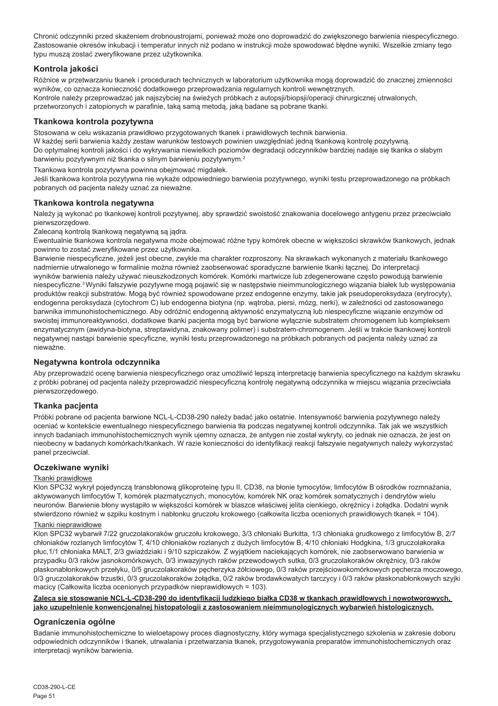Chronić odczynniki przed skażeniem drobnoustrojami, ponieważ może ono doprowadzić do zwiększonego barwienia niespecyficznego. Zastosowanie okresów inkubacji i temperatur innych niż podano w instrukcji może spowodować błędne wyniki. Wszelkie zmiany tego typu muszą zostać zweryfikowane przez użytkownika.

## **Kontrola jakości**

Różnice w przetwarzaniu tkanek i procedurach technicznych w laboratorium użytkownika mogą doprowadzić do znacznej zmienności wyników, co oznacza konieczność dodatkowego przeprowadzania regularnych kontroli wewnętrznych. Kontrole należy przeprowadzać jak najszybciej na świeżych próbkach z autopsji/biopsji/operacji chirurgicznej utrwalonych, przetworzonych i zatopionych w parafinie, taką samą metodą, jaką badane są pobrane tkanki.

## **Tkankowa kontrola pozytywna**

Stosowana w celu wskazania prawidłowo przygotowanych tkanek i prawidłowych technik barwienia.

W każdej serii barwienia każdy zestaw warunków testowych powinien uwzględniać jedną tkankową kontrolę pozytywną. Do optymalnej kontroli jakości i do wykrywania niewielkich poziomów degradacji odczynników bardziej nadaje się tkanka o słabym barwieniu pozytywnym niż tkanka o silnym barwieniu pozytywnym.<sup>2</sup>

Tkankowa kontrola pozytywna powinna obejmować migdałek.

Jeśli tkankowa kontrola pozytywna nie wykaże odpowiedniego barwienia pozytywnego, wyniki testu przeprowadzonego na próbkach pobranych od pacjenta należy uznać za nieważne.

## **Tkankowa kontrola negatywna**

Należy ja wykonać po tkankowej kontroli pozytywnej, aby sprawdzić swoistość znakowania docelowego antygenu przez przeciwciało pierwszorzędowe.

Zalecaną kontrolą tkankową negatywną są jądra.

Ewentualnie tkankowa kontrola negatywna może obejmować różne typy komórek obecne w większości skrawków tkankowych, jednak powinno to zostać zweryfikowane przez użytkownika.

Barwienie niespecyficzne, jeżeli jest obecne, zwykle ma charakter rozproszony. Na skrawkach wykonanych z materiału tkankowego nadmiernie utrwalonego w formalinie można również zaobserwować sporadyczne barwienie tkanki łącznej. Do interpretacji wyników barwienia należy używać nieuszkodzonych komórek. Komórki martwicze lub zdegenerowane często powodują barwienie niespecyficzne.<sup>3</sup>Wyniki fałszywie pozytywne mogą pojawić się w następstwie nieimmunologicznego wiązania białek lub występowania produktów reakcji substratów. Mogą być również spowodowane przez endogenne enzymy, takie jak pseudoperoksydaza (erytrocyty), endogenna peroksydaza (cytochrom C) lub endogenna biotyna (np. wątroba, piersi, mózg, nerki), w zależności od zastosowanego barwnika immunohistochemicznego. Aby odróżnić endogenną aktywność enzymatyczną lub niespecyficzne wiązanie enzymów od swoistej immunoreaktywności, dodatkowe tkanki pacjenta mogą być barwione wyłącznie substratem chromogenem lub kompleksem enzymatycznym (awidyna-biotyna, streptawidyna, znakowany polimer) i substratem-chromogenem. Jeśli w trakcie tkankowej kontroli negatywnej nastąpi barwienie specyficzne, wyniki testu przeprowadzonego na próbkach pobranych od pacjenta należy uznać za nieważne.

## **Negatywna kontrola odczynnika**

Aby przeprowadzić ocenę barwienia niespecyficznego oraz umożliwić lepszą interpretację barwienia specyficznego na każdym skrawku z próbki pobranej od pacjenta należy przeprowadzić niespecyficzną kontrolę negatywną odczynnika w miejscu wiązania przeciwciała pierwszorzędowego.

## **Tkanka pacjenta**

Próbki pobrane od pacjenta barwione NCL-L-CD38-290 należy badać jako ostatnie. Intensywność barwienia pozytywnego należy oceniać w kontekście ewentualnego niespecyficznego barwienia tła podczas negatywnej kontroli odczynnika. Tak jak we wszystkich innych badaniach immunohistochemicznych wynik ujemny oznacza, że antygen nie został wykryty, co jednak nie oznacza, że jest on nieobecny w badanych komórkach/tkankach. W razie konieczności do identyfikacji reakcji fałszywie negatywnych należy wykorzystać panel przeciwciał.

## **Oczekiwane wyniki**

## Tkanki prawidłowe

Klon SPC32 wykrył pojedynczą transbłonową glikoproteinę typu II, CD38, na błonie tymocytów, limfocytów B ośrodków rozmnażania, aktywowanych limfocytów T, komórek plazmatycznych, monocytów, komórek NK oraz komórek somatycznych i dendrytów wielu neuronów. Barwienie błony wystąpiło w większości komórek w blaszce właściwej jelita cienkiego, okrężnicy i żołądka. Dodatni wynik stwierdzono również w szpiku kostnym i nabłonku gruczołu krokowego (całkowita liczba ocenionych prawidłowych tkanek = 104).

## Tkanki nieprawidłowe

Klon SPC32 wybarwił 7/22 gruczolakoraków gruczołu krokowego, 3/3 chłoniaki Burkitta, 1/3 chłoniaka grudkowego z limfocytów B, 2/7 chłoniaków rozlanych limfocytów T, 4/10 chłoniaków rozlanych z dużych limfocytów B, 4/10 chłoniaki Hodgkina, 1/3 gruczolakoraka płuc,1/1 chłoniaka MALT, 2/3 gwiaździaki i 9/10 szpiczaków. Z wyjątkiem naciekających komórek, nie zaobserwowano barwienia w przypadku 0/3 raków jasnokomórkowych, 0/3 inwazyjnych raków przewodowych sutka, 0/3 gruczolakoraków okrężnicy, 0/3 raków płaskonabłonkowych przełyku, 0/5 gruczolakoraków pęcherzyka żółciowego, 0/3 raków przejściowokomórkowych pęcherza moczowego, 0/3 gruczolakoraków trzustki, 0/3 gruczolakoraków żołądka, 0/2 raków brodawkowatych tarczycy i 0/3 raków płaskonabłonkowych szyjki macicy (Całkowita liczba ocenionych przypadków nieprawidłowych = 103).

**Zaleca się stosowanie NCL-L-CD38-290 do identyfikacji ludzkiego białka CD38 w tkankach prawidłowych i nowotworowych, jako uzupełnienie konwencjonalnej histopatologii z zastosowaniem nieimmunologicznych wybarwień histologicznych.**

## **Ograniczenia ogólne**

Badanie immunohistochemiczne to wieloetapowy proces diagnostyczny, który wymaga specjalistycznego szkolenia w zakresie doboru odpowiednich odczynników i tkanek, utrwalania i przetwarzania tkanek, przygotowywania preparatów immunohistochemicznych oraz interpretacji wyników barwienia.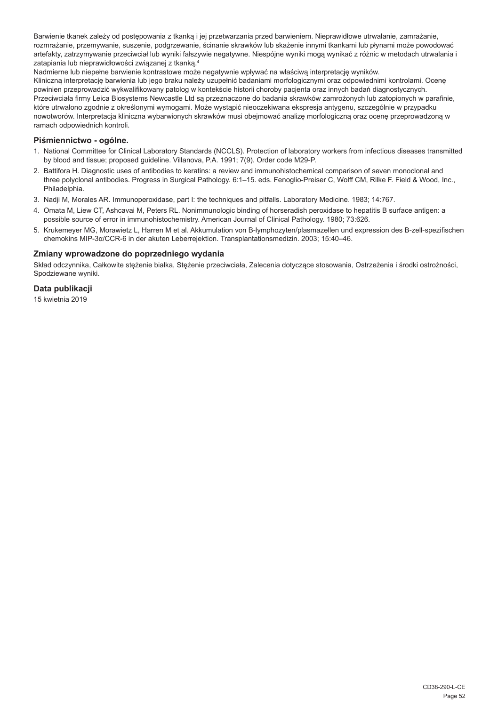Barwienie tkanek zależy od postępowania z tkanką i jej przetwarzania przed barwieniem. Nieprawidłowe utrwalanie, zamrażanie, rozmrażanie, przemywanie, suszenie, podgrzewanie, ścinanie skrawków lub skażenie innymi tkankami lub płynami może powodować artefakty, zatrzymywanie przeciwciał lub wyniki fałszywie negatywne. Niespójne wyniki mogą wynikać z różnic w metodach utrwalania i zatapiania lub nieprawidłowości związanej z tkanką.<sup>4</sup>

Nadmierne lub niepełne barwienie kontrastowe może negatywnie wpływać na właściwą interpretację wyników. Kliniczną interpretację barwienia lub jego braku należy uzupełnić badaniami morfologicznymi oraz odpowiednimi kontrolami. Ocenę powinien przeprowadzić wykwalifikowany patolog w kontekście historii choroby pacjenta oraz innych badań diagnostycznych. Przeciwciała firmy Leica Biosystems Newcastle Ltd są przeznaczone do badania skrawków zamrożonych lub zatopionych w parafinie, które utrwalono zgodnie z określonymi wymogami. Może wystąpić nieoczekiwana ekspresja antygenu, szczególnie w przypadku nowotworów. Interpretacja kliniczna wybarwionych skrawków musi obejmować analizę morfologiczną oraz ocenę przeprowadzoną w ramach odpowiednich kontroli.

## **Piśmiennictwo - ogólne.**

- 1. National Committee for Clinical Laboratory Standards (NCCLS). Protection of laboratory workers from infectious diseases transmitted by blood and tissue; proposed guideline. Villanova, P.A. 1991; 7(9). Order code M29-P.
- 2. Battifora H. Diagnostic uses of antibodies to keratins: a review and immunohistochemical comparison of seven monoclonal and three polyclonal antibodies. Progress in Surgical Pathology. 6:1–15. eds. Fenoglio-Preiser C, Wolff CM, Rilke F. Field & Wood, Inc., Philadelphia.
- 3. Nadji M, Morales AR. Immunoperoxidase, part I: the techniques and pitfalls. Laboratory Medicine. 1983; 14:767.
- 4. Omata M, Liew CT, Ashcavai M, Peters RL. Nonimmunologic binding of horseradish peroxidase to hepatitis B surface antigen: a possible source of error in immunohistochemistry. American Journal of Clinical Pathology. 1980; 73:626.
- 5. Krukemeyer MG, Morawietz L, Harren M et al. Akkumulation von B-lymphozyten/plasmazellen und expression des B-zell-spezifischen chemokins MIP-3α/CCR-6 in der akuten Leberrejektion. Transplantationsmedizin. 2003; 15:40–46.

## **Zmiany wprowadzone do poprzedniego wydania**

Skład odczynnika, Całkowite stężenie białka, Stężenie przeciwciała, Zalecenia dotyczące stosowania, Ostrzeżenia i środki ostrożności, Spodziewane wyniki.

## **Data publikacji**

15 kwietnia 2019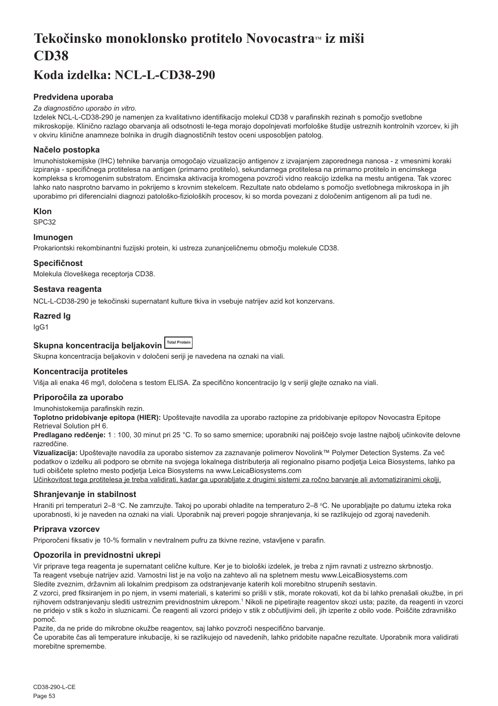# <span id="page-53-0"></span>Tekočinsko monoklonsko protitelo Novocastra™ iz miši **CD38**

# **Koda izdelka: NCL-L-CD38-290**

## **Predvidena uporaba**

#### *Za diagnostično uporabo in vitro.*

Izdelek NCL-L-CD38-290 je namenjen za kvalitativno identifikacijo molekul CD38 v parafinskih rezinah s pomočjo svetlobne mikroskopije. Klinično razlago obarvanja ali odsotnosti le-tega morajo dopolnjevati morfološke študije ustreznih kontrolnih vzorcev, ki jih v okviru klinične anamneze bolnika in drugih diagnostičnih testov oceni usposobljen patolog.

## **Načelo postopka**

Imunohistokemijske (IHC) tehnike barvanja omogočajo vizualizacijo antigenov z izvajanjem zaporednega nanosa - z vmesnimi koraki izpiranja - specifičnega protitelesa na antigen (primarno protitelo), sekundarnega protitelesa na primarno protitelo in encimskega kompleksa s kromogenim substratom. Encimska aktivacija kromogena povzroči vidno reakcijo izdelka na mestu antigena. Tak vzorec lahko nato nasprotno barvamo in pokrijemo s krovnim stekelcem. Rezultate nato obdelamo s pomočjo svetlobnega mikroskopa in jih uporabimo pri diferencialni diagnozi patološko-fizioloških procesov, ki so morda povezani z določenim antigenom ali pa tudi ne.

#### **Klon**

SPC32

## **Imunogen**

Prokariontski rekombinantni fuzijski protein, ki ustreza zunanjceličnemu območju molekule CD38.

#### **Specifičnost**

Molekula človeškega receptorja CD38.

## **Sestava reagenta**

NCL-L-CD38-290 je tekočinski supernatant kulture tkiva in vsebuje natrijev azid kot konzervans.

## **Razred Ig**

IgG1

## Skupna koncentracija beljakovin **ITotal Protein**

Skupna koncentracija beljakovin v določeni seriji je navedena na oznaki na viali.

## **Koncentracija protiteles**

Višja ali enaka 46 mg/l, določena s testom ELISA. Za specifično koncentracijo Ig v seriji glejte oznako na viali.

#### **Priporočila za uporabo**

Imunohistokemija parafinskih rezin.

**Toplotno pridobivanje epitopa (HIER):** Upoštevajte navodila za uporabo raztopine za pridobivanje epitopov Novocastra Epitope Retrieval Solution pH 6.

**Predlagano redčenje:** 1 : 100, 30 minut pri 25 °C. To so samo smernice; uporabniki naj poiščejo svoje lastne najbolj učinkovite delovne razredčine.

**Vizualizacija:** Upoštevajte navodila za uporabo sistemov za zaznavanje polimerov Novolink™ Polymer Detection Systems. Za več podatkov o izdelku ali podporo se obrnite na svojega lokalnega distributerja ali regionalno pisarno podjetja Leica Biosystems, lahko pa tudi obiščete spletno mesto podjetja Leica Biosystems na www.LeicaBiosystems.com

Učinkovitost tega protitelesa je treba validirati, kadar ga uporabljate z drugimi sistemi za ročno barvanje ali avtomatiziranimi okolji.

## **Shranjevanje in stabilnost**

Hraniti pri temperaturi 2–8 °C. Ne zamrzujte. Takoj po uporabi ohladite na temperaturo 2–8 °C. Ne uporabljajte po datumu izteka roka uporabnosti, ki je naveden na oznaki na viali. Uporabnik naj preveri pogoje shranjevanja, ki se razlikujejo od zgoraj navedenih.

## **Priprava vzorcev**

Priporočeni fiksativ je 10-% formalin v nevtralnem pufru za tkivne rezine, vstavljene v parafin.

#### **Opozorila in previdnostni ukrepi**

Vir priprave tega reagenta je supernatant celične kulture. Ker je to biološki izdelek, je treba z njim ravnati z ustrezno skrbnostjo. Ta reagent vsebuje natrijev azid. Varnostni list je na voljo na zahtevo ali na spletnem mestu www.LeicaBiosystems.com

Sledite zveznim, državnim ali lokalnim predpisom za odstranjevanje katerih koli morebitno strupenih sestavin.

Z vzorci, pred fiksiranjem in po njem, in vsemi materiali, s katerimi so prišli v stik, morate rokovati, kot da bi lahko prenašali okužbe, in pri njihovem odstranjevanju slediti ustreznim previdnostnim ukrepom.<sup>1</sup> Nikoli ne pipetirajte reagentov skozi usta; pazite, da reagenti in vzorci ne pridejo v stik s kožo in sluznicami. Če reagenti ali vzorci pridejo v stik z občutljivimi deli, jih izperite z obilo vode. Poiščite zdravniško pomoč.

Pazite, da ne pride do mikrobne okužbe reagentov, saj lahko povzroči nespecifično barvanje.

Če uporabite čas ali temperature inkubacije, ki se razlikujejo od navedenih, lahko pridobite napačne rezultate. Uporabnik mora validirati morebitne spremembe.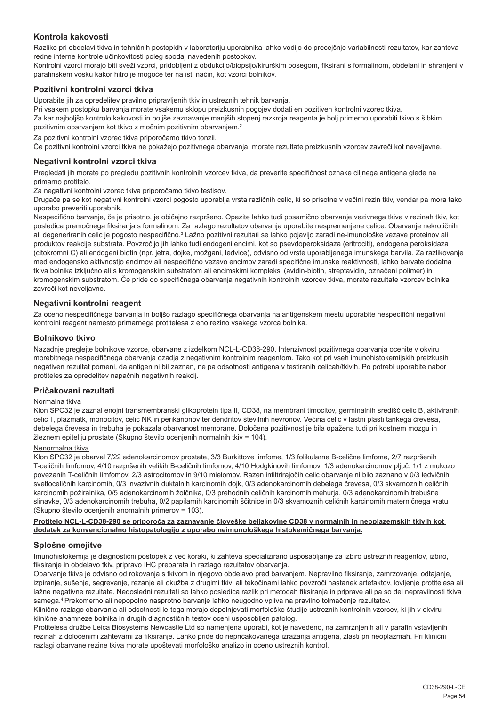## **Kontrola kakovosti**

Razlike pri obdelavi tkiva in tehničnih postopkih v laboratoriju uporabnika lahko vodijo do precejšnje variabilnosti rezultatov, kar zahteva redne interne kontrole učinkovitosti poleg spodaj navedenih postopkov.

Kontrolni vzorci morajo biti sveži vzorci, pridobljeni z obdukcijo/biopsijo/kirurškim posegom, fiksirani s formalinom, obdelani in shranjeni v parafinskem vosku kakor hitro je mogoče ter na isti način, kot vzorci bolnikov.

#### **Pozitivni kontrolni vzorci tkiva**

Uporabite jih za opredelitev pravilno pripravljenih tkiv in ustreznih tehnik barvanja.

Pri vsakem postopku barvanja morate vsakemu sklopu preizkusnih pogojev dodati en pozitiven kontrolni vzorec tkiva. Za kar najboljšo kontrolo kakovosti in boljše zaznavanje manjših stopenj razkroja reagenta je bolj primerno uporabiti tkivo s šibkim pozitivnim obarvanjem kot tkivo z močnim pozitivnim obarvanjem.<sup>2</sup>

Za pozitivni kontrolni vzorec tkiva priporočamo tkivo tonzil.

Če pozitivni kontrolni vzorci tkiva ne pokažejo pozitivnega obarvanja, morate rezultate preizkusnih vzorcev zavreči kot neveljavne.

#### **Negativni kontrolni vzorci tkiva**

Pregledati jih morate po pregledu pozitivnih kontrolnih vzorcev tkiva, da preverite specifičnost oznake ciljnega antigena glede na primarno protitelo.

Za negativni kontrolni vzorec tkiva priporočamo tkivo testisov.

Drugače pa se kot negativni kontrolni vzorci pogosto uporablja vrsta različnih celic, ki so prisotne v večini rezin tkiv, vendar pa mora tako uporabo preveriti uporabnik.

Nespecifično barvanje, če je prisotno, je običajno razpršeno. Opazite lahko tudi posamično obarvanje vezivnega tkiva v rezinah tkiv, kot posledica premočnega fiksiranja s formalinom. Za razlago rezultatov obarvanja uporabite nespremenjene celice. Obarvanje nekrotičnih ali degeneriranih celic je pogosto nespecifično.<sup>3</sup> Lažno pozitivni rezultati se lahko pojavijo zaradi ne-imunološke vezave proteinov ali produktov reakcije substrata. Povzročijo jih lahko tudi endogeni encimi, kot so psevdoperoksidaza (eritrociti), endogena peroksidaza (citokromni C) ali endogeni biotin (npr. jetra, dojke, možgani, ledvice), odvisno od vrste uporabljenega imunskega barvila. Za razlikovanje med endogensko aktivnostjo encimov ali nespecifično vezavo encimov zaradi specifične imunske reaktivnosti, lahko barvate dodatna tkiva bolnika izključno ali s kromogenskim substratom ali encimskimi kompleksi (avidin-biotin, streptavidin, označeni polimer) in kromogenskim substratom. Če pride do specifičnega obarvanja negativnih kontrolnih vzorcev tkiva, morate rezultate vzorcev bolnika zavreči kot neveljavne.

#### **Negativni kontrolni reagent**

Za oceno nespecifičnega barvanja in boljšo razlago specifičnega obarvanja na antigenskem mestu uporabite nespecifični negativni kontrolni reagent namesto primarnega protitelesa z eno rezino vsakega vzorca bolnika.

#### **Bolnikovo tkivo**

Nazadnje preglejte bolnikove vzorce, obarvane z izdelkom NCL-L-CD38-290. Intenzivnost pozitivnega obarvanja ocenite v okviru morebitnega nespecifičnega obarvanja ozadja z negativnim kontrolnim reagentom. Tako kot pri vseh imunohistokemijskih preizkusih negativen rezultat pomeni, da antigen ni bil zaznan, ne pa odsotnosti antigena v testiranih celicah/tkivih. Po potrebi uporabite nabor protiteles za opredelitev napačnih negativnih reakcij.

#### **Pričakovani rezultati**

#### Normalna tkiva

Klon SPC32 je zaznal enojni transmembranski glikoprotein tipa II, CD38, na membrani timocitov, germinalnih središč celic B, aktiviranih celic T, plazmatk, monocitov, celic NK in perikarionov ter dendritov številnih nevronov. Večina celic v lastni plasti tankega črevesa, debelega črevesa in trebuha je pokazala obarvanost membrane. Določena pozitivnost je bila opažena tudi pri kostnem mozgu in žleznem epiteliju prostate (Skupno število ocenjenih normalnih tkiv = 104).

#### Nenormalna tkiva

Klon SPC32 je obarval 7/22 adenokarcinomov prostate, 3/3 Burkittove limfome, 1/3 folikularne B-celične limfome, 2/7 razpršenih T-celičnih limfomov, 4/10 razpršenih velikih B-celičnih limfomov, 4/10 Hodgkinovih limfomov, 1/3 adenokarcinomov pljuč, 1/1 z mukozo povezanih T-celičnih limfomov, 2/3 astrocitomov in 9/10 mielomov. Razen infiltrirajočih celic obarvanje ni bilo zaznano v 0/3 ledvičnih svetloceličnih karcinomih, 0/3 invazivnih duktalnih karcinomih dojk, 0/3 adenokarcinomih debelega črevesa, 0/3 skvamoznih celičnih karcinomih požiralnika, 0/5 adenokarcinomih žolčnika, 0/3 prehodnih celičnih karcinomih mehurja, 0/3 adenokarcinomih trebušne slinavke, 0/3 adenokarcinomih trebuha, 0/2 papilarnih karcinomih ščitnice in 0/3 skvamoznih celičnih karcinomih materničnega vratu (Skupno število ocenjenih anomalnih primerov = 103).

#### **Protitelo NCL-L-CD38-290 se priporoča za zaznavanje človeške beljakovine CD38 v normalnih in neoplazemskih tkivih kot dodatek za konvencionalno histopatologijo z uporabo neimunološkega histokemičnega barvanja.**

#### **Splošne omejitve**

Imunohistokemija je diagnostični postopek z več koraki, ki zahteva specializirano usposabljanje za izbiro ustreznih reagentov, izbiro, fiksiranje in obdelavo tkiv, pripravo IHC preparata in razlago rezultatov obarvanja.

Obarvanje tkiva je odvisno od rokovanja s tkivom in njegovo obdelavo pred barvanjem. Nepravilno fiksiranje, zamrzovanje, odtajanje, izpiranje, sušenje, segrevanje, rezanje ali okužba z drugimi tkivi ali tekočinami lahko povzroči nastanek artefaktov, lovljenje protitelesa ali lažne negativne rezultate. Nedosledni rezultati so lahko posledica razlik pri metodah fiksiranja in priprave ali pa so del nepravilnosti tkiva samega.<sup>4</sup>Prekomerno ali nepopolno nasprotno barvanje lahko neugodno vpliva na pravilno tolmačenje rezultatov.

Klinično razlago obarvanja ali odsotnosti le-tega morajo dopolnjevati morfološke študije ustreznih kontrolnih vzorcev, ki jih v okviru klinične anamneze bolnika in drugih diagnostičnih testov oceni usposobljen patolog.

Protitelesa družbe Leica Biosystems Newcastle Ltd so namenjena uporabi, kot je navedeno, na zamrznjenih ali v parafin vstavljenih rezinah z določenimi zahtevami za fiksiranje. Lahko pride do nepričakovanega izražanja antigena, zlasti pri neoplazmah. Pri klinični razlagi obarvane rezine tkiva morate upoštevati morfološko analizo in oceno ustreznih kontrol.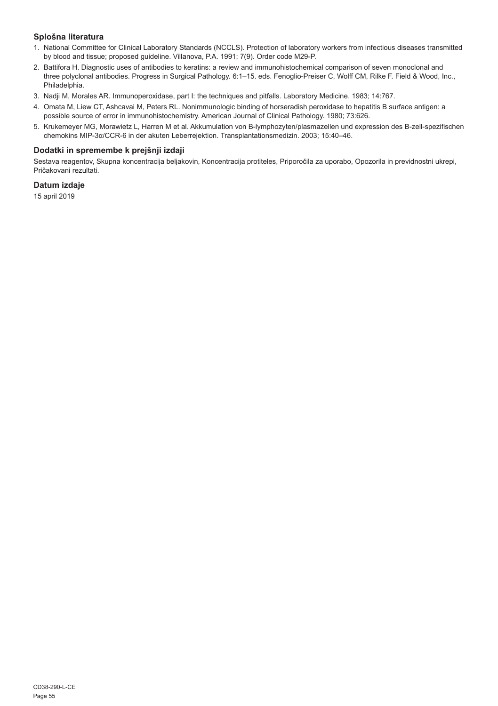## **Splošna literatura**

- 1. National Committee for Clinical Laboratory Standards (NCCLS). Protection of laboratory workers from infectious diseases transmitted by blood and tissue; proposed guideline. Villanova, P.A. 1991; 7(9). Order code M29-P.
- 2. Battifora H. Diagnostic uses of antibodies to keratins: a review and immunohistochemical comparison of seven monoclonal and three polyclonal antibodies. Progress in Surgical Pathology. 6:1–15. eds. Fenoglio-Preiser C, Wolff CM, Rilke F. Field & Wood, Inc., Philadelphia.
- 3. Nadji M, Morales AR. Immunoperoxidase, part I: the techniques and pitfalls. Laboratory Medicine. 1983; 14:767.
- 4. Omata M, Liew CT, Ashcavai M, Peters RL. Nonimmunologic binding of horseradish peroxidase to hepatitis B surface antigen: a possible source of error in immunohistochemistry. American Journal of Clinical Pathology. 1980; 73:626.
- 5. Krukemeyer MG, Morawietz L, Harren M et al. Akkumulation von B-lymphozyten/plasmazellen und expression des B-zell-spezifischen chemokins MIP-3α/CCR-6 in der akuten Leberrejektion. Transplantationsmedizin. 2003; 15:40–46.

## **Dodatki in spremembe k prejšnji izdaji**

Sestava reagentov, Skupna koncentracija beljakovin, Koncentracija protiteles, Priporočila za uporabo, Opozorila in previdnostni ukrepi, Pričakovani rezultati.

## **Datum izdaje**

15 april 2019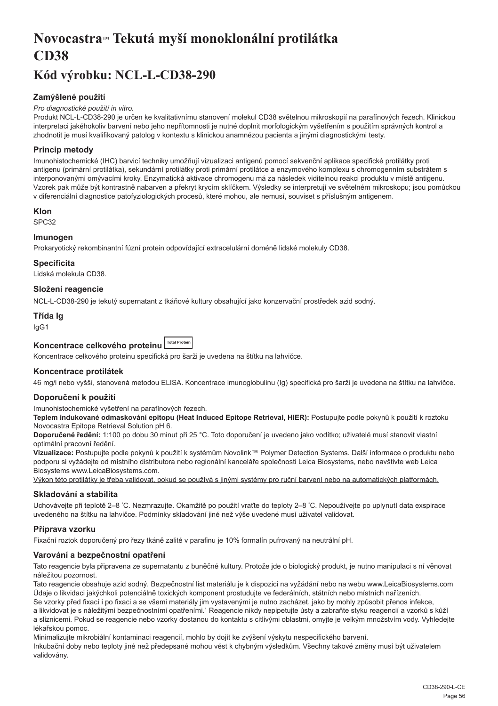# <span id="page-56-0"></span>**NovocastraTM Tekutá myší monoklonální protilátka CD38**

## **Kód výrobku: NCL-L-CD38-290**

## **Zamýšlené použití**

#### *Pro diagnostické použití in vitro.*

Produkt NCL-L-CD38-290 je určen ke kvalitativnímu stanovení molekul CD38 světelnou mikroskopií na parafínových řezech. Klinickou interpretaci jakéhokoliv barvení nebo jeho nepřítomnosti je nutné doplnit morfologickým vyšetřením s použitím správných kontrol a zhodnotit je musí kvalifikovaný patolog v kontextu s klinickou anamnézou pacienta a jinými diagnostickými testy.

## **Princip metody**

Imunohistochemické (IHC) barvicí techniky umožňují vizualizaci antigenů pomocí sekvenční aplikace specifické protilátky proti antigenu (primární protilátka), sekundární protilátky proti primární protilátce a enzymového komplexu s chromogenním substrátem s interponovanými omývacími kroky. Enzymatická aktivace chromogenu má za následek viditelnou reakci produktu v místě antigenu. Vzorek pak může být kontrastně nabarven a překryt krycím sklíčkem. Výsledky se interpretují ve světelném mikroskopu; jsou pomůckou v diferenciální diagnostice patofyziologických procesů, které mohou, ale nemusí, souviset s příslušným antigenem.

#### **Klon**

SPC32

## **Imunogen**

Prokaryotický rekombinantní fúzní protein odpovídající extracelulární doméně lidské molekuly CD38.

#### **Specificita**

Lidská molekula CD38.

## **Složení reagencie**

NCL-L-CD38-290 je tekutý supernatant z tkáňové kultury obsahující jako konzervační prostředek azid sodný.

## **Třída Ig**

IgG1

## **Koncentrace celkového proteinu Total Protein**

Koncentrace celkového proteinu specifická pro šarži je uvedena na štítku na lahvičce.

## **Koncentrace protilátek**

46 mg/l nebo vyšší, stanovená metodou ELISA. Koncentrace imunoglobulinu (Ig) specifická pro šarži je uvedena na štítku na lahvičce.

## **Doporučení k použití**

Imunohistochemické vyšetření na parafínových řezech.

**Teplem indukované odmaskování epitopu (Heat Induced Epitope Retrieval, HIER):** Postupujte podle pokynů k použití k roztoku Novocastra Epitope Retrieval Solution pH 6.

**Doporučené ředění:** 1:100 po dobu 30 minut při 25 °C. Toto doporučení je uvedeno jako vodítko; uživatelé musí stanovit vlastní optimální pracovní ředění.

**Vizualizace:** Postupujte podle pokynů k použití k systémům Novolink™ Polymer Detection Systems. Další informace o produktu nebo podporu si vyžádejte od místního distributora nebo regionální kanceláře společnosti Leica Biosystems, nebo navštivte web Leica Biosystems www.LeicaBiosystems.com.

Výkon této protilátky je třeba validovat, pokud se používá s jinými systémy pro ruční barvení nebo na automatických platformách.

## **Skladování a stabilita**

Uchovávejte při teplotě 2–8 °C. Nezmrazujte. Okamžitě po použití vraťte do teploty 2–8 °C. Nepoužívejte po uplynutí data exspirace uvedeného na štítku na lahvičce. Podmínky skladování jiné než výše uvedené musí uživatel validovat.

## **Příprava vzorku**

Fixační roztok doporučený pro řezy tkáně zalité v parafinu je 10% formalín pufrovaný na neutrální pH.

#### **Varování a bezpečnostní opatření**

Tato reagencie byla připravena ze supernatantu z buněčné kultury. Protože jde o biologický produkt, je nutno manipulaci s ní věnovat náležitou pozornost.

Tato reagencie obsahuje azid sodný. Bezpečnostní list materiálu je k dispozici na vyžádání nebo na webu www.LeicaBiosystems.com Údaje o likvidaci jakýchkoli potenciálně toxických komponent prostudujte ve federálních, státních nebo místních nařízeních.

Se vzorky před fixací i po fixaci a se všemi materiály jim vystavenými je nutno zacházet, jako by mohly způsobit přenos infekce, a likvidovat je s náležitými bezpečnostními opatřeními.1 Reagencie nikdy nepipetujte ústy a zabraňte styku reagencií a vzorků s kůží a sliznicemi. Pokud se reagencie nebo vzorky dostanou do kontaktu s citlivými oblastmi, omyjte je velkým množstvím vody. Vyhledejte lékařskou pomoc.

Minimalizujte mikrobiální kontaminaci reagencií, mohlo by dojít ke zvýšení výskytu nespecifického barvení. Inkubační doby nebo teploty jiné než předepsané mohou vést k chybným výsledkům. Všechny takové změny musí být uživatelem validovány.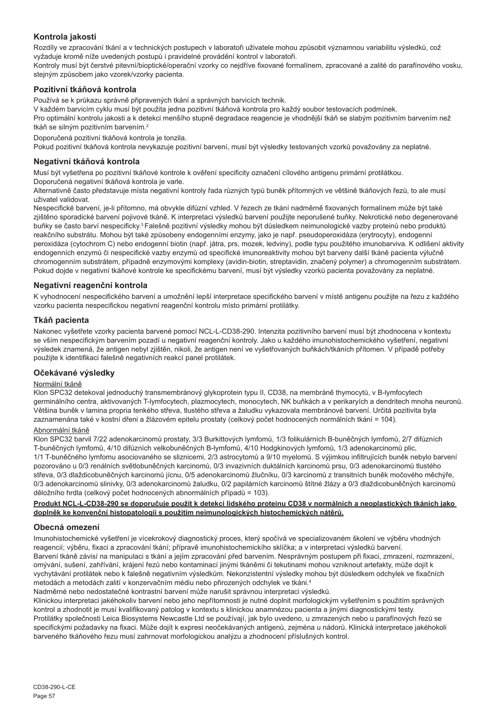## **Kontrola jakosti**

Rozdíly ve zpracování tkání a v technických postupech v laboratoři uživatele mohou způsobit významnou variabilitu výsledků, což vyžaduje kromě níže uvedených postupů i pravidelné provádění kontrol v laboratoři.

Kontroly musí být čerstvé pitevní/bioptické/operační vzorky co nejdříve fixované formalínem, zpracované a zalité do parafínového vosku, stejným způsobem jako vzorek/vzorky pacienta.

## **Pozitivní tkáňová kontrola**

Používá se k průkazu správně připravených tkání a správných barvicích technik.

V každém barvicím cyklu musí být použita jedna pozitivní tkáňová kontrola pro každý soubor testovacích podmínek.

Pro optimální kontrolu jakosti a k detekci menšího stupně degradace reagencie je vhodnější tkáň se slabým pozitivním barvením než tkáň se silným pozitivním barvením.<sup>2</sup>

Doporučená pozitivní tkáňová kontrola je tonzila.

Pokud pozitivní tkáňová kontrola nevykazuje pozitivní barvení, musí být výsledky testovaných vzorků považovány za neplatné.

#### **Negativní tkáňová kontrola**

Musí být vyšetřena po pozitivní tkáňové kontrole k ověření specificity označení cílového antigenu primární protilátkou. Doporučená negativní tkáňová kontrola je varle.

Alternativně často představuje místa negativní kontroly řada různých typů buněk přítomných ve většině tkáňových řezů, to ale musí uživatel validovat.

Nespecifické barvení, je-li přítomno, má obvykle difúzní vzhled. V řezech ze tkání nadměrně fixovaných formalínem může být také zjištěno sporadické barvení pojivové tkáně. K interpretaci výsledků barvení použijte neporušené buňky. Nekrotické nebo degenerované buňky se často barví nespecificky.<sup>3</sup>Falešně pozitivní výsledky mohou být důsledkem neimunologické vazby proteinů nebo produktů reakčního substrátu. Mohou být také způsobeny endogenními enzymy, jako je např. pseudoperoxidáza (erytrocyty), endogenní peroxidáza (cytochrom C) nebo endogenní biotin (např. játra, prs, mozek, ledviny), podle typu použitého imunobarviva. K odlišení aktivity endogenních enzymů či nespecifické vazby enzymů od specifické imunoreaktivity mohou být barveny další tkáně pacienta výlučně chromogenním substrátem, případně enzymovými komplexy (avidin-biotin, streptavidin, značený polymer) a chromogenním substrátem. Pokud dojde v negativní tkáňové kontrole ke specifickému barvení, musí být výsledky vzorků pacienta považovány za neplatné.

## **Negativní reagenční kontrola**

K vyhodnocení nespecifického barvení a umožnění lepší interpretace specifického barvení v místě antigenu použijte na řezu z každého vzorku pacienta nespecifickou negativní reagenční kontrolu místo primární protilátky.

## **Tkáň pacienta**

Nakonec vyšetřete vzorky pacienta barvené pomocí NCL-L-CD38-290. Intenzita pozitivního barvení musí být zhodnocena v kontextu se vším nespecifickým barvením pozadí u negativní reagenční kontroly. Jako u každého imunohistochemického vyšetření, negativní výsledek znamená, že antigen nebyl zjištěn, nikoli, že antigen není ve vyšetřovaných buňkách/tkáních přítomen. V případě potřeby použijte k identifikaci falešně negativních reakcí panel protilátek.

## **Očekávané výsledky**

## Normální tkáně

Klon SPC32 detekoval jednoduchý transmembránový glykoprotein typu II, CD38, na membráně thymocytů, v B-lymfocytech germinálního centra, aktivovaných T-lymfocytech, plazmocytech, monocytech, NK buňkách a v perikaryích a dendritech mnoha neuronů. Většina buněk v lamina propria tenkého střeva, tlustého střeva a žaludku vykazovala membránové barvení. Určitá pozitivita byla zaznamenána také v kostní dřeni a žlázovém epitelu prostaty (celkový počet hodnocených normálních tkání = 104).

#### Abnormální tkáně

Klon SPC32 barvil 7/22 adenokarcinomů prostaty, 3/3 Burkittových lymfomů, 1/3 folikulárních B-buněčných lymfomů, 2/7 difúzních T-buněčných lymfomů, 4/10 difúzních velkobuněčných B-lymfomů, 4/10 Hodgkinových lymfomů, 1/3 adenokarcinomů plic, 1/1 T-buněčného lymfomu asociovaného se sliznicemi, 2/3 astrocytomů a 9/10 myelomů. S výjimkou infiltrujících buněk nebylo barvení pozorováno u 0/3 renálních světlobuněčných karcinomů, 0/3 invazivních duktálních karcinomů prsu, 0/3 adenokarcinomů tlustého střeva, 0/3 dlaždicobuněčných karcinomů jícnu, 0/5 adenokarcinomů žlučníku, 0/3 karcinomů z transitních buněk močového měchýře, 0/3 adenokarcinomů slinivky, 0/3 adenokarcinomů žaludku, 0/2 papilárních karcinomů štítné žlázy a 0/3 dlaždicobuněčných karcinomů děložního hrdla (celkový počet hodnocených abnormálních případů = 103).

#### **Produkt NCL-L-CD38-290 se doporučuje použít k detekci lidského proteinu CD38 v normálních a neoplastických tkáních jako doplněk ke konvenční histopatologii s použitím neimunologických histochemických nátěrů.**

## **Obecná omezení**

Imunohistochemické vyšetření je vícekrokový diagnostický proces, který spočívá ve specializovaném školení ve výběru vhodných reagencií; výběru, fixaci a zpracování tkání; přípravě imunohistochemickího sklíčka; a v interpretaci výsledků barvení. Barvení tkáně závisí na manipulaci s tkání a jejím zpracování před barvením. Nesprávným postupem při fixaci, zmrazení, rozmrazení, omývání, sušení, zahřívání, krájení řezů nebo kontaminací jinými tkáněmi či tekutinami mohou vzniknout artefakty, může dojít k vychytávání protilátek nebo k falešně negativním výsledkům. Nekonzistentní výsledky mohou být důsledkem odchylek ve fixačních metodách a metodách zalití v konzervačním médiu nebo přirozených odchylek ve tkáni.<sup>4</sup>

Nadměrné nebo nedostatečné kontrastní barvení může narušit správnou interpretaci výsledků.

Klinickou interpretaci jakéhokoliv barvení nebo jeho nepřítomnosti je nutné doplnit morfologickým vyšetřením s použitím správných kontrol a zhodnotit je musí kvalifikovaný patolog v kontextu s klinickou anamnézou pacienta a jinými diagnostickými testy. Protilátky společnosti Leica Biosystems Newcastle Ltd se používají, jak bylo uvedeno, u zmrazených nebo u parafínových řezů se specifickými požadavky na fixaci. Může dojít k expresi neočekávaných antigenů, zejména u nádorů. Klinická interpretace jakéhokoli barveného tkáňového řezu musí zahrnovat morfologickou analýzu a zhodnocení příslušných kontrol.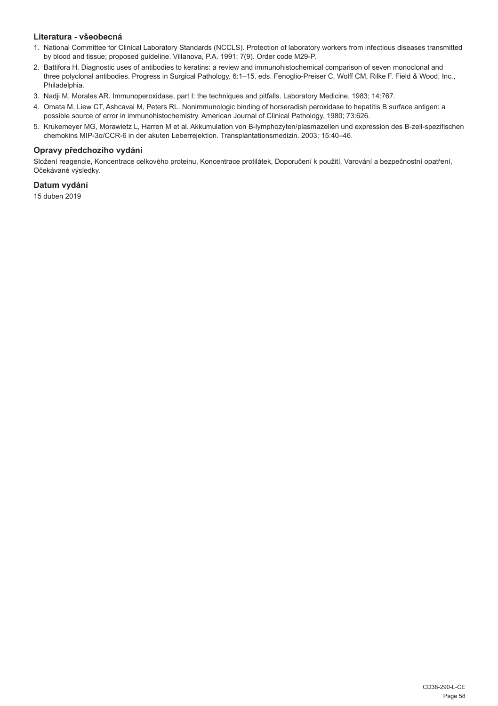## **Literatura - všeobecná**

- 1. National Committee for Clinical Laboratory Standards (NCCLS). Protection of laboratory workers from infectious diseases transmitted by blood and tissue; proposed guideline. Villanova, P.A. 1991; 7(9). Order code M29-P.
- 2. Battifora H. Diagnostic uses of antibodies to keratins: a review and immunohistochemical comparison of seven monoclonal and three polyclonal antibodies. Progress in Surgical Pathology. 6:1–15. eds. Fenoglio-Preiser C, Wolff CM, Rilke F. Field & Wood, Inc., Philadelphia.
- 3. Nadji M, Morales AR. Immunoperoxidase, part I: the techniques and pitfalls. Laboratory Medicine. 1983; 14:767.
- 4. Omata M, Liew CT, Ashcavai M, Peters RL. Nonimmunologic binding of horseradish peroxidase to hepatitis B surface antigen: a possible source of error in immunohistochemistry. American Journal of Clinical Pathology. 1980; 73:626.
- 5. Krukemeyer MG, Morawietz L, Harren M et al. Akkumulation von B-lymphozyten/plasmazellen und expression des B-zell-spezifischen chemokins MIP-3α/CCR-6 in der akuten Leberrejektion. Transplantationsmedizin. 2003; 15:40–46.

## **Opravy předchozího vydání**

Složení reagencie, Koncentrace celkového proteinu, Koncentrace protilátek, Doporučení k použití, Varování a bezpečnostní opatření, Očekávané výsledky.

## **Datum vydání**

15 duben 2019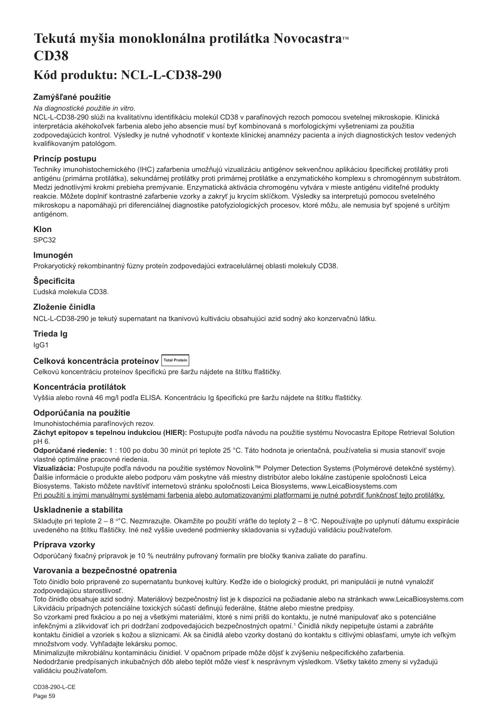# <span id="page-59-0"></span>**Tekutá myšia monoklonálna protilátka NovocastraTM CD38**

# **Kód produktu: NCL-L-CD38-290**

## **Zamýšľané použitie**

#### *Na diagnostické použitie in vitro.*

NCL-L-CD38-290 slúži na kvalitatívnu identifikáciu molekúl CD38 v parafínových rezoch pomocou svetelnej mikroskopie. Klinická interpretácia akéhokoľvek farbenia alebo jeho absencie musí byť kombinovaná s morfologickými vyšetreniami za použitia zodpovedajúcich kontrol. Výsledky je nutné vyhodnotiť v kontexte klinickej anamnézy pacienta a iných diagnostických testov vedených kvalifikovaným patológom.

## **Princíp postupu**

Techniky imunohistochemického (IHC) zafarbenia umožňujú vizualizáciu antigénov sekvenčnou aplikáciou špecifickej protilátky proti antigénu (primárna protilátka), sekundárnej protilátky proti primárnej protilátke a enzymatického komplexu s chromogénnym substrátom. Medzi jednotlivými krokmi prebieha premývanie. Enzymatická aktivácia chromogénu vytvára v mieste antigénu viditeľné produkty reakcie. Môžete doplniť kontrastné zafarbenie vzorky a zakryť ju krycím sklíčkom. Výsledky sa interpretujú pomocou svetelného mikroskopu a napomáhajú pri diferenciálnej diagnostike patofyziologických procesov, ktoré môžu, ale nemusia byť spojené s určitým antigénom.

## **Klon**

SPC32

## **Imunogén**

Prokaryotický rekombinantný fúzny proteín zodpovedajúci extracelulárnej oblasti molekuly CD38.

## **Špecificita**

Ľudská molekula CD38.

## **Zloženie činidla**

NCL-L-CD38-290 je tekutý supernatant na tkanivovú kultiváciu obsahujúci azid sodný ako konzervačnú látku.

## **Trieda Ig**

IgG1

## **Celková koncentrácia proteínov Total Protein**

Celkovú koncentráciu proteínov špecifickú pre šaržu nájdete na štítku fľaštičky.

## **Koncentrácia protilátok**

Vyššia alebo rovná 46 mg/l podľa ELISA. Koncentráciu Ig špecifickú pre šaržu nájdete na štítku fľaštičky.

## **Odporúčania na použitie**

#### Imunohistochémia parafínových rezov.

**Záchyt epitopov s tepelnou indukciou (HIER):** Postupujte podľa návodu na použitie systému Novocastra Epitope Retrieval Solution pH 6.

**Odporúčané riedenie:** 1 : 100 po dobu 30 minút pri teplote 25 °C. Táto hodnota je orientačná, používatelia si musia stanoviť svoje vlastné optimálne pracovné riedenia.

**Vizualizácia:** Postupujte podľa návodu na použitie systémov Novolink™ Polymer Detection Systems (Polymérové detekčné systémy). Ďalšie informácie o produkte alebo podporu vám poskytne váš miestny distribútor alebo lokálne zastúpenie spoločnosti Leica Biosystems. Takisto môžete navštíviť internetovú stránku spoločnosti Leica Biosystems, www.LeicaBiosystems.com Pri použití s inými manuálnymi systémami farbenia alebo automatizovanými platformami je nutné potvrdiť funkčnosť tejto protilátky.

## **Uskladnenie a stabilita**

Skladujte pri teplote 2 – 8 °°C. Nezmrazujte. Okamžite po použití vráťte do teploty 2 – 8 °C. Nepoužívajte po uplynutí dátumu exspirácie uvedeného na štítku fľaštičky. Iné než vyššie uvedené podmienky skladovania si vyžadujú validáciu používateľom.

## **Príprava vzorky**

Odporúčaný fixačný prípravok je 10 % neutrálny pufrovaný formalín pre bločky tkaniva zaliate do parafínu.

## **Varovania a bezpečnostné opatrenia**

Toto činidlo bolo pripravené zo supernatantu bunkovej kultúry. Keďže ide o biologický produkt, pri manipulácii je nutné vynaložiť zodpovedajúcu starostlivosť.

Toto činidlo obsahuje azid sodný. Materiálový bezpečnostný list je k dispozícii na požiadanie alebo na stránkach www.LeicaBiosystems.com Likvidáciu prípadných potenciálne toxických súčastí definujú federálne, štátne alebo miestne predpisy.

So vzorkami pred fixáciou a po nej a všetkými materiálmi, ktoré s nimi prišli do kontaktu, je nutné manipulovať ako s potenciálne infekčnými a zlikvidovať ich pri dodržaní zodpovedajúcich bezpečnostných opatrní.<sup>1</sup> Činidlá nikdy nepipetujte ústami a zabráňte kontaktu činidiel a vzoriek s kožou a sliznicami. Ak sa činidlá alebo vzorky dostanú do kontaktu s citlivými oblasťami, umyte ich veľkým množstvom vody. Vyhľadajte lekársku pomoc.

Minimalizujte mikrobiálnu kontamináciu činidiel. V opačnom prípade môže dôjsť k zvýšeniu nešpecifického zafarbenia. Nedodržanie predpísaných inkubačných dôb alebo teplôt môže viesť k nesprávnym výsledkom. Všetky takéto zmeny si vyžadujú validáciu používateľom.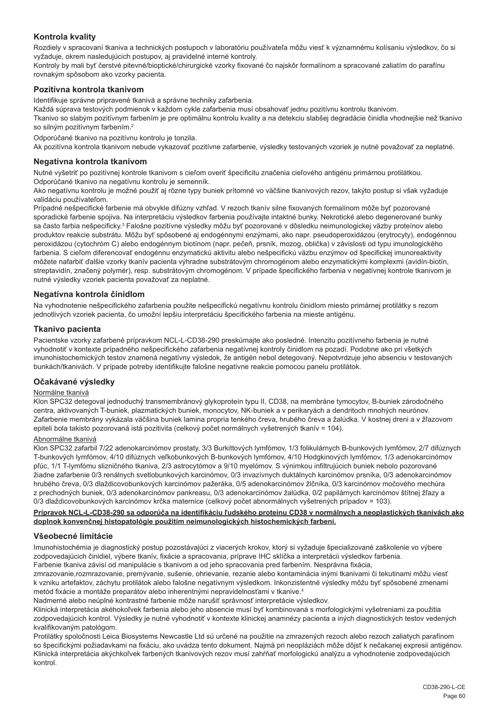## **Kontrola kvality**

Rozdiely v spracovaní tkaniva a technických postupoch v laboratóriu používateľa môžu viesť k významnému kolísaniu výsledkov, čo si vyžaduje, okrem nasledujúcich postupov, aj pravidelné interné kontroly.

Kontroly by mali byť čerstvé pitevné/bioptické/chirurgické vzorky fixované čo najskôr formalínom a spracované zaliatím do parafínu rovnakým spôsobom ako vzorky pacienta.

## **Pozitívna kontrola tkanivom**

Identifikuje správne pripravené tkanivá a správne techniky zafarbenia.

Každá súprava testových podmienok v každom cykle zafarbenia musí obsahovať jednu pozitívnu kontrolu tkanivom.

Tkanivo so slabým pozitívnym farbením je pre optimálnu kontrolu kvality a na detekciu slabšej degradácie činidla vhodnejšie než tkanivo so silným pozitívnym farbením.<sup>2</sup>

Odporúčané tkanivo na pozitívnu kontrolu je tonzila.

Ak pozitívna kontrola tkanivom nebude vykazovať pozitívne zafarbenie, výsledky testovaných vzoriek je nutné považovať za neplatné.

#### **Negatívna kontrola tkanivom**

Nutné vyšetriť po pozitívnej kontrole tkanivom s cieľom overiť špecificitu značenia cieľového antigénu primárnou protilátkou. Odporúčané tkanivo na negatívnu kontrolu je semenník.

Ako negatívnu kontrolu je možné použiť aj rôzne typy buniek prítomné vo väčšine tkanivových rezov, takýto postup si však vyžaduje validáciu používateľom.

Prípadné nešpecifické farbenie má obvykle difúzny vzhľad. V rezoch tkanív silne fixovaných formalínom môže byť pozorované sporadické farbenie spojiva. Na interpretáciu výsledkov farbenia používajte intaktné bunky. Nekrotické alebo degenerované bunky sa často farbia nešpecificky.<sup>3</sup> Falošne pozitívne výsledky môžu byť pozorované v dôsledku neimunologickej väzby proteínov alebo produktov reakcie substrátu. Môžu byť spôsobené aj endogénnymi enzýmami, ako napr. pseudoperoxidázou (erytrocyty), endogénnou peroxidázou (cytochróm C) alebo endogénnym biotínom (napr. pečeň, prsník, mozog, oblička) v závislosti od typu imunologického farbenia. S cieľom diferencovať endogénnu enzymatickú aktivitu alebo nešpecifickú väzbu enzýmov od špecifickej imunoreaktivity môžete nafarbiť ďalšie vzorky tkanív pacienta výhradne substrátovým chromogénom alebo enzymatickými komplexmi (avidín-biotín, streptavidín, značený polymér), resp. substrátovým chromogénom. V prípade špecifického farbenia v negatívnej kontrole tkanivom je nutné výsledky vzoriek pacienta považovať za neplatné.

## **Negatívna kontrola činidlom**

Na vyhodnotenie nešpecifického zafarbenia použite nešpecifickú negatívnu kontrolu činidlom miesto primárnej protilátky s rezom jednotlivých vzoriek pacienta, čo umožní lepšiu interpretáciu špecifického farbenia na mieste antigénu.

## **Tkanivo pacienta**

Pacientske vzorky zafarbené prípravkom NCL-L-CD38-290 preskúmajte ako posledné. Intenzitu pozitívneho farbenia je nutné vyhodnotiť v kontexte prípadného nešpecifického zafarbenia negatívnej kontroly činidlom na pozadí. Podobne ako pri všetkých imunohistochemických testov znamená negatívny výsledok, že antigén nebol detegovaný. Nepotvrdzuje jeho absenciu v testovaných bunkách/tkanivách. V prípade potreby identifikujte falošne negatívne reakcie pomocou panelu protilátok.

#### **Očakávané výsledky**

#### Normálne tkanivá

Klon SPC32 detegoval jednoduchý transmembránový glykoproteín typu II, CD38, na membráne tymocytov, B-buniek zárodočného centra, aktivovaných T-buniek, plazmatických buniek, monocytov, NK-buniek a v perikaryách a dendritoch mnohých neurónov. Zafarbenie membrány vykázala väčšina buniek lamina propria tenkého čreva, hrubého čreva a žalúdka. V kostnej dreni a v žľazovom epiteli bola takisto pozorovaná istá pozitivita (celkový počet normálnych vyšetrených tkanív = 104).

#### Abnormálne tkanivá

Klon SPC32 zafarbil 7/22 adenokarcinómov prostaty, 3/3 Burkittových lymfómov, 1/3 folikulárnych B-bunkových lymfómov, 2/7 difúznych T-bunkových lymfómov, 4/10 difúznych veľkobunkových B-bunkových lymfómov, 4/10 Hodgkinových lymfómov, 1/3 adenokarcinómov pľúc, 1/1 T-lymfómu slizničného tkaniva, 2/3 astrocytómov a 9/10 myelómov. S výnimkou infiltrujúcich buniek nebolo pozorované žiadne zafarbenie 0/3 renálnych svetlobunkových karcinómov, 0/3 invazívnych duktálnych karcinómov prsníka, 0/3 adenokarcinómov hrubého čreva, 0/3 dlaždicovobunkových karcinómov pažeráka, 0/5 adenokarcinómov žlčníka, 0/3 karcinómov močového mechúra z prechodných buniek, 0/3 adenokarcinómov pankreasu, 0/3 adenokarcinómov žalúdka, 0/2 papilárnych karcinómov štítnej žľazy a 0/3 dlaždicovobunkových karcinómov krčka maternice (celkový počet abnormálnych vyšetrených prípadov = 103).

## **Prípravok NCL-L-CD38-290 sa odporúča na identifikáciu ľudského proteínu CD38 v normálnych a neoplastických tkanivách ako doplnok konvenčnej histopatológie použitím neimunologických histochemických farbení.**

#### **Všeobecné limitácie**

Imunohistochémia je diagnostický postup pozostávajúci z viacerých krokov, ktorý si vyžaduje špecializované zaškolenie vo výbere zodpovedajúcich činidiel, výbere tkanív, fixácie a spracovania, príprave IHC sklíčka a interpretácii výsledkov farbenia. Farbenie tkaniva závisí od manipulácie s tkanivom a od jeho spracovania pred farbením. Nesprávna fixácia,

zmrazovanie,rozmrazovanie, premývanie, sušenie, ohrievanie, rezanie alebo kontaminácia inými tkanivami či tekutinami môžu viesť k vzniku artefaktov, záchytu protilátok alebo falošne negatívnym výsledkom. Inkonzistentné výsledky môžu byť spôsobené zmenami metód fixácie a montáže preparátov alebo inherentnými nepravidelnosťami v tkanive.<sup>4</sup>

Nadmerné alebo neúplné kontrastné farbenie môže narušiť správnosť interpretácie výsledkov.

Klinická interpretácia akéhokoľvek farbenia alebo jeho absencie musí byť kombinovaná s morfologickými vyšetreniami za použitia zodpovedajúcich kontrol. Výsledky je nutné vyhodnotiť v kontexte klinickej anamnézy pacienta a iných diagnostických testov vedených kvalifikovaným patológom.

Protilátky spoločnosti Leica Biosystems Newcastle Ltd sú určené na použitie na zmrazených rezoch alebo rezoch zaliatych parafínom so špecifickými požiadavkami na fixáciu, ako uvádza tento dokument. Najmä pri neopláziách môže dôjsť k nečakanej expresii antigénov. Klinická interpretácia akýchkoľvek farbených tkanivových rezov musí zahŕňať morfologickú analýzu a vyhodnotenie zodpovedajúcich kontrol.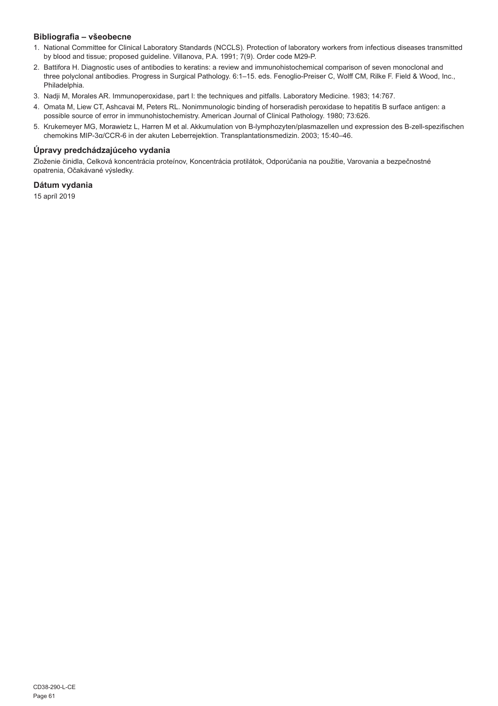## **Bibliografia – všeobecne**

- 1. National Committee for Clinical Laboratory Standards (NCCLS). Protection of laboratory workers from infectious diseases transmitted by blood and tissue; proposed guideline. Villanova, P.A. 1991; 7(9). Order code M29-P.
- 2. Battifora H. Diagnostic uses of antibodies to keratins: a review and immunohistochemical comparison of seven monoclonal and three polyclonal antibodies. Progress in Surgical Pathology. 6:1–15. eds. Fenoglio-Preiser C, Wolff CM, Rilke F. Field & Wood, Inc., Philadelphia.
- 3. Nadji M, Morales AR. Immunoperoxidase, part I: the techniques and pitfalls. Laboratory Medicine. 1983; 14:767.
- 4. Omata M, Liew CT, Ashcavai M, Peters RL. Nonimmunologic binding of horseradish peroxidase to hepatitis B surface antigen: a possible source of error in immunohistochemistry. American Journal of Clinical Pathology. 1980; 73:626.
- 5. Krukemeyer MG, Morawietz L, Harren M et al. Akkumulation von B-lymphozyten/plasmazellen und expression des B-zell-spezifischen chemokins MIP-3α/CCR-6 in der akuten Leberrejektion. Transplantationsmedizin. 2003; 15:40–46.

## **Úpravy predchádzajúceho vydania**

Zloženie činidla, Celková koncentrácia proteínov, Koncentrácia protilátok, Odporúčania na použitie, Varovania a bezpečnostné opatrenia, Očakávané výsledky.

## **Dátum vydania**

15 apríl 2019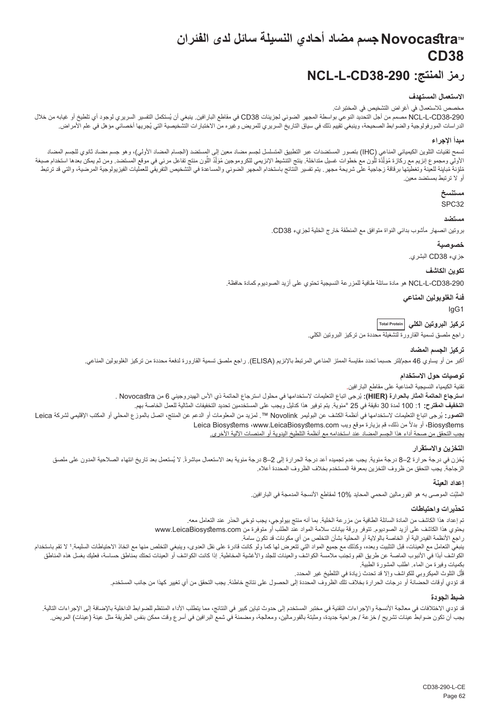# **NovocastraTM جسم مضاد أحادي النسيلة سائل لدى الفئران CD38**

# **NCL-L-CD38-290 :المنتج رمز**

#### **االستعمال المستهدف**

#### مخصص لالستعمال في أغراض التشخيص في المختبرات.

<span id="page-62-0"></span>NCL-L-CD38-290 مصمم من أجل التحديد النوعي بواسطة المجهر الضوئي لجزيئات CD38 في مقاطع البار أفين. ينبغي أن يُستكمل التفسير السريري لوجود أي تلطيخ أو غيابه من خلال الدراسات المورفولوجية والضوابط الصحيحة، وينبغي تقييم ذلك في سياق التاريخ المريض وغيره من الأختبارات التشخيصية التي يُجريها اخصائي مؤهل في علم الأمر اض.

#### **مبدأ اإلجراء**

تسمح تقنيات التلوين اليماعي (IHC) بتصور المستضدات عبر التطبيق المتسلسل لجسم مضداد معين إلى المستضد (الجسام المضاد الأولي)، وهو جسم مضاد ثانوي للجسم المضاد الأولي ومجموع إنزيم مع ركازة مُؤلِّدة للّون مع خطوات غسيل متداخلة. ينتج للتنقيض المستخدم التناس من استخدام من الله عن من مع المتنخذ ومن ثم يمكن بعدها استخدام صبغة ļ َّ֧֖֖֖֖֖֧֚֚֚֚֚֚֚֡֡֬֓֝֬<u>֓</u> نافية مُبلِّنة للعينة وتخليقا برقاقة زجاجية على شريحة مجهر. يتم تفسير النتئج باستخدام المراعة والتشخيص التفريقي للعمليات الفيزيولوجية المرصية، والتي قد ترتبط أو ال ترتبط بمستضد معين.

## **مستنسخ**

SPC32

#### **مستضد**

بروتين انصهار مأشوب بدائي النواة متوافق مع المنطقة خارج الخلية لجزيء 38CD.

#### **خصوصية**

جزيء 38CD البشري.

#### **تكوين الكاشف**

38-290CD-L-NCL هو مادة سائلة طافية للمزرعة النسيجية تحتوي على أزيد الصوديوم كمادة حافظة.

**فئة الغلوبولين المناعي**

IgG1

## **تركيز البروتين الكلي Total Protein**

راجع ملصق تسمية القارورة لتشغيلة محددة من تركيز البروتين الكلي.

## **تركيز الجسم المضاد**

أكبر من أو يساوي 46 مجم/لتر حسبما تحدد مقايسة الممتز المناعي المرتبط باإلنزيم )ELISA). راجع ملصق تسمية القارورة لدفعة محددة من تركيز الغلوبولين المناعي.

## **توصيات حول االستخدام**

تقنية الكيمياء النسيجية المناعية على مقاطع البارافين.

ا**سترجاع الحاتمة المثار بالحرارة (HIER):** يُرجى اتباع التعليمات لاستخدامها في محلول استرجاع الحاتمة ذي الاس الهيدروجيني 6 من Novocastra . **التخفيف المقترح:** :1 100 لمدة 30 دقيقة في 25 °مئوية. يتم توفير هذا كدليل ويجب على المستخدمين تحديد التخفيفات المثالية للعمل الخاصة بهم. ا**لتصور**: يُرجى اتباع التعليمات لاستخدامها في انظمة الكشف عن البوليمر Novolink™ . لمزيد من المعلومات أو المحلي أو المحلي أو المكتب الإقليمي لشركة Leica Biosystems، أو بدلاً من ذلك، قم بزيارة موقع ويب Leica Biosystems ،www.LeicaBiosystems.com يجب التحقق من صحة أداء هذا الجسم المضاد عند استخدامه مع أنظمة التلطيخ اليدوية أو المنصات اآللية األخرى.

#### **التخزين واالستقرار**

بُخزن في درجة حرارة 2–8 درجة مئوية. يجب عدم تجميده أعد درجة الحرارة إلى 2–8 درجة مئوية بعد الاستعمال ملتب الشعاء الصلاحية المدون على ملصق الزجاجة. يجب التحقق من ظروف التخزين بمعرفة المستخدم بخالف الظروف المحددة أعاله.

#### **إعداد العينة**

المثَّبِّت الموصى به هو الفور مالين المحمي المحايد 10% لمقاطع الانسجة المدمجة في البار افين.

#### **تحذيرات واحتياطات**

تم إعداد هذا الكاشف من المادة السائلة الطافية من مزرعة الخلية. بما أنه منتج بيولوجي، يجب توخي الحذر عند التعامل معه. يحتوي هذا الكاشف على أزيد الصوديوم. تتوفر ورقة بيانات سالمة المواد عند الطلب أو متوفرة من com.LeicaBiosystems.www راجع الأنظمة الفيدرالية أو الخاصة بالولاية أو المحلية بشأن التخلص من أي مكونات قد تكون سامة. بنبغي التعامل مع العينات، قبل التثبيت وبعده، وكذلك مع جميع المواد التي تعلى نقل تعالى التو على والنه والمن كان التي التي التي التاسليمة.1 لا تقم باستخدام الكواشف أبدًا في الأنبوب الماصة عن طريق الفم وتجنب ملامسة الكواسف الجلوب الماحلية. إذا كانت الكواشف أو العينات تحتك بمناطق حساسة، فعليك بغسل هذه المناطق بكميات وفيرة من الماء. اطلب المشورة الطبية. ِل التلوث الميكروبي للكواشف وإال قد تحدث زيادة في التلطيخ غير المحدد. قل j

قد تؤدي أوقات الحضانة أو درجات الحرارة بخالف تلك الظروف المحددة إلى الحصول على نتائج خاطئة. يجب التحقق من أي تغيير كهذا من جانب المستخدم.

#### **ضبط الجودة**

قد تزدي الاختلافات في معالجة الأنسجة والإجراءات التقنية في مختبر المستخدم إلى حدوث تباين كبير في النتائج، مما يتطلب الناشر الماستان المنافة بالإضافة إلى الإجراءات التالية. يجب أن تكون ضوابط عينات تشريح / خز عة / جراحية جديدة، ومثبتة بالفورمالين، ومعالجة، ومضمنة في شمع البرافين في أسرع وقت ممكن بنفس الطريقة مثل عينة (عينات) المريض.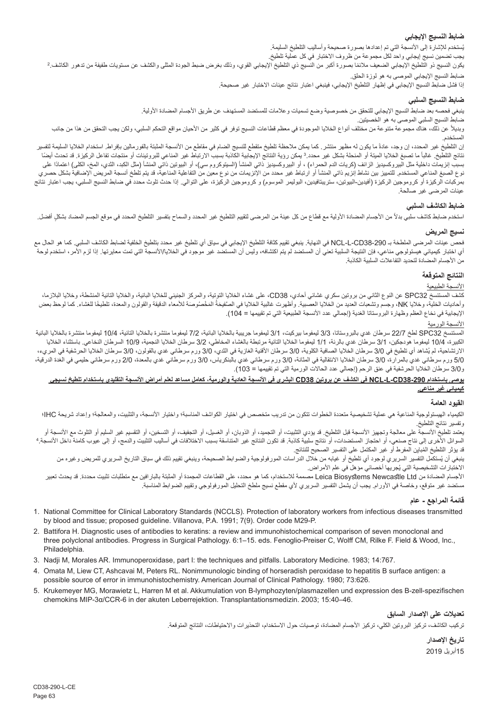## **ضابط النسيج اإليجابي**

بُستخدم للإشارة إلى الانسجة التي تم إعدادها بصنورة صحيحة واساليب التلطيخ السليمة.

بجب تضمين نسيج إيجابي واحد لكل مجموعة من ظروف الاختبار في كل عملية تلطيخ.<br>يكون النسيج ذو التلطيخ الإيجابي الضعيف ملائمًا بصورة أكبر من النسيج ذي التلفية والتلف التحاري المعالي والكشف عن مستويات طفيفة من تدهور الكاشف.2 ضابط النسيج اإليجابي الموصى به هو لوزة الحلق.

إذا فشل ضابط النسيج اإليجابي في إظهار التلطيخ اإليجابي، فينبغي اعتبار نتائج عينات االختبار غير صحيحة.

## **ضابط النسيج السلبي**

ينبغي فحصه بعد ضابط النسيج اإليجابي للتحقق من خصوصية وضع تسميات وعالمات للمستضد المستهدف عن طريق األجسام المضادة األولية.

ضابط النسيج السلبي الموصى به هو الخصيتين.

ربديلاً عن ذلك، هناك مجموعة متنوعة من مختلف أنواع الخلايا الموجودة في معظم قطاعات النسيج توفر في كالها على المعاه عامل التحكم السلبي، ولكن يجب التحقق من هذا من جانب

لمستخدم.<br>إن التلطيخ غير المحده، إن وجد، عادةً ما يكون له مظهر منتشر . كما يمكن متكلم المصابح الشام الفتح الفتر المثل المثل المال السليمة لتفسير المسلمة لتفسير نتائج التلطيخ. غالبا مالم المناط الملوتة أو المنحلة بشكل غير محدد.3 يمكن الزتباط المرتبط غير المناعي للبروتينات أو منتجات تفاعل الركيزة. قد تحدث أيضا بسبب إنزيمات داخلية مثل البيروكسيديز الزائف (كريات الدم الحمراء) ، أو البيركزات السيتركروم سي)، أو البيوتين ذاتي المنشأ (مثل الكبد، الثدي، المخ، الكلى) اعتمادًا على نوع الصبغ المناعدم. للتمييز بين نشاط إنزيم ذاتي المنشأ أو ارتباط غير محدد من الإنزيمات من نوع معين من التفاعلية المناعية، قد يتم تلطخ أنسجة المريض الإضافية بشكل حصري بمركبات الركيزة أو كروموجين الركيزة (أفيدين-البيوتين، ستريبتافيدين، البولين الموسوم) و كروموجين الركيان، التاسع الموسوم الموسوم الموسوم السلبي، وجب اعتبار نتائج عينات المرضى غير صالحة.

## **ضابط الكاشف السلبي**

استخدم ضابط كاشف سلبي بدلأ من الأجسام المضادة الأولية مع قطاع من كل المحل التحاريخ غير المحدد والسماح بتفسير التلطيخ المحدد في موقع الجسم المضاد بشكلٍ أفضل.

#### **نسيج المريض**

فحص عينات المرضى الملطخة بـ 280-29D-NCL في النهاية. ينبغي تقييم كثافة التلطيخ الإيجابي في سياق أي تلطيخ غير محدد بتلطيخ الخلفية لضابط الكاشف السلبي. كما هو الحال مع أي اختبار كيميائي هيستولوجي مناعي، فإن النتيجة السلبية تعني أن المستضد على المستضد غير موجود في الخلايا/الأنسجة التي تمت معايرتها. إذا لزم الأمر ، استخدم لوحة من الأجسام المضادة لتحديد التفاعلات السلبية الكاذبة.

## **النتائج المتوقعة**

األنسجة الطبيعية

كشف المستنسخ 32SPC عن النوع الثاني من بروتين سكري غشائي أحادي، 38CD، على غشاء الخاليا التوتية، والمركز الجنيني للخاليا البائية، والخاليا التائية المنشطة، وخاليا البالزما، ُوأحاديات الخلية، وخلايا NK، وجسم وتشعبات العديد من الخلايا المحسبة والفولون الموحدة المقصومية للأمعاء الدقيقة والقولون والمعدة، تلطيخا للغشاء. كما لوحظ بعض الإيجابية في نخاع العظم وظهارة البر وستاتا الغدية (إجمالي عدد الأنسجة الطبيعية التي تم تقييمها = 104).

#### األنسجة الورمية

المستنسخ 22/3 كالخ 22/7 سرطان غدي بالبروستاتا، 3/3 ليمفوما بين بالغلاليا البائية، 7/2 ليمفوما منتشرة بالخلايا التائية، 10/4 ليمفوما منتشرة بالخلاليا المائية، 10/4 ليمفوما منتشرة بالخلايا المائية، 10/4 ليمفوما منتشرة بالخل الكبيرة، 10/4 ليمفوما هودجكين، 3/1 سرطان غدي بالرئة، 1/1 ليمفوما الخلايا التائية مرتبطة بالغثاء المخاطي، 3/2 سرطان الخلايا النجمية، 10/9 السرطان النخاعي. باستثناء الخلايا الارتشاحية، لم يُشاهد اي تلطيخ في 3/0 سرطان الخلايا الصافية الكلوية الكانية الذي الغازية في الغارياتي غدي بالقولون، 3/0 سرطان الخلايا الحرشفية في المريء، 5/0 ورم سرطاني غدي بالمرارة، 3/0 سرطان الخاليا االنتقالية في المثانة، 3/0 ورم سرطاني غدي بالبنكرياس، 3/0 ورم سرطاني غدي بالمعدة، 2/0 ورم سرطاني حليمي في الغدة الدرقية، و3/0 سرطان الخلايا الحرشفية في عنق الرحم (إجمالي عدد الحالات الورمية التي تم تقييمها = 103).

#### **يوصى باستخدام 38-290CD-L-NCL في الكشف عن بروتين 38CD البشري في األنسجة العادية والورمية، كعامل مساعد لعلم أمراض األنسجة التقليدي باستخدام تلطيخ نسيجي كيميائي غير مناعي.**

## **القيود العامة**

الكيمياء الهيستولوجية المناعية هي عملية تشخيصية متعددة الخطوات تتكون من تدريب متخصص في اختيار المناسبة، والتشبت الماسجة، والمعالجة؛ وإعداد شريحة IHC؛ وتفسير نتائج التلطيخ.

.<br>يعتمد تلطيخ الأنسجة على معالجة وتجهيز الأنسجة قبل التلطيخ. قد يؤدي التثبيت، أو التجان، أو التشبية، أو التقسيم التقسيم غير السليم أو التلوث مع الأنسجة أو السوائل الأخرى إلى نتاج صنعي، أو احتجاز المستضدات، أو نتائج ملائبة قد تكون النتاسقة قد النسبب الأختلافات في اساليب التثبيت والدمج، أو إلى عيوب كامنة داخل الانسجة. قد يؤثر التلطيخ المُباين المفرط او غير المكتمل على التفسير الصحيح للنتائج.

بنغي ان يُستكمل التفسير السريري لوجود اي تلطيخ او غيابه من خلال الدراسات المورفولوجية والضوابط الصحيحة، وينبغي تقييم ذلك في سياق التاريخ السريري للمريض وغيره من الأختبار ات التشخيصية التي يُجريها اخصـائي مؤهل في علم الأمر اض.

األجسام المضادة من Ltd Newcastle Biosystems Leica مصممة لالستخدام، كما هو محدد، على القطاعات المجمدة أو المثبتة بالبارافين مع متطلبات تثبيت محددة. قد يحدث تعبير مستضد غير متوقع، وخاصة في األورام. يجب أن يشمل التفسير السريري ألي مقطع نسيج ملطخ التحليل المورفولوجي وتقييم الضوابط المناسبة.

#### **قائمة المراجع - عام**

- 1. National Committee for Clinical Laboratory Standards (NCCLS). Protection of laboratory workers from infectious diseases transmitted by blood and tissue; proposed guideline. Villanova, P.A. 1991; 7(9). Order code M29-P.
- 2. Battifora H. Diagnostic uses of antibodies to keratins: a review and immunohistochemical comparison of seven monoclonal and three polyclonal antibodies. Progress in Surgical Pathology. 6:1–15. eds. Fenoglio-Preiser C, Wolff CM, Rilke F. Field & Wood, Inc., Philadelphia.
- 3. Nadji M, Morales AR. Immunoperoxidase, part I: the techniques and pitfalls. Laboratory Medicine. 1983; 14:767.
- 4. Omata M, Liew CT, Ashcavai M, Peters RL. Nonimmunologic binding of horseradish peroxidase to hepatitis B surface antigen: a possible source of error in immunohistochemistry. American Journal of Clinical Pathology. 1980; 73:626.
- 5. Krukemeyer MG, Morawietz L, Harren M et al. Akkumulation von B-lymphozyten/plasmazellen und expression des B-zell-spezifischen chemokins MIP-3α/CCR-6 in der akuten Leberrejektion. Transplantationsmedizin. 2003; 15:40–46.

**تعديالت على اإلصدار السابق**

تركيب الكاشف، تركيز البروتين الكلي، تركيز األجسام المضادة، توصيات حول االستخدام، التحذيرات واالحتياطات، النتائج المتوقعة.

**تاريخ اإلصدار** 15أبريل 2019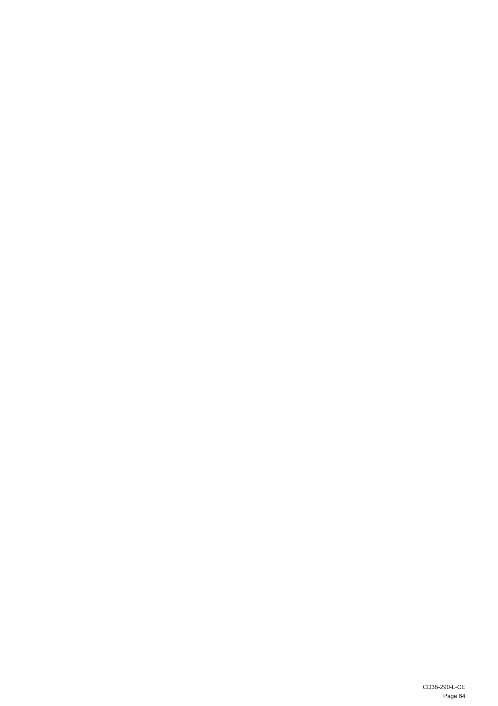CD38-290-L-CE Page 64